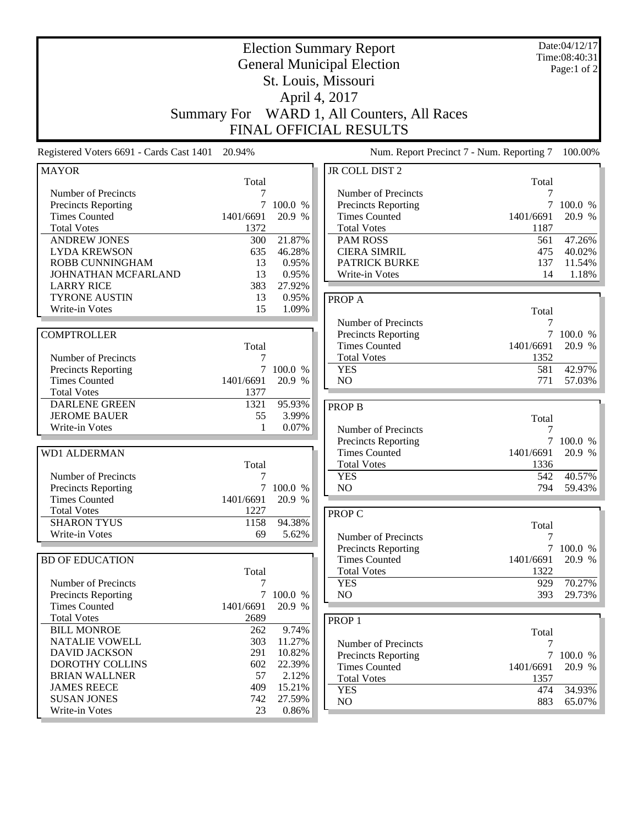| <b>Election Summary Report</b><br><b>General Municipal Election</b><br>St. Louis, Missouri |                               |                  |                                             | Date:04/12/17<br>Time:08:40:31<br>Page:1 of 2 |                     |  |
|--------------------------------------------------------------------------------------------|-------------------------------|------------------|---------------------------------------------|-----------------------------------------------|---------------------|--|
|                                                                                            |                               |                  | April 4, 2017                               |                                               |                     |  |
|                                                                                            |                               |                  |                                             |                                               |                     |  |
| <b>Summary For</b>                                                                         |                               |                  | WARD 1, All Counters, All Races             |                                               |                     |  |
|                                                                                            | <b>FINAL OFFICIAL RESULTS</b> |                  |                                             |                                               |                     |  |
| Registered Voters 6691 - Cards Cast 1401                                                   | 20.94%                        |                  | Num. Report Precinct 7 - Num. Reporting 7   |                                               | 100.00%             |  |
| <b>MAYOR</b>                                                                               | Total                         |                  | JR COLL DIST 2                              | Total                                         |                     |  |
| Number of Precincts                                                                        | 7                             |                  | Number of Precincts                         | 7                                             |                     |  |
| Precincts Reporting                                                                        |                               | 100.0 %          | Precincts Reporting                         | $\tau$                                        | 100.0 %             |  |
| <b>Times Counted</b>                                                                       | 1401/6691                     | 20.9 %           | <b>Times Counted</b>                        | 1401/6691                                     | 20.9 %              |  |
| <b>Total Votes</b><br><b>ANDREW JONES</b>                                                  | 1372<br>300                   | 21.87%           | <b>Total Votes</b><br><b>PAM ROSS</b>       | 1187<br>561                                   | 47.26%              |  |
| <b>LYDA KREWSON</b>                                                                        | 635                           | 46.28%           | <b>CIERA SIMRIL</b>                         | 475                                           | 40.02%              |  |
| <b>ROBB CUNNINGHAM</b>                                                                     | 13                            | 0.95%            | <b>PATRICK BURKE</b>                        | 137                                           | 11.54%              |  |
| JOHNATHAN MCFARLAND                                                                        | 13                            | 0.95%            | Write-in Votes                              | 14                                            | 1.18%               |  |
| <b>LARRY RICE</b>                                                                          | 383                           | 27.92%           |                                             |                                               |                     |  |
| <b>TYRONE AUSTIN</b>                                                                       | 13                            | 0.95%            | PROP A                                      |                                               |                     |  |
| Write-in Votes                                                                             | 15                            | 1.09%            |                                             | Total                                         |                     |  |
|                                                                                            |                               |                  | Number of Precincts                         | 7                                             |                     |  |
| <b>COMPTROLLER</b>                                                                         | Total                         |                  | Precincts Reporting<br><b>Times Counted</b> | 1401/6691                                     | 7 100.0 %<br>20.9 % |  |
| Number of Precincts                                                                        | 7                             |                  | <b>Total Votes</b>                          | 1352                                          |                     |  |
| Precincts Reporting                                                                        | $\tau$                        | 100.0 %          | <b>YES</b>                                  | 581                                           | 42.97%              |  |
| <b>Times Counted</b>                                                                       | 1401/6691                     | 20.9 %           | N <sub>O</sub>                              | 771                                           | 57.03%              |  |
| <b>Total Votes</b>                                                                         | 1377                          |                  |                                             |                                               |                     |  |
| <b>DARLENE GREEN</b>                                                                       | 1321                          | 95.93%           | <b>PROP B</b>                               |                                               |                     |  |
| <b>JEROME BAUER</b>                                                                        | 55                            | 3.99%            |                                             | Total                                         |                     |  |
| Write-in Votes                                                                             | 1                             | 0.07%            | Number of Precincts                         | 7                                             |                     |  |
| <b>WD1 ALDERMAN</b>                                                                        |                               |                  | Precincts Reporting<br><b>Times Counted</b> | 7<br>1401/6691                                | 100.0 %<br>20.9 %   |  |
|                                                                                            | Total                         |                  | <b>Total Votes</b>                          | 1336                                          |                     |  |
| Number of Precincts                                                                        | 7                             |                  | <b>YES</b>                                  | 542                                           | 40.57%              |  |
| <b>Precincts Reporting</b>                                                                 | 7                             | 100.0 %          | NO                                          | 794                                           | 59.43%              |  |
| <b>Times Counted</b>                                                                       | 1401/6691                     | 20.9 %           |                                             |                                               |                     |  |
| <b>Total Votes</b>                                                                         | 1227                          |                  | PROP C                                      |                                               |                     |  |
| <b>SHARON TYUS</b>                                                                         | 1158                          | 94.38%           |                                             | Total                                         |                     |  |
| Write-in Votes                                                                             | 69                            | 5.62%            | Number of Precincts                         | 7                                             |                     |  |
| <b>BD OF EDUCATION</b>                                                                     |                               |                  | Precincts Reporting<br><b>Times Counted</b> | $\tau$<br>1401/6691                           | 100.0 %<br>20.9 %   |  |
|                                                                                            | Total                         |                  | <b>Total Votes</b>                          | 1322                                          |                     |  |
| Number of Precincts                                                                        | 7                             |                  | <b>YES</b>                                  | 929                                           | 70.27%              |  |
| Precincts Reporting                                                                        | 7 <sup>7</sup>                | 100.0 %          | NO                                          | 393                                           | 29.73%              |  |
| <b>Times Counted</b>                                                                       | 1401/6691                     | 20.9 %           |                                             |                                               |                     |  |
| <b>Total Votes</b>                                                                         | 2689                          |                  | PROP <sub>1</sub>                           |                                               |                     |  |
| <b>BILL MONROE</b>                                                                         | 262                           | 9.74%            |                                             | Total                                         |                     |  |
| <b>NATALIE VOWELL</b><br><b>DAVID JACKSON</b>                                              | 303<br>291                    | 11.27%<br>10.82% | Number of Precincts                         | 7                                             |                     |  |
| DOROTHY COLLINS                                                                            | 602                           | 22.39%           | Precincts Reporting                         | $\overline{7}$                                | 100.0 %             |  |
| <b>BRIAN WALLNER</b>                                                                       | 57                            | 2.12%            | <b>Times Counted</b><br><b>Total Votes</b>  | 1401/6691<br>1357                             | 20.9 %              |  |
| <b>JAMES REECE</b>                                                                         | 409                           | 15.21%           | <b>YES</b>                                  | 474                                           | 34.93%              |  |
| <b>SUSAN JONES</b>                                                                         | 742                           | 27.59%           | $\rm NO$                                    | 883                                           | 65.07%              |  |
| Write-in Votes                                                                             | 23                            | 0.86%            |                                             |                                               |                     |  |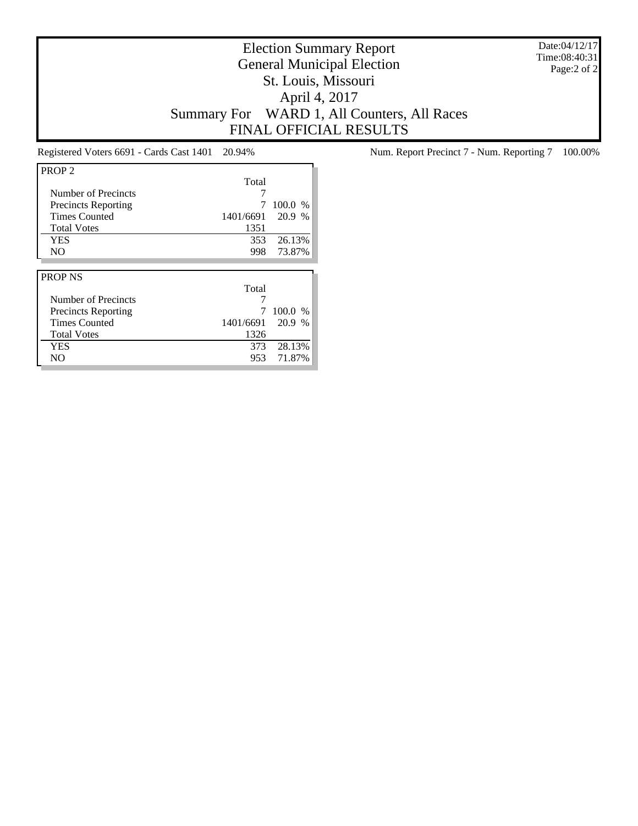Date:04/12/17 Time:08:40:31 Page:2 of 2

# Election Summary Report General Municipal Election St. Louis, Missouri April 4, 2017 Summary For WARD 1, All Counters, All Races FINAL OFFICIAL RESULTS

| PROP <sub>2</sub>          |           |         |
|----------------------------|-----------|---------|
|                            | Total     |         |
| Number of Precincts        |           |         |
| <b>Precincts Reporting</b> |           | 100.0 % |
| <b>Times Counted</b>       | 1401/6691 | 20.9 %  |
| <b>Total Votes</b>         | 1351      |         |
| YES                        | 353       | 26.13%  |
| N <sub>O</sub>             | 998       | 73.87%  |
|                            |           |         |
|                            |           |         |
| <b>PROP NS</b>             |           |         |
|                            | Total     |         |
| Number of Precincts        |           |         |
| <b>Precincts Reporting</b> |           | 100.0 % |
| <b>Times Counted</b>       | 1401/6691 | 20.9 %  |
| <b>Total Votes</b>         | 1326      |         |
| <b>YES</b>                 | 373       | 28.13%  |

Registered Voters 6691 - Cards Cast 1401 20.94% Num. Report Precinct 7 - Num. Reporting 7 100.00%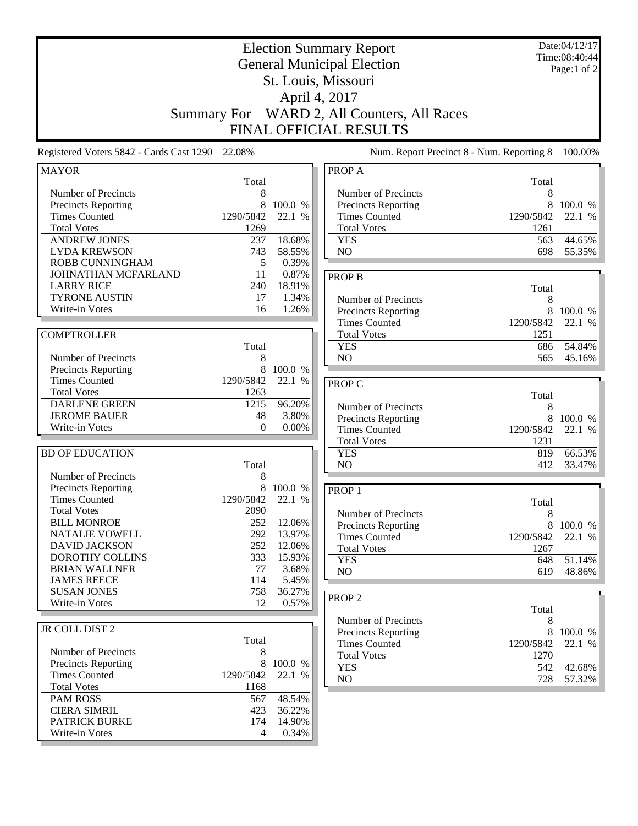| <b>Election Summary Report</b><br><b>General Municipal Election</b><br>St. Louis, Missouri                                                    |                                             |                                            |                                                                                                                     | Date:04/12/17<br>Time:08:40:44<br>Page:1 of 2      |                                       |
|-----------------------------------------------------------------------------------------------------------------------------------------------|---------------------------------------------|--------------------------------------------|---------------------------------------------------------------------------------------------------------------------|----------------------------------------------------|---------------------------------------|
|                                                                                                                                               |                                             | April 4, 2017                              | Summary For WARD 2, All Counters, All Races<br>FINAL OFFICIAL RESULTS                                               |                                                    |                                       |
| Registered Voters 5842 - Cards Cast 1290 22.08%                                                                                               |                                             |                                            | Num. Report Precinct 8 - Num. Reporting 8                                                                           |                                                    | 100.00%                               |
| <b>MAYOR</b>                                                                                                                                  | Total                                       |                                            | PROP A                                                                                                              |                                                    |                                       |
| Number of Precincts<br><b>Precincts Reporting</b><br><b>Times Counted</b><br><b>Total Votes</b><br><b>ANDREW JONES</b><br><b>LYDA KREWSON</b> | 8<br>8<br>1290/5842<br>1269<br>237<br>743   | 100.0 %<br>22.1 %<br>18.68%<br>58.55%      | Number of Precincts<br>Precincts Reporting<br><b>Times Counted</b><br><b>Total Votes</b><br><b>YES</b><br>NO        | Total<br>8<br>8<br>1290/5842<br>1261<br>563<br>698 | 100.0 %<br>22.1 %<br>44.65%<br>55.35% |
| <b>ROBB CUNNINGHAM</b><br>JOHNATHAN MCFARLAND<br><b>LARRY RICE</b><br><b>TYRONE AUSTIN</b><br>Write-in Votes                                  | 5<br>11<br>240<br>17<br>16                  | 0.39%<br>0.87%<br>18.91%<br>1.34%<br>1.26% | <b>PROP B</b><br>Number of Precincts<br>Precincts Reporting                                                         | Total<br>8<br>8                                    | 100.0 %                               |
| <b>COMPTROLLER</b><br>Number of Precincts<br><b>Precincts Reporting</b>                                                                       | Total<br>8<br>8                             | 100.0 %                                    | <b>Times Counted</b><br><b>Total Votes</b><br><b>YES</b><br>NO                                                      | 1290/5842<br>1251<br>686<br>565                    | 22.1 %<br>54.84%<br>45.16%            |
| <b>Times Counted</b><br><b>Total Votes</b><br><b>DARLENE GREEN</b><br><b>JEROME BAUER</b><br>Write-in Votes                                   | 1290/5842<br>1263<br>1215<br>48<br>$\Omega$ | 22.1 %<br>96.20%<br>3.80%<br>0.00%         | <b>PROP C</b><br>Number of Precincts<br>Precincts Reporting<br><b>Times Counted</b>                                 | Total<br>8<br>1290/5842                            | 8 100.0 %<br>22.1 %                   |
| <b>BD OF EDUCATION</b><br>Number of Precincts                                                                                                 | Total<br>8                                  |                                            | <b>Total Votes</b><br><b>YES</b><br>NO                                                                              | 1231<br>819<br>412                                 | 66.53%<br>33.47%                      |
| Precincts Reporting<br><b>Times Counted</b><br><b>Total Votes</b><br><b>BILL MONROE</b>                                                       | 8<br>1290/5842<br>2090<br>252               | 100.0 %<br>22.1<br>%<br>12.06%             | PROP <sub>1</sub><br>Number of Precincts<br><b>Precincts Reporting</b>                                              | Total<br>$\,8\,$<br>8                              | 100.0 %                               |
| NATALIE VOWELL<br><b>DAVID JACKSON</b><br>DOROTHY COLLINS<br><b>BRIAN WALLNER</b>                                                             | 292<br>252<br>333<br>77                     | 13.97%<br>12.06%<br>15.93%<br>3.68%        | <b>Times Counted</b><br><b>Total Votes</b><br><b>YES</b><br>NO                                                      | 1290/5842<br>1267<br>648<br>619                    | 22.1 %<br>51.14%<br>48.86%            |
| <b>JAMES REECE</b><br><b>SUSAN JONES</b><br>Write-in Votes                                                                                    | 114<br>758<br>12                            | 5.45%<br>36.27%<br>0.57%                   | PROP <sub>2</sub>                                                                                                   | Total                                              |                                       |
| JR COLL DIST 2<br>Number of Precincts<br><b>Precincts Reporting</b><br><b>Times Counted</b>                                                   | Total<br>8<br>8<br>1290/5842                | 100.0 %<br>22.1 %                          | Number of Precincts<br><b>Precincts Reporting</b><br><b>Times Counted</b><br><b>Total Votes</b><br><b>YES</b><br>NO | 8<br>8<br>1290/5842<br>1270<br>542<br>728          | 100.0 %<br>22.1 %<br>42.68%<br>57.32% |
| <b>Total Votes</b><br><b>PAM ROSS</b><br><b>CIERA SIMRIL</b><br><b>PATRICK BURKE</b><br>Write-in Votes                                        | 1168<br>567<br>423<br>174<br>4              | 48.54%<br>36.22%<br>14.90%<br>0.34%        |                                                                                                                     |                                                    |                                       |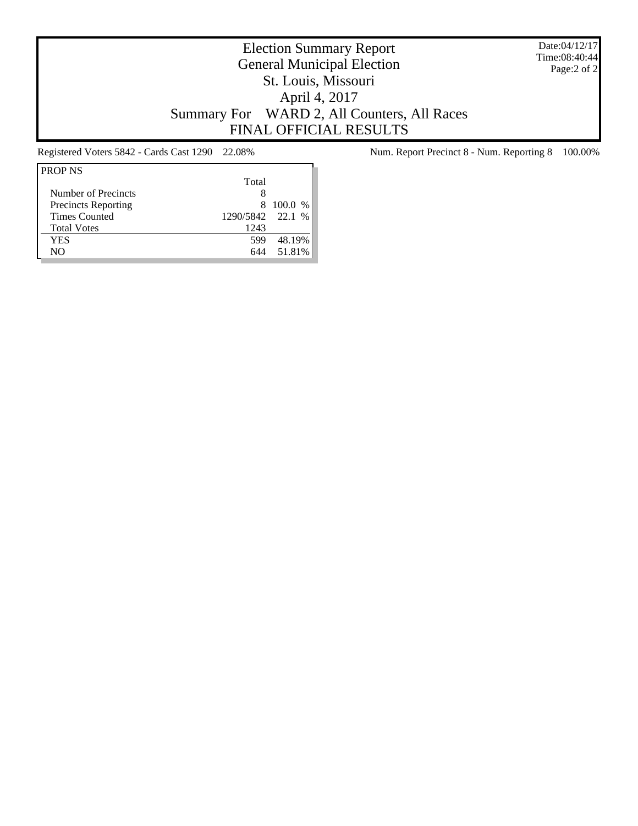Date:04/12/17 Time:08:40:44 Page:2 of 2

# Election Summary Report General Municipal Election St. Louis, Missouri April 4, 2017 Summary For WARD 2, All Counters, All Races FINAL OFFICIAL RESULTS

| <b>PROP NS</b>             |                  |         |
|----------------------------|------------------|---------|
|                            | Total            |         |
| Number of Precincts        |                  |         |
| <b>Precincts Reporting</b> | 8.               | 100.0 % |
| <b>Times Counted</b>       | 1290/5842 22.1 % |         |
| <b>Total Votes</b>         | 1243             |         |
| YES                        | 599              | 48.19%  |
| NΟ                         | 644              | 51.81%  |

Registered Voters 5842 - Cards Cast 1290 22.08% Num. Report Precinct 8 - Num. Reporting 8 100.00%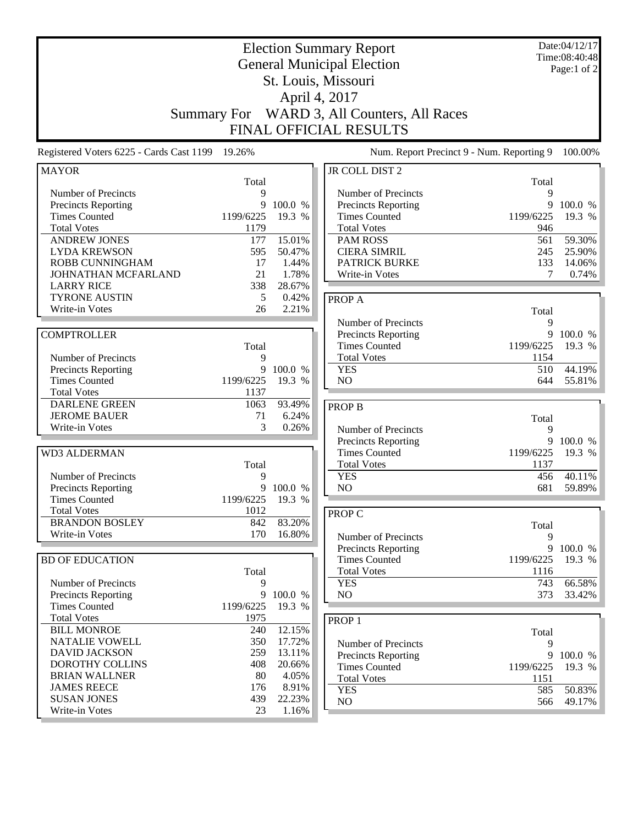| 19.26%<br>Registered Voters 6225 - Cards Cast 1199<br>Num. Report Precinct 9 - Num. Reporting 9<br>100.00%<br>JR COLL DIST 2<br><b>MAYOR</b><br>Total<br>Total<br>Number of Precincts<br>$\mathbf Q$<br>Number of Precincts<br>9<br>9<br>9<br>100.0 %<br>100.0 %<br>Precincts Reporting<br>Precincts Reporting<br><b>Times Counted</b><br>1199/6225<br>19.3 %<br><b>Times Counted</b><br>19.3 %<br>1199/6225<br>1179<br><b>Total Votes</b><br><b>Total Votes</b><br>946<br>561<br>59.30%<br><b>ANDREW JONES</b><br>177<br>15.01%<br><b>PAM ROSS</b><br><b>LYDA KREWSON</b><br>595<br>50.47%<br><b>CIERA SIMRIL</b><br>245<br>25.90%<br>ROBB CUNNINGHAM<br>17<br><b>PATRICK BURKE</b><br>133<br>14.06%<br>1.44%<br>21<br>1.78%<br>7<br>0.74%<br>JOHNATHAN MCFARLAND<br>Write-in Votes<br><b>LARRY RICE</b><br>338<br>28.67%<br><b>TYRONE AUSTIN</b><br>5<br>0.42%<br>PROP A<br>2.21%<br>Write-in Votes<br>26<br>Total<br>Number of Precincts<br>9<br>9<br><b>COMPTROLLER</b><br>Precincts Reporting<br>100.0 %<br><b>Times Counted</b><br>1199/6225<br>19.3 %<br>Total<br><b>Total Votes</b><br>1154<br>Number of Precincts<br>9<br>9<br>100.0 %<br><b>YES</b><br>44.19%<br>510<br><b>Precincts Reporting</b><br>1199/6225<br>NO<br><b>Times Counted</b><br>19.3 %<br>644<br>55.81%<br><b>Total Votes</b><br>1137<br><b>DARLENE GREEN</b><br>93.49%<br>1063<br><b>PROP B</b><br><b>JEROME BAUER</b><br>6.24%<br>71<br>Total<br>3<br>Write-in Votes<br>0.26%<br>Number of Precincts<br>9<br>9<br><b>Precincts Reporting</b><br>100.0 %<br><b>Times Counted</b><br>19.3 %<br><b>WD3 ALDERMAN</b><br>1199/6225<br><b>Total Votes</b><br>1137<br>Total<br>40.11%<br>Number of Precincts<br><b>YES</b><br>456<br>9<br>9<br>NO<br><b>Precincts Reporting</b><br>100.0 %<br>681<br>59.89%<br><b>Times Counted</b><br>1199/6225<br>19.3 %<br><b>Total Votes</b><br>1012<br>PROP C<br>83.20%<br><b>BRANDON BOSLEY</b><br>842<br>Total<br>Write-in Votes<br>170<br>16.80%<br>9<br>Number of Precincts<br>9 100.0 %<br>Precincts Reporting<br><b>Times Counted</b><br>19.3 %<br><b>BD OF EDUCATION</b><br>1199/6225<br><b>Total Votes</b><br>Total<br>1116<br>66.58%<br>Number of Precincts<br>9<br><b>YES</b><br>743<br>9<br>100.0 %<br>NO<br>Precincts Reporting<br>373<br>33.42%<br>19.3 %<br><b>Times Counted</b><br>1199/6225<br><b>Total Votes</b><br>1975<br>PROP <sub>1</sub><br><b>BILL MONROE</b><br>240<br>12.15%<br>Total<br><b>NATALIE VOWELL</b><br>350<br>17.72%<br>Number of Precincts<br>9<br><b>DAVID JACKSON</b><br>259<br>13.11%<br>9<br>Precincts Reporting<br>100.0 %<br>DOROTHY COLLINS<br>408<br>20.66%<br><b>Times Counted</b><br>1199/6225<br>19.3 %<br><b>BRIAN WALLNER</b><br>80<br>4.05%<br><b>Total Votes</b><br>1151<br><b>JAMES REECE</b><br>8.91%<br>176<br><b>YES</b><br>50.83%<br>585<br><b>SUSAN JONES</b><br>439<br>22.23%<br>NO<br>566<br>49.17%<br>23<br>Write-in Votes<br>1.16% | <b>Election Summary Report</b><br><b>General Municipal Election</b><br>St. Louis, Missouri<br>April 4, 2017<br>WARD 3, All Counters, All Races<br><b>Summary For</b><br>FINAL OFFICIAL RESULTS |  |  | Date:04/12/17<br>Time:08:40:48<br>Page:1 of 2 |  |
|-------------------------------------------------------------------------------------------------------------------------------------------------------------------------------------------------------------------------------------------------------------------------------------------------------------------------------------------------------------------------------------------------------------------------------------------------------------------------------------------------------------------------------------------------------------------------------------------------------------------------------------------------------------------------------------------------------------------------------------------------------------------------------------------------------------------------------------------------------------------------------------------------------------------------------------------------------------------------------------------------------------------------------------------------------------------------------------------------------------------------------------------------------------------------------------------------------------------------------------------------------------------------------------------------------------------------------------------------------------------------------------------------------------------------------------------------------------------------------------------------------------------------------------------------------------------------------------------------------------------------------------------------------------------------------------------------------------------------------------------------------------------------------------------------------------------------------------------------------------------------------------------------------------------------------------------------------------------------------------------------------------------------------------------------------------------------------------------------------------------------------------------------------------------------------------------------------------------------------------------------------------------------------------------------------------------------------------------------------------------------------------------------------------------------------------------------------------------------------------------------------------------------------------------------------------------------------------------------------------------------------------------------------------------------------------------------------------------------------------------------------------------------------------------------------------------------------------------------------------------------------------------------------------|------------------------------------------------------------------------------------------------------------------------------------------------------------------------------------------------|--|--|-----------------------------------------------|--|
|                                                                                                                                                                                                                                                                                                                                                                                                                                                                                                                                                                                                                                                                                                                                                                                                                                                                                                                                                                                                                                                                                                                                                                                                                                                                                                                                                                                                                                                                                                                                                                                                                                                                                                                                                                                                                                                                                                                                                                                                                                                                                                                                                                                                                                                                                                                                                                                                                                                                                                                                                                                                                                                                                                                                                                                                                                                                                                             |                                                                                                                                                                                                |  |  |                                               |  |
|                                                                                                                                                                                                                                                                                                                                                                                                                                                                                                                                                                                                                                                                                                                                                                                                                                                                                                                                                                                                                                                                                                                                                                                                                                                                                                                                                                                                                                                                                                                                                                                                                                                                                                                                                                                                                                                                                                                                                                                                                                                                                                                                                                                                                                                                                                                                                                                                                                                                                                                                                                                                                                                                                                                                                                                                                                                                                                             |                                                                                                                                                                                                |  |  |                                               |  |
|                                                                                                                                                                                                                                                                                                                                                                                                                                                                                                                                                                                                                                                                                                                                                                                                                                                                                                                                                                                                                                                                                                                                                                                                                                                                                                                                                                                                                                                                                                                                                                                                                                                                                                                                                                                                                                                                                                                                                                                                                                                                                                                                                                                                                                                                                                                                                                                                                                                                                                                                                                                                                                                                                                                                                                                                                                                                                                             |                                                                                                                                                                                                |  |  |                                               |  |
|                                                                                                                                                                                                                                                                                                                                                                                                                                                                                                                                                                                                                                                                                                                                                                                                                                                                                                                                                                                                                                                                                                                                                                                                                                                                                                                                                                                                                                                                                                                                                                                                                                                                                                                                                                                                                                                                                                                                                                                                                                                                                                                                                                                                                                                                                                                                                                                                                                                                                                                                                                                                                                                                                                                                                                                                                                                                                                             |                                                                                                                                                                                                |  |  |                                               |  |
|                                                                                                                                                                                                                                                                                                                                                                                                                                                                                                                                                                                                                                                                                                                                                                                                                                                                                                                                                                                                                                                                                                                                                                                                                                                                                                                                                                                                                                                                                                                                                                                                                                                                                                                                                                                                                                                                                                                                                                                                                                                                                                                                                                                                                                                                                                                                                                                                                                                                                                                                                                                                                                                                                                                                                                                                                                                                                                             |                                                                                                                                                                                                |  |  |                                               |  |
|                                                                                                                                                                                                                                                                                                                                                                                                                                                                                                                                                                                                                                                                                                                                                                                                                                                                                                                                                                                                                                                                                                                                                                                                                                                                                                                                                                                                                                                                                                                                                                                                                                                                                                                                                                                                                                                                                                                                                                                                                                                                                                                                                                                                                                                                                                                                                                                                                                                                                                                                                                                                                                                                                                                                                                                                                                                                                                             |                                                                                                                                                                                                |  |  |                                               |  |
|                                                                                                                                                                                                                                                                                                                                                                                                                                                                                                                                                                                                                                                                                                                                                                                                                                                                                                                                                                                                                                                                                                                                                                                                                                                                                                                                                                                                                                                                                                                                                                                                                                                                                                                                                                                                                                                                                                                                                                                                                                                                                                                                                                                                                                                                                                                                                                                                                                                                                                                                                                                                                                                                                                                                                                                                                                                                                                             |                                                                                                                                                                                                |  |  |                                               |  |
|                                                                                                                                                                                                                                                                                                                                                                                                                                                                                                                                                                                                                                                                                                                                                                                                                                                                                                                                                                                                                                                                                                                                                                                                                                                                                                                                                                                                                                                                                                                                                                                                                                                                                                                                                                                                                                                                                                                                                                                                                                                                                                                                                                                                                                                                                                                                                                                                                                                                                                                                                                                                                                                                                                                                                                                                                                                                                                             |                                                                                                                                                                                                |  |  |                                               |  |
|                                                                                                                                                                                                                                                                                                                                                                                                                                                                                                                                                                                                                                                                                                                                                                                                                                                                                                                                                                                                                                                                                                                                                                                                                                                                                                                                                                                                                                                                                                                                                                                                                                                                                                                                                                                                                                                                                                                                                                                                                                                                                                                                                                                                                                                                                                                                                                                                                                                                                                                                                                                                                                                                                                                                                                                                                                                                                                             |                                                                                                                                                                                                |  |  |                                               |  |
|                                                                                                                                                                                                                                                                                                                                                                                                                                                                                                                                                                                                                                                                                                                                                                                                                                                                                                                                                                                                                                                                                                                                                                                                                                                                                                                                                                                                                                                                                                                                                                                                                                                                                                                                                                                                                                                                                                                                                                                                                                                                                                                                                                                                                                                                                                                                                                                                                                                                                                                                                                                                                                                                                                                                                                                                                                                                                                             |                                                                                                                                                                                                |  |  |                                               |  |
|                                                                                                                                                                                                                                                                                                                                                                                                                                                                                                                                                                                                                                                                                                                                                                                                                                                                                                                                                                                                                                                                                                                                                                                                                                                                                                                                                                                                                                                                                                                                                                                                                                                                                                                                                                                                                                                                                                                                                                                                                                                                                                                                                                                                                                                                                                                                                                                                                                                                                                                                                                                                                                                                                                                                                                                                                                                                                                             |                                                                                                                                                                                                |  |  |                                               |  |
|                                                                                                                                                                                                                                                                                                                                                                                                                                                                                                                                                                                                                                                                                                                                                                                                                                                                                                                                                                                                                                                                                                                                                                                                                                                                                                                                                                                                                                                                                                                                                                                                                                                                                                                                                                                                                                                                                                                                                                                                                                                                                                                                                                                                                                                                                                                                                                                                                                                                                                                                                                                                                                                                                                                                                                                                                                                                                                             |                                                                                                                                                                                                |  |  |                                               |  |
|                                                                                                                                                                                                                                                                                                                                                                                                                                                                                                                                                                                                                                                                                                                                                                                                                                                                                                                                                                                                                                                                                                                                                                                                                                                                                                                                                                                                                                                                                                                                                                                                                                                                                                                                                                                                                                                                                                                                                                                                                                                                                                                                                                                                                                                                                                                                                                                                                                                                                                                                                                                                                                                                                                                                                                                                                                                                                                             |                                                                                                                                                                                                |  |  |                                               |  |
|                                                                                                                                                                                                                                                                                                                                                                                                                                                                                                                                                                                                                                                                                                                                                                                                                                                                                                                                                                                                                                                                                                                                                                                                                                                                                                                                                                                                                                                                                                                                                                                                                                                                                                                                                                                                                                                                                                                                                                                                                                                                                                                                                                                                                                                                                                                                                                                                                                                                                                                                                                                                                                                                                                                                                                                                                                                                                                             |                                                                                                                                                                                                |  |  |                                               |  |
|                                                                                                                                                                                                                                                                                                                                                                                                                                                                                                                                                                                                                                                                                                                                                                                                                                                                                                                                                                                                                                                                                                                                                                                                                                                                                                                                                                                                                                                                                                                                                                                                                                                                                                                                                                                                                                                                                                                                                                                                                                                                                                                                                                                                                                                                                                                                                                                                                                                                                                                                                                                                                                                                                                                                                                                                                                                                                                             |                                                                                                                                                                                                |  |  |                                               |  |
|                                                                                                                                                                                                                                                                                                                                                                                                                                                                                                                                                                                                                                                                                                                                                                                                                                                                                                                                                                                                                                                                                                                                                                                                                                                                                                                                                                                                                                                                                                                                                                                                                                                                                                                                                                                                                                                                                                                                                                                                                                                                                                                                                                                                                                                                                                                                                                                                                                                                                                                                                                                                                                                                                                                                                                                                                                                                                                             |                                                                                                                                                                                                |  |  |                                               |  |
|                                                                                                                                                                                                                                                                                                                                                                                                                                                                                                                                                                                                                                                                                                                                                                                                                                                                                                                                                                                                                                                                                                                                                                                                                                                                                                                                                                                                                                                                                                                                                                                                                                                                                                                                                                                                                                                                                                                                                                                                                                                                                                                                                                                                                                                                                                                                                                                                                                                                                                                                                                                                                                                                                                                                                                                                                                                                                                             |                                                                                                                                                                                                |  |  |                                               |  |
|                                                                                                                                                                                                                                                                                                                                                                                                                                                                                                                                                                                                                                                                                                                                                                                                                                                                                                                                                                                                                                                                                                                                                                                                                                                                                                                                                                                                                                                                                                                                                                                                                                                                                                                                                                                                                                                                                                                                                                                                                                                                                                                                                                                                                                                                                                                                                                                                                                                                                                                                                                                                                                                                                                                                                                                                                                                                                                             |                                                                                                                                                                                                |  |  |                                               |  |
|                                                                                                                                                                                                                                                                                                                                                                                                                                                                                                                                                                                                                                                                                                                                                                                                                                                                                                                                                                                                                                                                                                                                                                                                                                                                                                                                                                                                                                                                                                                                                                                                                                                                                                                                                                                                                                                                                                                                                                                                                                                                                                                                                                                                                                                                                                                                                                                                                                                                                                                                                                                                                                                                                                                                                                                                                                                                                                             |                                                                                                                                                                                                |  |  |                                               |  |
|                                                                                                                                                                                                                                                                                                                                                                                                                                                                                                                                                                                                                                                                                                                                                                                                                                                                                                                                                                                                                                                                                                                                                                                                                                                                                                                                                                                                                                                                                                                                                                                                                                                                                                                                                                                                                                                                                                                                                                                                                                                                                                                                                                                                                                                                                                                                                                                                                                                                                                                                                                                                                                                                                                                                                                                                                                                                                                             |                                                                                                                                                                                                |  |  |                                               |  |
|                                                                                                                                                                                                                                                                                                                                                                                                                                                                                                                                                                                                                                                                                                                                                                                                                                                                                                                                                                                                                                                                                                                                                                                                                                                                                                                                                                                                                                                                                                                                                                                                                                                                                                                                                                                                                                                                                                                                                                                                                                                                                                                                                                                                                                                                                                                                                                                                                                                                                                                                                                                                                                                                                                                                                                                                                                                                                                             |                                                                                                                                                                                                |  |  |                                               |  |
|                                                                                                                                                                                                                                                                                                                                                                                                                                                                                                                                                                                                                                                                                                                                                                                                                                                                                                                                                                                                                                                                                                                                                                                                                                                                                                                                                                                                                                                                                                                                                                                                                                                                                                                                                                                                                                                                                                                                                                                                                                                                                                                                                                                                                                                                                                                                                                                                                                                                                                                                                                                                                                                                                                                                                                                                                                                                                                             |                                                                                                                                                                                                |  |  |                                               |  |
|                                                                                                                                                                                                                                                                                                                                                                                                                                                                                                                                                                                                                                                                                                                                                                                                                                                                                                                                                                                                                                                                                                                                                                                                                                                                                                                                                                                                                                                                                                                                                                                                                                                                                                                                                                                                                                                                                                                                                                                                                                                                                                                                                                                                                                                                                                                                                                                                                                                                                                                                                                                                                                                                                                                                                                                                                                                                                                             |                                                                                                                                                                                                |  |  |                                               |  |
|                                                                                                                                                                                                                                                                                                                                                                                                                                                                                                                                                                                                                                                                                                                                                                                                                                                                                                                                                                                                                                                                                                                                                                                                                                                                                                                                                                                                                                                                                                                                                                                                                                                                                                                                                                                                                                                                                                                                                                                                                                                                                                                                                                                                                                                                                                                                                                                                                                                                                                                                                                                                                                                                                                                                                                                                                                                                                                             |                                                                                                                                                                                                |  |  |                                               |  |
|                                                                                                                                                                                                                                                                                                                                                                                                                                                                                                                                                                                                                                                                                                                                                                                                                                                                                                                                                                                                                                                                                                                                                                                                                                                                                                                                                                                                                                                                                                                                                                                                                                                                                                                                                                                                                                                                                                                                                                                                                                                                                                                                                                                                                                                                                                                                                                                                                                                                                                                                                                                                                                                                                                                                                                                                                                                                                                             |                                                                                                                                                                                                |  |  |                                               |  |
|                                                                                                                                                                                                                                                                                                                                                                                                                                                                                                                                                                                                                                                                                                                                                                                                                                                                                                                                                                                                                                                                                                                                                                                                                                                                                                                                                                                                                                                                                                                                                                                                                                                                                                                                                                                                                                                                                                                                                                                                                                                                                                                                                                                                                                                                                                                                                                                                                                                                                                                                                                                                                                                                                                                                                                                                                                                                                                             |                                                                                                                                                                                                |  |  |                                               |  |
|                                                                                                                                                                                                                                                                                                                                                                                                                                                                                                                                                                                                                                                                                                                                                                                                                                                                                                                                                                                                                                                                                                                                                                                                                                                                                                                                                                                                                                                                                                                                                                                                                                                                                                                                                                                                                                                                                                                                                                                                                                                                                                                                                                                                                                                                                                                                                                                                                                                                                                                                                                                                                                                                                                                                                                                                                                                                                                             |                                                                                                                                                                                                |  |  |                                               |  |
|                                                                                                                                                                                                                                                                                                                                                                                                                                                                                                                                                                                                                                                                                                                                                                                                                                                                                                                                                                                                                                                                                                                                                                                                                                                                                                                                                                                                                                                                                                                                                                                                                                                                                                                                                                                                                                                                                                                                                                                                                                                                                                                                                                                                                                                                                                                                                                                                                                                                                                                                                                                                                                                                                                                                                                                                                                                                                                             |                                                                                                                                                                                                |  |  |                                               |  |
|                                                                                                                                                                                                                                                                                                                                                                                                                                                                                                                                                                                                                                                                                                                                                                                                                                                                                                                                                                                                                                                                                                                                                                                                                                                                                                                                                                                                                                                                                                                                                                                                                                                                                                                                                                                                                                                                                                                                                                                                                                                                                                                                                                                                                                                                                                                                                                                                                                                                                                                                                                                                                                                                                                                                                                                                                                                                                                             |                                                                                                                                                                                                |  |  |                                               |  |
|                                                                                                                                                                                                                                                                                                                                                                                                                                                                                                                                                                                                                                                                                                                                                                                                                                                                                                                                                                                                                                                                                                                                                                                                                                                                                                                                                                                                                                                                                                                                                                                                                                                                                                                                                                                                                                                                                                                                                                                                                                                                                                                                                                                                                                                                                                                                                                                                                                                                                                                                                                                                                                                                                                                                                                                                                                                                                                             |                                                                                                                                                                                                |  |  |                                               |  |
|                                                                                                                                                                                                                                                                                                                                                                                                                                                                                                                                                                                                                                                                                                                                                                                                                                                                                                                                                                                                                                                                                                                                                                                                                                                                                                                                                                                                                                                                                                                                                                                                                                                                                                                                                                                                                                                                                                                                                                                                                                                                                                                                                                                                                                                                                                                                                                                                                                                                                                                                                                                                                                                                                                                                                                                                                                                                                                             |                                                                                                                                                                                                |  |  |                                               |  |
|                                                                                                                                                                                                                                                                                                                                                                                                                                                                                                                                                                                                                                                                                                                                                                                                                                                                                                                                                                                                                                                                                                                                                                                                                                                                                                                                                                                                                                                                                                                                                                                                                                                                                                                                                                                                                                                                                                                                                                                                                                                                                                                                                                                                                                                                                                                                                                                                                                                                                                                                                                                                                                                                                                                                                                                                                                                                                                             |                                                                                                                                                                                                |  |  |                                               |  |
|                                                                                                                                                                                                                                                                                                                                                                                                                                                                                                                                                                                                                                                                                                                                                                                                                                                                                                                                                                                                                                                                                                                                                                                                                                                                                                                                                                                                                                                                                                                                                                                                                                                                                                                                                                                                                                                                                                                                                                                                                                                                                                                                                                                                                                                                                                                                                                                                                                                                                                                                                                                                                                                                                                                                                                                                                                                                                                             |                                                                                                                                                                                                |  |  |                                               |  |
|                                                                                                                                                                                                                                                                                                                                                                                                                                                                                                                                                                                                                                                                                                                                                                                                                                                                                                                                                                                                                                                                                                                                                                                                                                                                                                                                                                                                                                                                                                                                                                                                                                                                                                                                                                                                                                                                                                                                                                                                                                                                                                                                                                                                                                                                                                                                                                                                                                                                                                                                                                                                                                                                                                                                                                                                                                                                                                             |                                                                                                                                                                                                |  |  |                                               |  |
|                                                                                                                                                                                                                                                                                                                                                                                                                                                                                                                                                                                                                                                                                                                                                                                                                                                                                                                                                                                                                                                                                                                                                                                                                                                                                                                                                                                                                                                                                                                                                                                                                                                                                                                                                                                                                                                                                                                                                                                                                                                                                                                                                                                                                                                                                                                                                                                                                                                                                                                                                                                                                                                                                                                                                                                                                                                                                                             |                                                                                                                                                                                                |  |  |                                               |  |
|                                                                                                                                                                                                                                                                                                                                                                                                                                                                                                                                                                                                                                                                                                                                                                                                                                                                                                                                                                                                                                                                                                                                                                                                                                                                                                                                                                                                                                                                                                                                                                                                                                                                                                                                                                                                                                                                                                                                                                                                                                                                                                                                                                                                                                                                                                                                                                                                                                                                                                                                                                                                                                                                                                                                                                                                                                                                                                             |                                                                                                                                                                                                |  |  |                                               |  |
|                                                                                                                                                                                                                                                                                                                                                                                                                                                                                                                                                                                                                                                                                                                                                                                                                                                                                                                                                                                                                                                                                                                                                                                                                                                                                                                                                                                                                                                                                                                                                                                                                                                                                                                                                                                                                                                                                                                                                                                                                                                                                                                                                                                                                                                                                                                                                                                                                                                                                                                                                                                                                                                                                                                                                                                                                                                                                                             |                                                                                                                                                                                                |  |  |                                               |  |
|                                                                                                                                                                                                                                                                                                                                                                                                                                                                                                                                                                                                                                                                                                                                                                                                                                                                                                                                                                                                                                                                                                                                                                                                                                                                                                                                                                                                                                                                                                                                                                                                                                                                                                                                                                                                                                                                                                                                                                                                                                                                                                                                                                                                                                                                                                                                                                                                                                                                                                                                                                                                                                                                                                                                                                                                                                                                                                             |                                                                                                                                                                                                |  |  |                                               |  |
|                                                                                                                                                                                                                                                                                                                                                                                                                                                                                                                                                                                                                                                                                                                                                                                                                                                                                                                                                                                                                                                                                                                                                                                                                                                                                                                                                                                                                                                                                                                                                                                                                                                                                                                                                                                                                                                                                                                                                                                                                                                                                                                                                                                                                                                                                                                                                                                                                                                                                                                                                                                                                                                                                                                                                                                                                                                                                                             |                                                                                                                                                                                                |  |  |                                               |  |
|                                                                                                                                                                                                                                                                                                                                                                                                                                                                                                                                                                                                                                                                                                                                                                                                                                                                                                                                                                                                                                                                                                                                                                                                                                                                                                                                                                                                                                                                                                                                                                                                                                                                                                                                                                                                                                                                                                                                                                                                                                                                                                                                                                                                                                                                                                                                                                                                                                                                                                                                                                                                                                                                                                                                                                                                                                                                                                             |                                                                                                                                                                                                |  |  |                                               |  |
|                                                                                                                                                                                                                                                                                                                                                                                                                                                                                                                                                                                                                                                                                                                                                                                                                                                                                                                                                                                                                                                                                                                                                                                                                                                                                                                                                                                                                                                                                                                                                                                                                                                                                                                                                                                                                                                                                                                                                                                                                                                                                                                                                                                                                                                                                                                                                                                                                                                                                                                                                                                                                                                                                                                                                                                                                                                                                                             |                                                                                                                                                                                                |  |  |                                               |  |
|                                                                                                                                                                                                                                                                                                                                                                                                                                                                                                                                                                                                                                                                                                                                                                                                                                                                                                                                                                                                                                                                                                                                                                                                                                                                                                                                                                                                                                                                                                                                                                                                                                                                                                                                                                                                                                                                                                                                                                                                                                                                                                                                                                                                                                                                                                                                                                                                                                                                                                                                                                                                                                                                                                                                                                                                                                                                                                             |                                                                                                                                                                                                |  |  |                                               |  |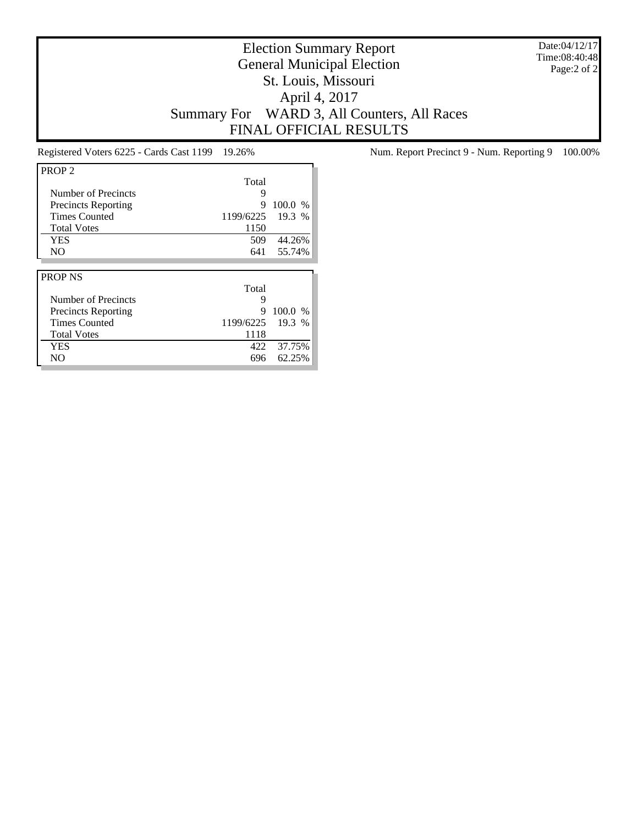Date:04/12/17 Time:08:40:48 Page:2 of 2

# Election Summary Report General Municipal Election St. Louis, Missouri April 4, 2017 Summary For WARD 3, All Counters, All Races FINAL OFFICIAL RESULTS

| PROP <sub>2</sub>          |           |         |
|----------------------------|-----------|---------|
|                            | Total     |         |
| Number of Precincts        | 9         |         |
| <b>Precincts Reporting</b> | 9         | 100.0 % |
| <b>Times Counted</b>       | 1199/6225 | 19.3 %  |
| <b>Total Votes</b>         | 1150      |         |
| <b>YES</b>                 | 509       | 44.26%  |
| N <sub>O</sub>             | 641       | 55.74%  |
|                            |           |         |
|                            |           |         |
| <b>PROP NS</b>             |           |         |
|                            | Total     |         |
| Number of Precincts        | 9         |         |
| <b>Precincts Reporting</b> | 9         | 100.0 % |
| <b>Times Counted</b>       | 1199/6225 | 19.3 %  |
| <b>Total Votes</b>         | 1118      |         |
| <b>YES</b>                 | 422       | 37.75%  |

Registered Voters 6225 - Cards Cast 1199 19.26% Num. Report Precinct 9 - Num. Reporting 9 100.00%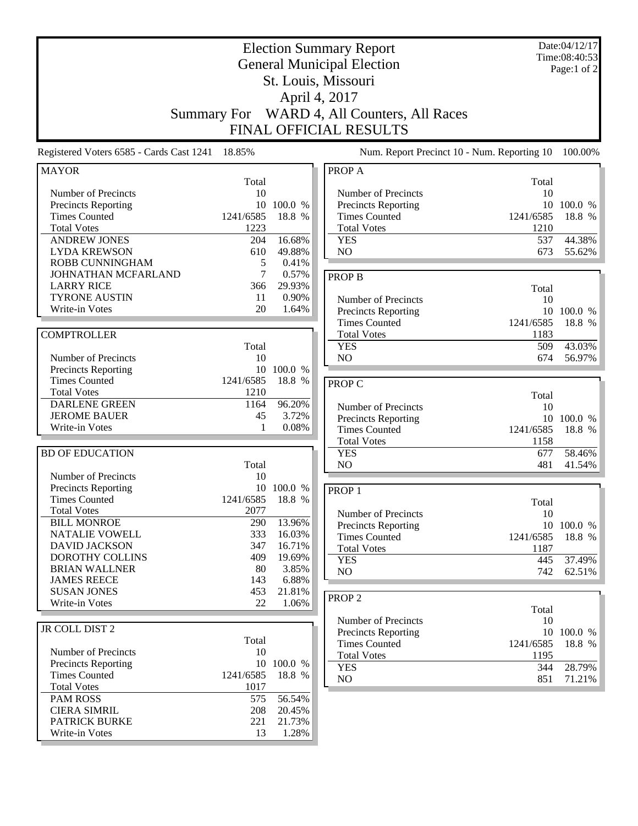| <b>Election Summary Report</b><br><b>General Municipal Election</b><br>St. Louis, Missouri<br>April 4, 2017<br>WARD 4, All Counters, All Races<br><b>Summary For</b><br>FINAL OFFICIAL RESULTS |                                               |                                              | Date:04/12/17<br>Time:08:40:53<br>Page:1 of 2                                                                    |                                               |                             |
|------------------------------------------------------------------------------------------------------------------------------------------------------------------------------------------------|-----------------------------------------------|----------------------------------------------|------------------------------------------------------------------------------------------------------------------|-----------------------------------------------|-----------------------------|
| Registered Voters 6585 - Cards Cast 1241                                                                                                                                                       | 18.85%                                        |                                              | Num. Report Precinct 10 - Num. Reporting 10                                                                      |                                               | 100.00%                     |
| <b>MAYOR</b>                                                                                                                                                                                   |                                               |                                              | PROP A                                                                                                           |                                               |                             |
| Number of Precincts<br>Precincts Reporting<br><b>Times Counted</b><br><b>Total Votes</b><br><b>ANDREW JONES</b>                                                                                | Total<br>10<br>10<br>1241/6585<br>1223<br>204 | 100.0 %<br>18.8 %<br>16.68%                  | Number of Precincts<br><b>Precincts Reporting</b><br><b>Times Counted</b><br><b>Total Votes</b><br><b>YES</b>    | Total<br>10<br>10<br>1241/6585<br>1210<br>537 | 100.0 %<br>18.8 %<br>44.38% |
| <b>LYDA KREWSON</b><br><b>ROBB CUNNINGHAM</b>                                                                                                                                                  | 610<br>5                                      | 49.88%<br>0.41%                              | NO                                                                                                               | 673                                           | 55.62%                      |
| JOHNATHAN MCFARLAND<br><b>LARRY RICE</b><br><b>TYRONE AUSTIN</b><br>Write-in Votes                                                                                                             | 7<br>366<br>11<br>20                          | 0.57%<br>29.93%<br>0.90%<br>1.64%            | <b>PROP B</b><br>Number of Precincts<br>Precincts Reporting                                                      | Total<br>10<br>10                             | 100.0 %                     |
| <b>COMPTROLLER</b>                                                                                                                                                                             |                                               |                                              | <b>Times Counted</b><br><b>Total Votes</b>                                                                       | 1241/6585<br>1183                             | 18.8 %                      |
| Number of Precincts<br>Precincts Reporting                                                                                                                                                     | Total<br>10                                   | 10 100.0 %                                   | <b>YES</b><br>NO                                                                                                 | 509<br>674                                    | 43.03%<br>56.97%            |
| <b>Times Counted</b><br><b>Total Votes</b><br><b>DARLENE GREEN</b><br><b>JEROME BAUER</b><br>Write-in Votes                                                                                    | 1241/6585<br>1210<br>1164<br>45<br>1          | 18.8 %<br>96.20%<br>3.72%<br>0.08%           | <b>PROP C</b><br>Number of Precincts<br><b>Precincts Reporting</b><br><b>Times Counted</b><br><b>Total Votes</b> | Total<br>10<br>1241/6585<br>1158              | 10 100.0 %<br>18.8 %        |
| <b>BD OF EDUCATION</b>                                                                                                                                                                         | Total                                         |                                              | <b>YES</b><br>N <sub>O</sub>                                                                                     | 677<br>481                                    | 58.46%<br>41.54%            |
| Number of Precincts<br>Precincts Reporting<br><b>Times Counted</b><br><b>Total Votes</b><br><b>BILL MONROE</b><br><b>NATALIE VOWELL</b>                                                        | 10<br>10<br>1241/6585<br>2077<br>290<br>333   | 100.0 %<br>18.8 %<br>13.96%<br>16.03%        | PROP <sub>1</sub><br>Number of Precincts<br>Precincts Reporting<br><b>Times Counted</b>                          | Total<br>10<br>1241/6585                      | 10 100.0 %<br>18.8 %        |
| <b>DAVID JACKSON</b><br><b>DOROTHY COLLINS</b><br><b>BRIAN WALLNER</b><br><b>JAMES REECE</b><br><b>SUSAN JONES</b>                                                                             | 347<br>409<br>80<br>143<br>453                | 16.71%<br>19.69%<br>3.85%<br>6.88%<br>21.81% | <b>Total Votes</b><br><b>YES</b><br>NO                                                                           | 1187<br>445<br>742                            | 37.49%<br>62.51%            |
| Write-in Votes                                                                                                                                                                                 | 22                                            | 1.06%                                        | PROP <sub>2</sub>                                                                                                | Total                                         |                             |
| JR COLL DIST 2<br>Number of Precincts<br><b>Precincts Reporting</b>                                                                                                                            | Total<br>10                                   | 10 100.0 %                                   | Number of Precincts<br>Precincts Reporting<br><b>Times Counted</b><br><b>Total Votes</b>                         | 10<br>1241/6585<br>1195                       | 10 100.0 %<br>18.8 %        |
| <b>Times Counted</b><br><b>Total Votes</b>                                                                                                                                                     | 1241/6585<br>1017                             | 18.8 %                                       | <b>YES</b><br>NO                                                                                                 | 344<br>851                                    | 28.79%<br>71.21%            |
| <b>PAM ROSS</b><br><b>CIERA SIMRIL</b><br><b>PATRICK BURKE</b><br>Write-in Votes                                                                                                               | 575<br>208<br>221<br>13                       | 56.54%<br>20.45%<br>21.73%<br>1.28%          |                                                                                                                  |                                               |                             |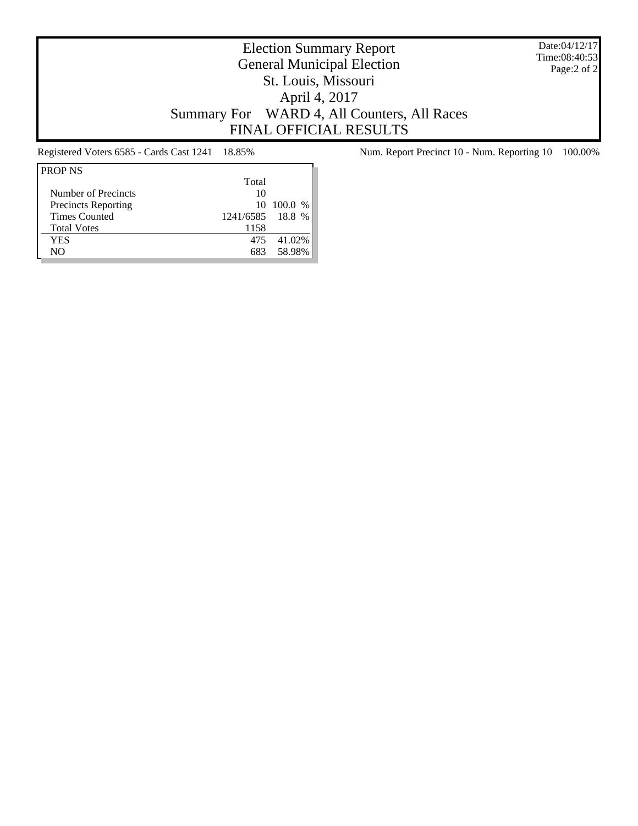Date:04/12/17 Time:08:40:53 Page:2 of 2

# Election Summary Report General Municipal Election St. Louis, Missouri April 4, 2017 Summary For WARD 4, All Counters, All Races FINAL OFFICIAL RESULTS

| <b>PROP NS</b>             |                  |            |
|----------------------------|------------------|------------|
|                            | Total            |            |
| Number of Precincts        | 10               |            |
| <b>Precincts Reporting</b> |                  | 10 100.0 % |
| <b>Times Counted</b>       | 1241/6585 18.8 % |            |
| <b>Total Votes</b>         | 1158             |            |
| YES                        | 475              | 41.02%     |
| NΟ                         | 683              | 58.98%     |

Registered Voters 6585 - Cards Cast 1241 18.85% Num. Report Precinct 10 - Num. Reporting 10 100.00%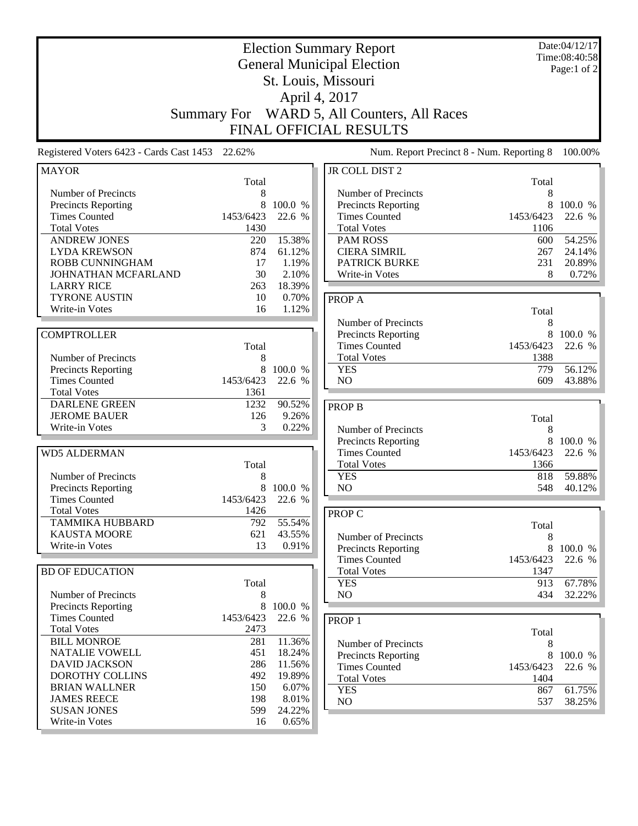| <b>Election Summary Report</b><br><b>General Municipal Election</b><br>St. Louis, Missouri<br>April 4, 2017 |           |         |                                                           | Date:04/12/17<br>Time:08:40:58<br>Page:1 of 2 |                   |
|-------------------------------------------------------------------------------------------------------------|-----------|---------|-----------------------------------------------------------|-----------------------------------------------|-------------------|
| <b>Summary For</b>                                                                                          |           |         | WARD 5, All Counters, All Races<br>FINAL OFFICIAL RESULTS |                                               |                   |
| Registered Voters 6423 - Cards Cast 1453                                                                    | 22.62%    |         | Num. Report Precinct 8 - Num. Reporting 8                 |                                               | 100.00%           |
| <b>MAYOR</b>                                                                                                | Total     |         | JR COLL DIST 2                                            | Total                                         |                   |
| Number of Precincts                                                                                         | 8         |         | Number of Precincts                                       | 8                                             |                   |
| Precincts Reporting                                                                                         | 8         | 100.0 % | <b>Precincts Reporting</b>                                | 8                                             | 100.0 %           |
| <b>Times Counted</b>                                                                                        | 1453/6423 | 22.6 %  | <b>Times Counted</b>                                      | 1453/6423                                     | 22.6 %            |
| <b>Total Votes</b>                                                                                          | 1430      |         | <b>Total Votes</b>                                        | 1106                                          |                   |
| <b>ANDREW JONES</b>                                                                                         | 220       | 15.38%  | <b>PAM ROSS</b>                                           | 600                                           | 54.25%            |
| <b>LYDA KREWSON</b>                                                                                         | 874       | 61.12%  | <b>CIERA SIMRIL</b>                                       | 267                                           | 24.14%            |
| ROBB CUNNINGHAM                                                                                             | 17        | 1.19%   | <b>PATRICK BURKE</b>                                      | 231                                           | 20.89%            |
| JOHNATHAN MCFARLAND                                                                                         | 30        | 2.10%   | Write-in Votes                                            | 8                                             | 0.72%             |
| <b>LARRY RICE</b>                                                                                           | 263       | 18.39%  |                                                           |                                               |                   |
| <b>TYRONE AUSTIN</b><br>Write-in Votes                                                                      | 10<br>16  | 0.70%   | <b>PROPA</b>                                              |                                               |                   |
|                                                                                                             |           | 1.12%   |                                                           | Total                                         |                   |
|                                                                                                             |           |         | Number of Precincts                                       | 8                                             |                   |
| <b>COMPTROLLER</b>                                                                                          |           |         | <b>Precincts Reporting</b><br><b>Times Counted</b>        | 8<br>1453/6423                                | 100.0 %<br>22.6 % |
|                                                                                                             | Total     |         | <b>Total Votes</b>                                        | 1388                                          |                   |
| Number of Precincts                                                                                         | 8<br>8    | 100.0 % | <b>YES</b>                                                | 779                                           | 56.12%            |
| Precincts Reporting<br><b>Times Counted</b>                                                                 | 1453/6423 | 22.6 %  | NO                                                        | 609                                           | 43.88%            |
| <b>Total Votes</b>                                                                                          | 1361      |         |                                                           |                                               |                   |
| <b>DARLENE GREEN</b>                                                                                        | 1232      | 90.52%  |                                                           |                                               |                   |
| <b>JEROME BAUER</b>                                                                                         | 126       | 9.26%   | <b>PROP B</b>                                             |                                               |                   |
| Write-in Votes                                                                                              | 3         | 0.22%   | Number of Precincts                                       | Total<br>8                                    |                   |
|                                                                                                             |           |         | <b>Precincts Reporting</b>                                | 8                                             | 100.0 %           |
| <b>WD5 ALDERMAN</b>                                                                                         |           |         | <b>Times Counted</b>                                      | 1453/6423                                     | 22.6 %            |
|                                                                                                             | Total     |         | <b>Total Votes</b>                                        | 1366                                          |                   |
| Number of Precincts                                                                                         | 8         |         | <b>YES</b>                                                | 818                                           | 59.88%            |
| Precincts Reporting                                                                                         | 8         | 100.0 % | NO                                                        | 548                                           | 40.12%            |
| <b>Times Counted</b>                                                                                        | 1453/6423 | 22.6 %  |                                                           |                                               |                   |
| <b>Total Votes</b>                                                                                          | 1426      |         | <b>PROP C</b>                                             |                                               |                   |
| <b>TAMMIKA HUBBARD</b>                                                                                      | 792       | 55.54%  |                                                           | Total                                         |                   |
| <b>KAUSTA MOORE</b>                                                                                         | 621       | 43.55%  | Number of Precincts                                       | 8                                             |                   |
| Write-in Votes                                                                                              | 13        | 0.91%   | Precincts Reporting                                       |                                               | 8 100.0 %         |
|                                                                                                             |           |         | <b>Times Counted</b>                                      | 1453/6423                                     | 22.6 %            |
| <b>BD OF EDUCATION</b>                                                                                      |           |         | <b>Total Votes</b>                                        | 1347                                          |                   |
|                                                                                                             | Total     |         | <b>YES</b>                                                | 913                                           | 67.78%            |
| Number of Precincts                                                                                         | 8         |         | NO                                                        | 434                                           | 32.22%            |
| Precincts Reporting                                                                                         | $\,8\,$   | 100.0 % |                                                           |                                               |                   |
| <b>Times Counted</b>                                                                                        | 1453/6423 | 22.6 %  | PROP <sub>1</sub>                                         |                                               |                   |
| <b>Total Votes</b>                                                                                          | 2473      |         |                                                           | Total                                         |                   |
| <b>BILL MONROE</b>                                                                                          | 281       | 11.36%  | Number of Precincts                                       | 8                                             |                   |
| <b>NATALIE VOWELL</b>                                                                                       | 451       | 18.24%  | Precincts Reporting                                       | 8                                             | 100.0 %           |
| <b>DAVID JACKSON</b>                                                                                        | 286       | 11.56%  | <b>Times Counted</b>                                      | 1453/6423                                     | 22.6 %            |
| <b>DOROTHY COLLINS</b>                                                                                      | 492       | 19.89%  | <b>Total Votes</b>                                        | 1404                                          |                   |
| <b>BRIAN WALLNER</b>                                                                                        | 150       | 6.07%   | <b>YES</b>                                                | 867                                           | 61.75%            |
| <b>JAMES REECE</b>                                                                                          | 198       | 8.01%   | NO                                                        | 537                                           | 38.25%            |
| <b>SUSAN JONES</b>                                                                                          | 599       | 24.22%  |                                                           |                                               |                   |
| Write-in Votes                                                                                              | 16        | 0.65%   |                                                           |                                               |                   |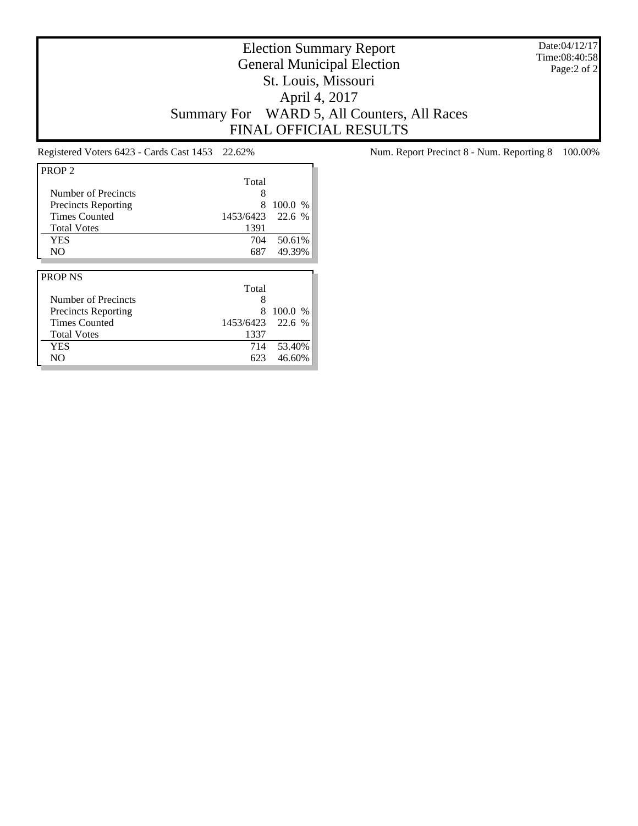Date:04/12/17 Time:08:40:58 Page:2 of 2

# Election Summary Report General Municipal Election St. Louis, Missouri April 4, 2017 Summary For WARD 5, All Counters, All Races FINAL OFFICIAL RESULTS

| PROP <sub>2</sub>          |           |         |
|----------------------------|-----------|---------|
|                            | Total     |         |
| Number of Precincts        | 8         |         |
| <b>Precincts Reporting</b> | 8         | 100.0 % |
| <b>Times Counted</b>       | 1453/6423 | 22.6 %  |
| <b>Total Votes</b>         | 1391      |         |
| <b>YES</b>                 | 704       | 50.61%  |
| NO.                        | 687       | 49.39%  |
|                            |           |         |
|                            |           |         |
| <b>PROP NS</b>             |           |         |
|                            | Total     |         |
| Number of Precincts        | 8         |         |
| <b>Precincts Reporting</b> | 8         | 100.0 % |
| <b>Times Counted</b>       | 1453/6423 | 22.6 %  |
| <b>Total Votes</b>         | 1337      |         |
| <b>YES</b>                 | 714       | 53.40%  |

Registered Voters 6423 - Cards Cast 1453 22.62% Num. Report Precinct 8 - Num. Reporting 8 100.00%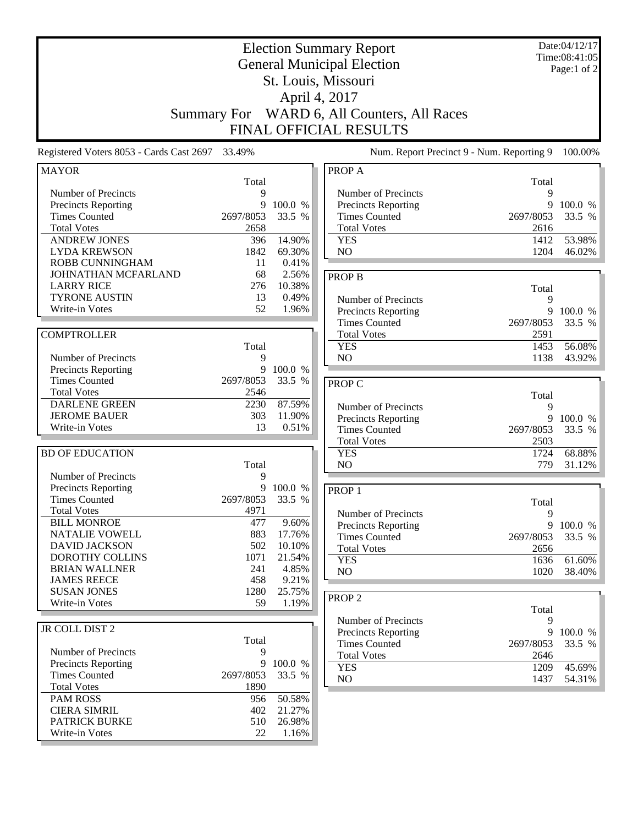| <b>Election Summary Report</b><br><b>General Municipal Election</b> |                    |                 |                                           | Date:04/12/17<br>Time:08:41:05<br>Page:1 of 2 |         |
|---------------------------------------------------------------------|--------------------|-----------------|-------------------------------------------|-----------------------------------------------|---------|
|                                                                     |                    |                 | St. Louis, Missouri                       |                                               |         |
|                                                                     |                    |                 | April 4, 2017                             |                                               |         |
|                                                                     |                    |                 |                                           |                                               |         |
|                                                                     | <b>Summary For</b> |                 | WARD 6, All Counters, All Races           |                                               |         |
|                                                                     |                    |                 | FINAL OFFICIAL RESULTS                    |                                               |         |
| Registered Voters 8053 - Cards Cast 2697 33.49%                     |                    |                 | Num. Report Precinct 9 - Num. Reporting 9 |                                               | 100.00% |
| <b>MAYOR</b>                                                        | Total              |                 | PROP A                                    | Total                                         |         |
| Number of Precincts                                                 | 9                  |                 | Number of Precincts                       | 9                                             |         |
| <b>Precincts Reporting</b>                                          | 9                  | 100.0 %         | Precincts Reporting                       | 9                                             | 100.0 % |
| <b>Times Counted</b>                                                | 2697/8053          | 33.5 %          | <b>Times Counted</b>                      | 2697/8053                                     | 33.5 %  |
| <b>Total Votes</b>                                                  | 2658               |                 | <b>Total Votes</b>                        | 2616                                          |         |
| <b>ANDREW JONES</b>                                                 | 396                | 14.90%          | <b>YES</b>                                | 1412                                          | 53.98%  |
| <b>LYDA KREWSON</b>                                                 | 1842               | 69.30%          | NO                                        | 1204                                          | 46.02%  |
| ROBB CUNNINGHAM                                                     | 11                 | 0.41%           |                                           |                                               |         |
| JOHNATHAN MCFARLAND                                                 | 68                 | 2.56%           | <b>PROP B</b>                             |                                               |         |
| <b>LARRY RICE</b>                                                   | 276                | 10.38%          |                                           | Total                                         |         |
| <b>TYRONE AUSTIN</b>                                                | 13                 | 0.49%           | Number of Precincts                       | 9                                             |         |
| Write-in Votes                                                      | 52                 | 1.96%           | <b>Precincts Reporting</b>                | 9                                             | 100.0 % |
|                                                                     |                    |                 | <b>Times Counted</b>                      | 2697/8053                                     | 33.5 %  |
| <b>COMPTROLLER</b>                                                  |                    |                 | <b>Total Votes</b>                        | 2591                                          |         |
|                                                                     | Total              |                 | <b>YES</b>                                | 1453                                          | 56.08%  |
| Number of Precincts                                                 | 9                  |                 | NO                                        | 1138                                          | 43.92%  |
| <b>Precincts Reporting</b>                                          | 9                  | 100.0 %         |                                           |                                               |         |
| <b>Times Counted</b>                                                | 2697/8053          | 33.5 %          | <b>PROP C</b>                             |                                               |         |
| <b>Total Votes</b>                                                  | 2546               |                 |                                           | Total                                         |         |
| <b>DARLENE GREEN</b>                                                | 2230               | 87.59%          | Number of Precincts                       | 9                                             |         |
| <b>JEROME BAUER</b>                                                 | 303                | 11.90%          | Precincts Reporting                       | 9                                             | 100.0 % |
| Write-in Votes                                                      | 13                 | 0.51%           | <b>Times Counted</b>                      | 2697/8053                                     | 33.5 %  |
|                                                                     |                    |                 | <b>Total Votes</b>                        | 2503                                          |         |
| <b>BD OF EDUCATION</b>                                              |                    |                 | <b>YES</b>                                | 1724                                          | 68.88%  |
|                                                                     | Total              |                 | N <sub>O</sub>                            | 779                                           | 31.12%  |
| Number of Precincts                                                 | 9                  |                 |                                           |                                               |         |
| Precincts Reporting                                                 | 9                  | 100.0 %         | PROP <sub>1</sub>                         |                                               |         |
| <b>Times Counted</b>                                                | 2697/8053          | 33.5 %          |                                           | Total                                         |         |
| <b>Total Votes</b>                                                  | 4971               |                 | Number of Precincts                       | 9                                             |         |
| <b>BILL MONROE</b>                                                  | 477                | 9.60%           | <b>Precincts Reporting</b>                | 9                                             | 100.0 % |
| NATALIE VOWELL                                                      | 883                | 17.76%          | <b>Times Counted</b>                      | 2697/8053                                     | 33.5 %  |
| <b>DAVID JACKSON</b><br>DOROTHY COLLINS                             | 502                | 10.10%          | <b>Total Votes</b>                        | 2656                                          |         |
| <b>BRIAN WALLNER</b>                                                | 1071<br>241        | 21.54%<br>4.85% | <b>YES</b>                                | 1636                                          | 61.60%  |
| <b>JAMES REECE</b>                                                  | 458                | 9.21%           | N <sub>O</sub>                            | 1020                                          | 38.40%  |
| <b>SUSAN JONES</b>                                                  | 1280               | 25.75%          |                                           |                                               |         |
| Write-in Votes                                                      | 59                 | 1.19%           | PROP <sub>2</sub>                         |                                               |         |
|                                                                     |                    |                 |                                           | Total                                         |         |
|                                                                     |                    |                 | Number of Precincts                       | 9                                             |         |
| JR COLL DIST 2                                                      |                    |                 | Precincts Reporting                       | 9                                             | 100.0 % |
|                                                                     | Total<br>9         |                 | <b>Times Counted</b>                      | 2697/8053                                     | 33.5 %  |
| Number of Precincts<br><b>Precincts Reporting</b>                   | 9                  | 100.0 %         | <b>Total Votes</b>                        | 2646                                          |         |
| <b>Times Counted</b>                                                | 2697/8053          | 33.5 %          | <b>YES</b>                                | 1209                                          | 45.69%  |
| <b>Total Votes</b>                                                  | 1890               |                 | NO                                        | 1437                                          | 54.31%  |
| <b>PAM ROSS</b>                                                     | 956                | 50.58%          |                                           |                                               |         |
| <b>CIERA SIMRIL</b>                                                 | 402                | 21.27%          |                                           |                                               |         |
| PATRICK BURKE                                                       | 510                | 26.98%          |                                           |                                               |         |
| Write-in Votes                                                      | 22                 | 1.16%           |                                           |                                               |         |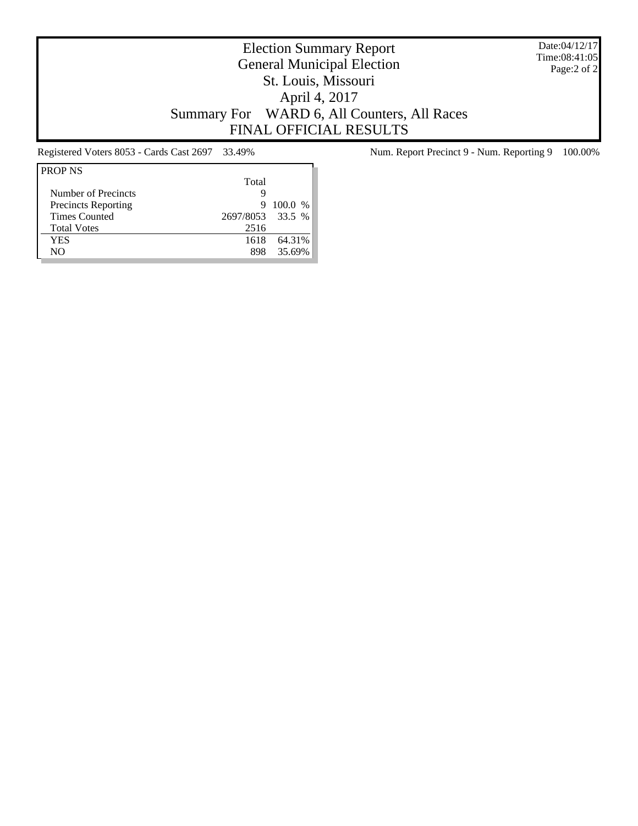Date:04/12/17 Time:08:41:05 Page:2 of 2

# Election Summary Report General Municipal Election St. Louis, Missouri April 4, 2017 Summary For WARD 6, All Counters, All Races FINAL OFFICIAL RESULTS

| <b>PROP NS</b>             |                  |         |
|----------------------------|------------------|---------|
|                            | Total            |         |
| Number of Precincts        | g                |         |
| <b>Precincts Reporting</b> | 9                | 100.0 % |
| <b>Times Counted</b>       | 2697/8053 33.5 % |         |
| <b>Total Votes</b>         | 2516             |         |
| YES                        | 1618             | 64.31%  |
| NΟ                         | 898              | 35.69%  |

Registered Voters 8053 - Cards Cast 2697 33.49% Num. Report Precinct 9 - Num. Reporting 9 100.00%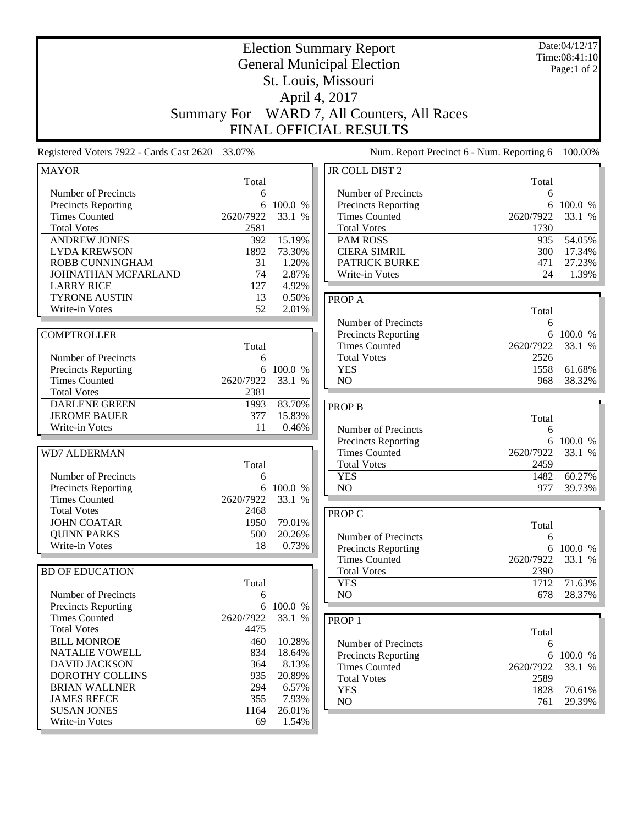|                                                    |                    |         | <b>Election Summary Report</b><br><b>General Municipal Election</b> |             | Date:04/12/17<br>Time:08:41:10 |
|----------------------------------------------------|--------------------|---------|---------------------------------------------------------------------|-------------|--------------------------------|
|                                                    |                    |         |                                                                     |             | Page:1 of 2                    |
|                                                    |                    |         | St. Louis, Missouri                                                 |             |                                |
|                                                    |                    |         | April 4, 2017                                                       |             |                                |
|                                                    | <b>Summary For</b> |         | WARD 7, All Counters, All Races                                     |             |                                |
|                                                    |                    |         |                                                                     |             |                                |
|                                                    |                    |         | FINAL OFFICIAL RESULTS                                              |             |                                |
| Registered Voters 7922 - Cards Cast 2620 33.07%    |                    |         | Num. Report Precinct 6 - Num. Reporting 6                           |             | 100.00%                        |
| <b>MAYOR</b>                                       |                    |         | JR COLL DIST 2                                                      |             |                                |
| Number of Precincts                                | Total              |         | Number of Precincts                                                 | Total       |                                |
| <b>Precincts Reporting</b>                         | 6<br>6             | 100.0 % | Precincts Reporting                                                 | 6<br>6      | 100.0 %                        |
| <b>Times Counted</b>                               | 2620/7922          | 33.1 %  | <b>Times Counted</b>                                                | 2620/7922   | 33.1 %                         |
| <b>Total Votes</b>                                 | 2581               |         | <b>Total Votes</b>                                                  | 1730        |                                |
| <b>ANDREW JONES</b>                                | 392                | 15.19%  | <b>PAM ROSS</b>                                                     | 935         | 54.05%                         |
| <b>LYDA KREWSON</b>                                | 1892               | 73.30%  | <b>CIERA SIMRIL</b>                                                 | 300         | 17.34%                         |
| <b>ROBB CUNNINGHAM</b>                             | 31                 | 1.20%   | <b>PATRICK BURKE</b>                                                | 471         | 27.23%                         |
| JOHNATHAN MCFARLAND                                | 74                 | 2.87%   | Write-in Votes                                                      | 24          | 1.39%                          |
| <b>LARRY RICE</b>                                  | 127                | 4.92%   |                                                                     |             |                                |
| <b>TYRONE AUSTIN</b>                               | 13                 | 0.50%   | <b>PROP A</b>                                                       |             |                                |
| Write-in Votes                                     | 52                 | 2.01%   |                                                                     | Total       |                                |
|                                                    |                    |         | Number of Precincts                                                 | 6           |                                |
| <b>COMPTROLLER</b>                                 |                    |         | Precincts Reporting                                                 | 6           | 100.0 %                        |
|                                                    | Total              |         | <b>Times Counted</b>                                                | 2620/7922   | 33.1 %                         |
| Number of Precincts                                | 6                  |         | <b>Total Votes</b>                                                  | 2526        |                                |
| <b>Precincts Reporting</b>                         | 6                  | 100.0 % | <b>YES</b>                                                          | 1558        | 61.68%                         |
| <b>Times Counted</b>                               | 2620/7922          | 33.1 %  | NO                                                                  | 968         | 38.32%                         |
| <b>Total Votes</b>                                 | 2381               |         |                                                                     |             |                                |
| <b>DARLENE GREEN</b>                               | 1993               | 83.70%  | <b>PROP B</b>                                                       |             |                                |
| <b>JEROME BAUER</b>                                | 377                | 15.83%  |                                                                     | Total       |                                |
| Write-in Votes                                     | 11                 | 0.46%   | Number of Precincts                                                 | 6           |                                |
|                                                    |                    |         | <b>Precincts Reporting</b>                                          | 6           | 100.0 %                        |
| <b>WD7 ALDERMAN</b>                                |                    |         | <b>Times Counted</b>                                                | 2620/7922   | 33.1 %                         |
|                                                    | Total              |         | <b>Total Votes</b>                                                  | 2459        |                                |
| Number of Precincts                                | 6                  | 100.0 % | <b>YES</b><br>NO                                                    | 1482<br>977 | 60.27%<br>39.73%               |
| <b>Precincts Reporting</b><br><b>Times Counted</b> | 6<br>2620/7922     | 33.1 %  |                                                                     |             |                                |
| <b>Total Votes</b>                                 | 2468               |         |                                                                     |             |                                |
| <b>JOHN COATAR</b>                                 | 1950               | 79.01%  | PROP C                                                              |             |                                |
| <b>QUINN PARKS</b>                                 | 500                | 20.26%  |                                                                     | Total       |                                |
| Write-in Votes                                     | 18                 | 0.73%   | Number of Precincts<br><b>Precincts Reporting</b>                   | 6           | 6 100.0 %                      |
|                                                    |                    |         | <b>Times Counted</b>                                                | 2620/7922   | 33.1 %                         |
| <b>BD OF EDUCATION</b>                             |                    |         | <b>Total Votes</b>                                                  | 2390        |                                |
|                                                    | Total              |         | <b>YES</b>                                                          | 1712        | 71.63%                         |
| Number of Precincts                                | 6                  |         | NO                                                                  | 678         | 28.37%                         |
| <b>Precincts Reporting</b>                         | 6                  | 100.0 % |                                                                     |             |                                |
| <b>Times Counted</b>                               | 2620/7922          | 33.1 %  | PROP <sub>1</sub>                                                   |             |                                |
| <b>Total Votes</b>                                 | 4475               |         |                                                                     | Total       |                                |
| <b>BILL MONROE</b>                                 | 460                | 10.28%  | Number of Precincts                                                 | 6           |                                |
| <b>NATALIE VOWELL</b>                              | 834                | 18.64%  | Precincts Reporting                                                 | 6           | 100.0 %                        |
| <b>DAVID JACKSON</b>                               | 364                | 8.13%   | <b>Times Counted</b>                                                | 2620/7922   | 33.1 %                         |
| <b>DOROTHY COLLINS</b>                             | 935                | 20.89%  | <b>Total Votes</b>                                                  | 2589        |                                |
| <b>BRIAN WALLNER</b>                               | 294                | 6.57%   | <b>YES</b>                                                          | 1828        | 70.61%                         |
| <b>JAMES REECE</b>                                 | 355                | 7.93%   | NO                                                                  | 761         | 29.39%                         |
| <b>SUSAN JONES</b>                                 | 1164               | 26.01%  |                                                                     |             |                                |
| Write-in Votes                                     | 69                 | 1.54%   |                                                                     |             |                                |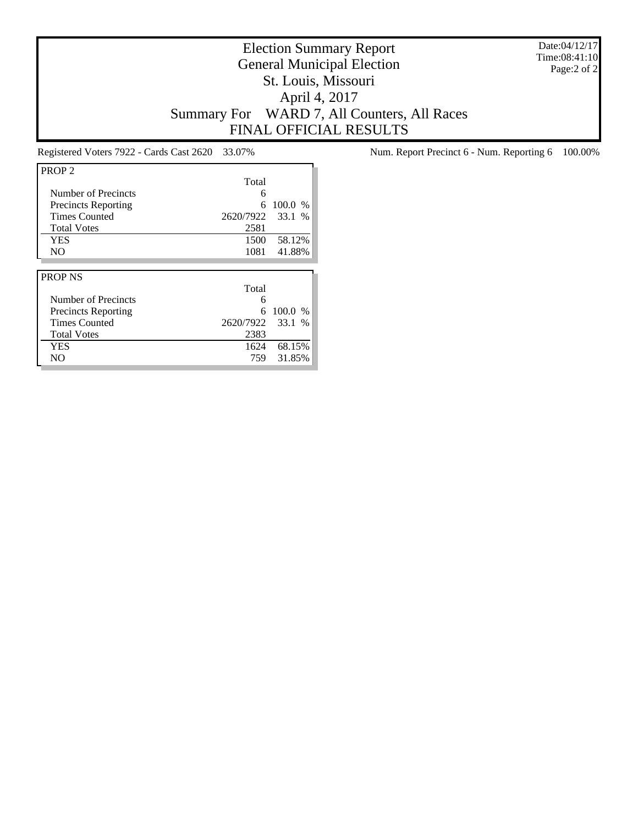Date:04/12/17 Time:08:41:10 Page:2 of 2

# Election Summary Report General Municipal Election St. Louis, Missouri April 4, 2017 Summary For WARD 7, All Counters, All Races FINAL OFFICIAL RESULTS

| PROP <sub>2</sub>          |           |         |
|----------------------------|-----------|---------|
|                            | Total     |         |
| Number of Precincts        | 6         |         |
| <b>Precincts Reporting</b> | 6         | 100.0 % |
| <b>Times Counted</b>       | 2620/7922 | 33.1 %  |
| <b>Total Votes</b>         | 2581      |         |
| <b>YES</b>                 | 1500      | 58.12%  |
| NO.                        | 1081      | 41.88%  |
|                            |           |         |
|                            |           |         |
| <b>PROP NS</b>             |           |         |
|                            | Total     |         |
| Number of Precincts        | 6         |         |
| Precincts Reporting        | 6         | 100.0 % |
| <b>Times Counted</b>       | 2620/7922 | 33.1 %  |
| <b>Total Votes</b>         | 2383      |         |
| <b>YES</b>                 | 1624      | 68.15%  |

Registered Voters 7922 - Cards Cast 2620 33.07% Num. Report Precinct 6 - Num. Reporting 6 100.00%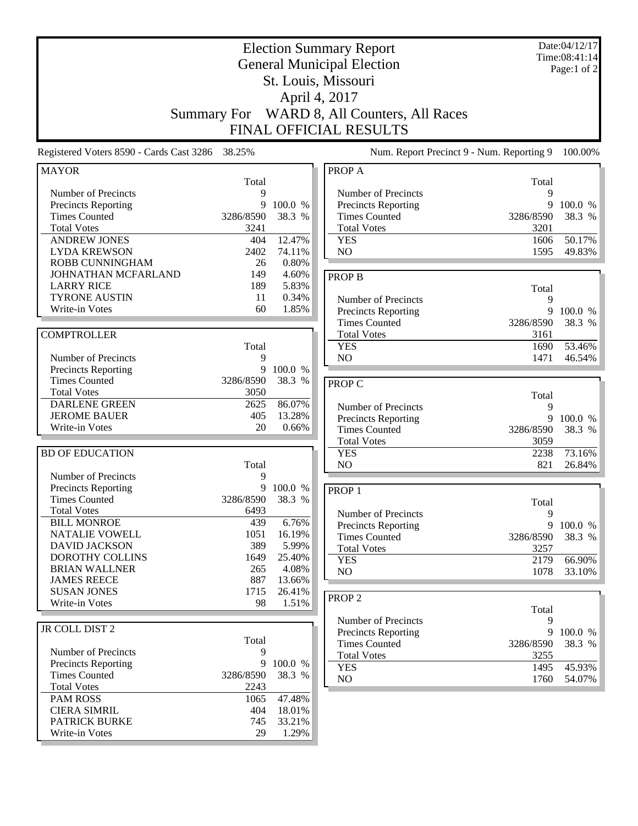|                                                                                                                        |                                    |                                     | <b>Election Summary Report</b><br><b>General Municipal Election</b><br>St. Louis, Missouri<br>April 4, 2017 |                                     | Date:04/12/17<br>Time:08:41:14<br>Page:1 of 2 |
|------------------------------------------------------------------------------------------------------------------------|------------------------------------|-------------------------------------|-------------------------------------------------------------------------------------------------------------|-------------------------------------|-----------------------------------------------|
|                                                                                                                        | <b>Summary For</b>                 |                                     | WARD 8, All Counters, All Races<br>FINAL OFFICIAL RESULTS                                                   |                                     |                                               |
| Registered Voters 8590 - Cards Cast 3286 38.25%                                                                        |                                    |                                     | Num. Report Precinct 9 - Num. Reporting 9                                                                   |                                     | 100.00%                                       |
| <b>MAYOR</b>                                                                                                           | Total                              |                                     | PROP A                                                                                                      | Total                               |                                               |
| Number of Precincts<br><b>Precincts Reporting</b><br><b>Times Counted</b><br><b>Total Votes</b><br><b>ANDREW JONES</b> | 9<br>9<br>3286/8590<br>3241<br>404 | 100.0 %<br>38.3 %<br>12.47%         | Number of Precincts<br>Precincts Reporting<br><b>Times Counted</b><br><b>Total Votes</b><br><b>YES</b>      | 9<br>9<br>3286/8590<br>3201<br>1606 | 100.0 %<br>38.3 %<br>50.17%                   |
| <b>LYDA KREWSON</b><br>ROBB CUNNINGHAM                                                                                 | 2402<br>26                         | 74.11%<br>0.80%                     | NO                                                                                                          | 1595                                | 49.83%                                        |
| JOHNATHAN MCFARLAND<br><b>LARRY RICE</b><br><b>TYRONE AUSTIN</b><br>Write-in Votes                                     | 149<br>189<br>11<br>60             | 4.60%<br>5.83%<br>0.34%<br>1.85%    | <b>PROP B</b><br>Number of Precincts<br><b>Precincts Reporting</b>                                          | Total<br>9<br>9                     | 100.0 %                                       |
| <b>COMPTROLLER</b>                                                                                                     | Total                              |                                     | <b>Times Counted</b><br><b>Total Votes</b><br><b>YES</b>                                                    | 3286/8590<br>3161<br>1690           | 38.3 %<br>53.46%                              |
| Number of Precincts<br><b>Precincts Reporting</b>                                                                      | 9<br>9                             | 100.0 %                             | NO                                                                                                          | 1471                                | 46.54%                                        |
| <b>Times Counted</b><br><b>Total Votes</b>                                                                             | 3286/8590<br>3050                  | 38.3 %                              | <b>PROP C</b>                                                                                               | Total                               |                                               |
| <b>DARLENE GREEN</b><br><b>JEROME BAUER</b><br>Write-in Votes                                                          | 2625<br>405<br>20                  | 86.07%<br>13.28%<br>0.66%           | Number of Precincts<br>Precincts Reporting<br><b>Times Counted</b>                                          | 9<br>9<br>3286/8590                 | 100.0 %<br>38.3 %                             |
| <b>BD OF EDUCATION</b>                                                                                                 | Total                              |                                     | <b>Total Votes</b><br><b>YES</b><br>N <sub>O</sub>                                                          | 3059<br>2238<br>821                 | 73.16%<br>26.84%                              |
| Number of Precincts<br>Precincts Reporting<br><b>Times Counted</b><br><b>Total Votes</b>                               | 9<br>9<br>3286/8590<br>6493        | 100.0 %<br>38.3 %                   | PROP <sub>1</sub>                                                                                           | Total                               |                                               |
| <b>BILL MONROE</b><br>NATALIE VOWELL<br><b>DAVID JACKSON</b>                                                           | 439<br>1051<br>389                 | 6.76%<br>16.19%<br>5.99%            | Number of Precincts<br><b>Precincts Reporting</b><br><b>Times Counted</b><br><b>Total Votes</b>             | 9<br>9<br>3286/8590<br>3257         | 100.0 %<br>38.3 %                             |
| DOROTHY COLLINS<br><b>BRIAN WALLNER</b><br><b>JAMES REECE</b><br><b>SUSAN JONES</b>                                    | 1649<br>265<br>887<br>1715         | 25.40%<br>4.08%<br>13.66%<br>26.41% | <b>YES</b><br>NO<br>PROP <sub>2</sub>                                                                       | 2179<br>1078                        | 66.90%<br>33.10%                              |
| Write-in Votes                                                                                                         | 98                                 | 1.51%                               | Number of Precincts                                                                                         | Total<br>9                          |                                               |
| JR COLL DIST 2<br>Number of Precincts                                                                                  | Total<br>9                         |                                     | Precincts Reporting<br><b>Times Counted</b><br><b>Total Votes</b>                                           | 9<br>3286/8590<br>3255              | 100.0 %<br>38.3 %                             |
| <b>Precincts Reporting</b><br><b>Times Counted</b><br><b>Total Votes</b>                                               | 9<br>3286/8590<br>2243             | 100.0 %<br>38.3 %                   | <b>YES</b><br>NO                                                                                            | 1495<br>1760                        | 45.93%<br>54.07%                              |
| <b>PAM ROSS</b><br><b>CIERA SIMRIL</b><br><b>PATRICK BURKE</b><br>Write-in Votes                                       | 1065<br>404<br>745<br>29           | 47.48%<br>18.01%<br>33.21%<br>1.29% |                                                                                                             |                                     |                                               |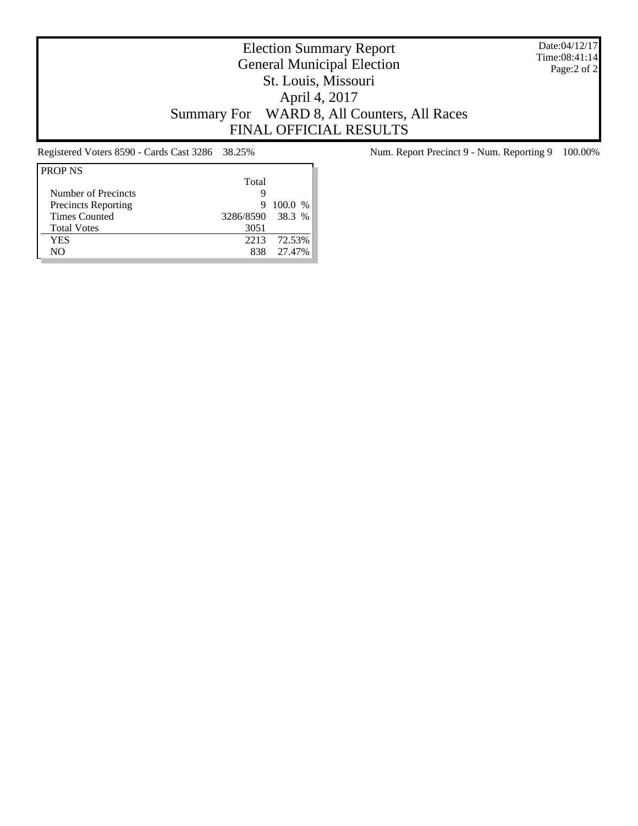Date:04/12/17 Time:08:41:14 Page:2 of 2

# Election Summary Report General Municipal Election St. Louis, Missouri April 4, 2017 Summary For WARD 8, All Counters, All Races FINAL OFFICIAL RESULTS

| <b>PROP NS</b>       |                  |           |
|----------------------|------------------|-----------|
|                      | Total            |           |
| Number of Precincts  |                  |           |
| Precincts Reporting  | 9                | $100.0\%$ |
| <b>Times Counted</b> | 3286/8590 38.3 % |           |
| <b>Total Votes</b>   | 3051             |           |
| YES                  | 2213             | 72.53%    |
| NΟ                   | 838              | 27.47%    |
|                      |                  |           |

Registered Voters 8590 - Cards Cast 3286 38.25% Num. Report Precinct 9 - Num. Reporting 9 100.00%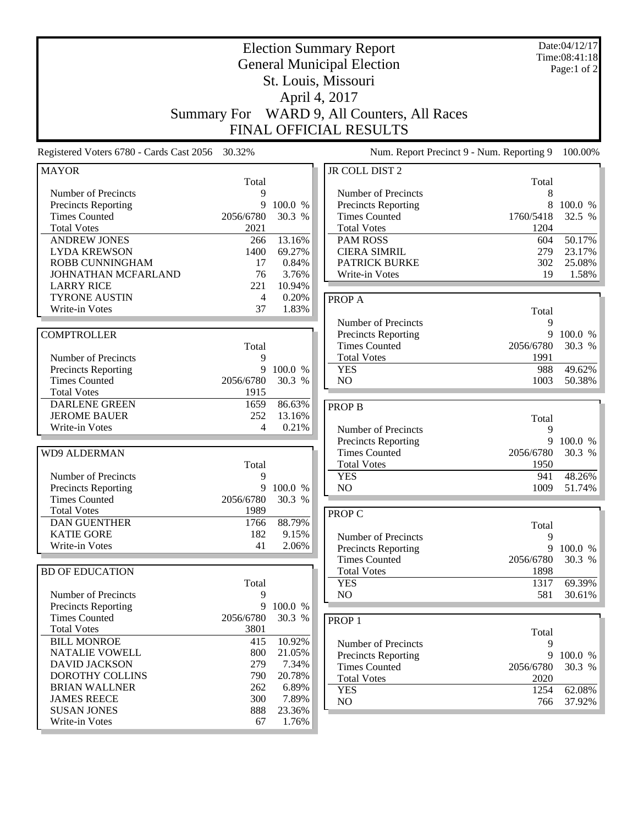|                                                    |                    |                   | <b>Election Summary Report</b><br><b>General Municipal Election</b> |             | Date:04/12/17<br>Time:08:41:18<br>Page:1 of 2 |
|----------------------------------------------------|--------------------|-------------------|---------------------------------------------------------------------|-------------|-----------------------------------------------|
|                                                    |                    |                   | St. Louis, Missouri                                                 |             |                                               |
|                                                    |                    |                   | April 4, 2017                                                       |             |                                               |
|                                                    | <b>Summary For</b> |                   | WARD 9, All Counters, All Races                                     |             |                                               |
|                                                    |                    |                   | <b>FINAL OFFICIAL RESULTS</b>                                       |             |                                               |
|                                                    |                    |                   |                                                                     |             |                                               |
| Registered Voters 6780 - Cards Cast 2056           | 30.32%             |                   | Num. Report Precinct 9 - Num. Reporting 9                           |             | 100.00%                                       |
| <b>MAYOR</b>                                       | Total              |                   | <b>JR COLL DIST 2</b>                                               | Total       |                                               |
| Number of Precincts                                | 9                  |                   | Number of Precincts                                                 | 8           |                                               |
| <b>Precincts Reporting</b>                         | 9                  | 100.0 %           | <b>Precincts Reporting</b>                                          | 8           | 100.0 %                                       |
| <b>Times Counted</b>                               | 2056/6780          | 30.3 %            | <b>Times Counted</b>                                                | 1760/5418   | 32.5 %                                        |
| <b>Total Votes</b>                                 | 2021               |                   | <b>Total Votes</b>                                                  | 1204        |                                               |
| <b>ANDREW JONES</b>                                | 266                | 13.16%            | <b>PAM ROSS</b>                                                     | 604         | 50.17%                                        |
| <b>LYDA KREWSON</b>                                | 1400               | 69.27%            | <b>CIERA SIMRIL</b>                                                 | 279         | 23.17%                                        |
| ROBB CUNNINGHAM                                    | 17                 | 0.84%             | <b>PATRICK BURKE</b>                                                | 302         | 25.08%                                        |
| JOHNATHAN MCFARLAND                                | 76                 | 3.76%             | Write-in Votes                                                      | 19          | 1.58%                                         |
| <b>LARRY RICE</b>                                  | 221                | 10.94%            |                                                                     |             |                                               |
| <b>TYRONE AUSTIN</b>                               | 4                  | 0.20%             | PROP A                                                              |             |                                               |
| Write-in Votes                                     | 37                 | 1.83%             |                                                                     | Total       |                                               |
|                                                    |                    |                   | Number of Precincts                                                 | 9           |                                               |
| <b>COMPTROLLER</b>                                 |                    |                   | <b>Precincts Reporting</b>                                          | 9           | 100.0 %                                       |
|                                                    | Total              |                   | <b>Times Counted</b>                                                | 2056/6780   | 30.3 %                                        |
| Number of Precincts                                | 9                  |                   | <b>Total Votes</b>                                                  | 1991        |                                               |
| <b>Precincts Reporting</b><br><b>Times Counted</b> | 9<br>2056/6780     | 100.0 %<br>30.3 % | <b>YES</b><br>NO                                                    | 988<br>1003 | 49.62%<br>50.38%                              |
| <b>Total Votes</b>                                 | 1915               |                   |                                                                     |             |                                               |
| <b>DARLENE GREEN</b>                               | 1659               | 86.63%            |                                                                     |             |                                               |
| <b>JEROME BAUER</b>                                | 252                | 13.16%            | <b>PROP B</b>                                                       |             |                                               |
| Write-in Votes                                     | 4                  | 0.21%             | Number of Precincts                                                 | Total<br>9  |                                               |
|                                                    |                    |                   | <b>Precincts Reporting</b>                                          | 9           | 100.0 %                                       |
| <b>WD9 ALDERMAN</b>                                |                    |                   | <b>Times Counted</b>                                                | 2056/6780   | 30.3 %                                        |
|                                                    | Total              |                   | <b>Total Votes</b>                                                  | 1950        |                                               |
| Number of Precincts                                | 9                  |                   | <b>YES</b>                                                          | 941         | 48.26%                                        |
| <b>Precincts Reporting</b>                         | 9                  | 100.0 %           | N <sub>O</sub>                                                      | 1009        | 51.74%                                        |
| <b>Times Counted</b>                               | 2056/6780          | 30.3 %            |                                                                     |             |                                               |
| <b>Total Votes</b>                                 | 1989               |                   | PROP C                                                              |             |                                               |
| <b>DAN GUENTHER</b>                                | 1766               | 88.79%            |                                                                     | Total       |                                               |
| <b>KATIE GORE</b>                                  | 182                | 9.15%             | Number of Precincts                                                 | 9           |                                               |
| Write-in Votes                                     | 41                 | 2.06%             | Precincts Reporting                                                 | 9           | 100.0 %                                       |
|                                                    |                    |                   | <b>Times Counted</b>                                                | 2056/6780   | 30.3 %                                        |
| <b>BD OF EDUCATION</b>                             |                    |                   | <b>Total Votes</b>                                                  | 1898        |                                               |
|                                                    | Total              |                   | <b>YES</b>                                                          | 1317        | 69.39%                                        |
| Number of Precincts                                | 9                  |                   | NO                                                                  | 581         | 30.61%                                        |
| Precincts Reporting                                | 9                  | 100.0 %           |                                                                     |             |                                               |
| <b>Times Counted</b>                               | 2056/6780          | 30.3 %            | PROP <sub>1</sub>                                                   |             |                                               |
| <b>Total Votes</b>                                 | 3801               |                   |                                                                     | Total       |                                               |
| <b>BILL MONROE</b>                                 | 415                | 10.92%            | Number of Precincts                                                 | 9           |                                               |
| NATALIE VOWELL                                     | 800                | 21.05%            | Precincts Reporting                                                 | 9           | 100.0 %                                       |
| <b>DAVID JACKSON</b>                               | 279                | 7.34%             | <b>Times Counted</b>                                                | 2056/6780   | 30.3 %                                        |
| DOROTHY COLLINS                                    | 790                | 20.78%            | <b>Total Votes</b>                                                  | 2020        |                                               |
| <b>BRIAN WALLNER</b>                               | 262                | 6.89%             | <b>YES</b>                                                          | 1254        | 62.08%                                        |
| <b>JAMES REECE</b>                                 | 300                | 7.89%             | NO                                                                  | 766         | 37.92%                                        |
| <b>SUSAN JONES</b>                                 | 888                | 23.36%            |                                                                     |             |                                               |
| Write-in Votes                                     | 67                 | 1.76%             |                                                                     |             |                                               |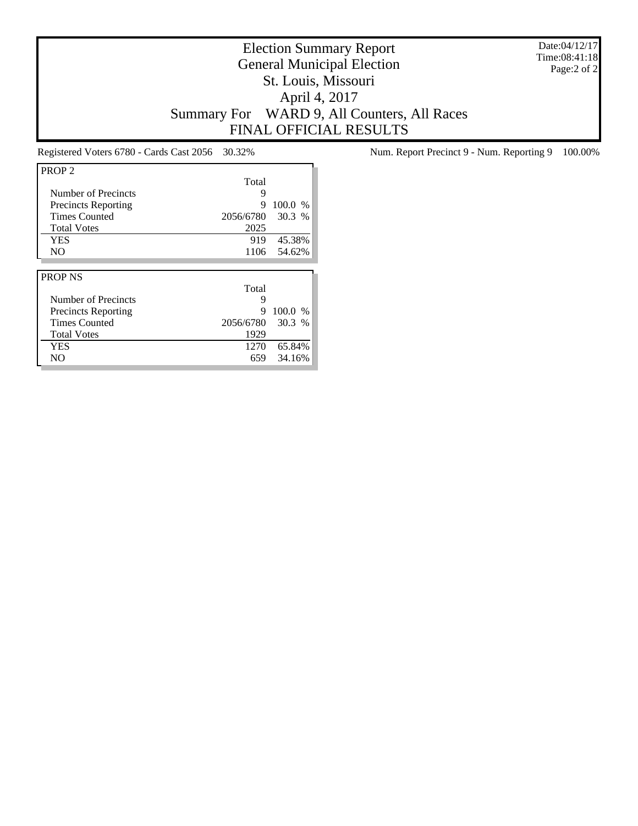Date:04/12/17 Time:08:41:18 Page:2 of 2

# Election Summary Report General Municipal Election St. Louis, Missouri April 4, 2017 Summary For WARD 9, All Counters, All Races FINAL OFFICIAL RESULTS

| PROP <sub>2</sub>          |           |         |
|----------------------------|-----------|---------|
|                            | Total     |         |
| Number of Precincts        | 9         |         |
| <b>Precincts Reporting</b> | 9         | 100.0 % |
| <b>Times Counted</b>       | 2056/6780 | 30.3%   |
| <b>Total Votes</b>         | 2025      |         |
| YES                        | 919       | 45.38%  |
| N <sub>O</sub>             | 1106      | 54.62%  |
|                            |           |         |
|                            |           |         |
| <b>PROP NS</b>             |           |         |
|                            | Total     |         |
| Number of Precincts        | 9         |         |
| Precincts Reporting        | 9         | 100.0 % |
| <b>Times Counted</b>       | 2056/6780 | 30.3%   |
| <b>Total Votes</b>         | 1929      |         |
| <b>YES</b>                 | 1270      | 65.84%  |

Registered Voters 6780 - Cards Cast 2056 30.32% Num. Report Precinct 9 - Num. Reporting 9 100.00%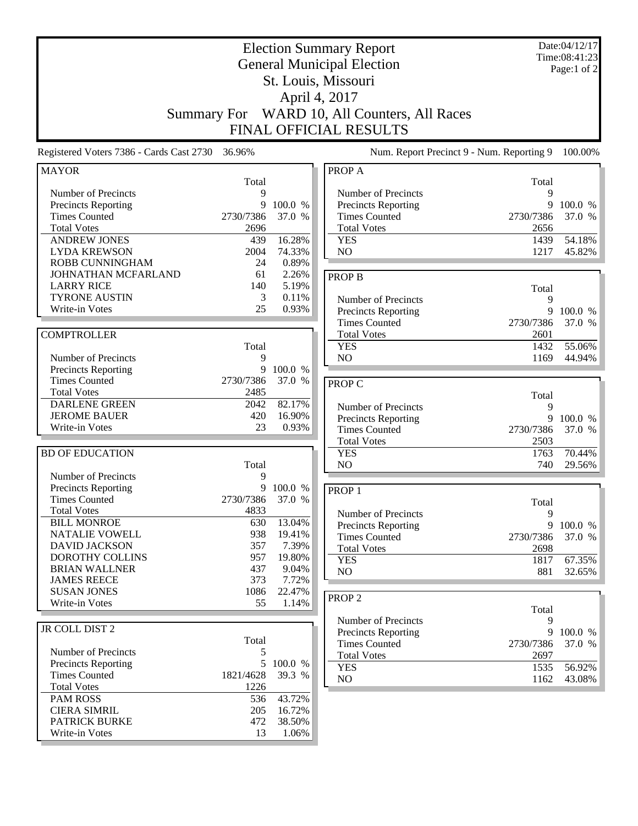|                                           |                    |                  | <b>Election Summary Report</b>              |              | Date:04/12/17 |
|-------------------------------------------|--------------------|------------------|---------------------------------------------|--------------|---------------|
|                                           |                    |                  | <b>General Municipal Election</b>           |              | Time:08:41:23 |
|                                           |                    |                  |                                             |              | Page:1 of 2   |
|                                           |                    |                  | St. Louis, Missouri                         |              |               |
|                                           |                    |                  | April 4, 2017                               |              |               |
|                                           | <b>Summary For</b> |                  | WARD 10, All Counters, All Races            |              |               |
|                                           |                    |                  | FINAL OFFICIAL RESULTS                      |              |               |
| Registered Voters 7386 - Cards Cast 2730  | 36.96%             |                  | Num. Report Precinct 9 - Num. Reporting 9   |              | 100.00%       |
| <b>MAYOR</b>                              |                    |                  | PROP A                                      |              |               |
|                                           | Total              |                  |                                             | Total        |               |
| Number of Precincts                       | 9                  |                  | Number of Precincts                         | 9            |               |
| Precincts Reporting                       | 9                  | 100.0 %          | Precincts Reporting                         | 9            | 100.0 %       |
| <b>Times Counted</b>                      | 2730/7386          | 37.0 %           | <b>Times Counted</b>                        | 2730/7386    | 37.0 %        |
| <b>Total Votes</b><br><b>ANDREW JONES</b> | 2696<br>439        | 16.28%           | <b>Total Votes</b><br><b>YES</b>            | 2656<br>1439 | 54.18%        |
| <b>LYDA KREWSON</b>                       | 2004               | 74.33%           | NO                                          | 1217         | 45.82%        |
| ROBB CUNNINGHAM                           | 24                 | 0.89%            |                                             |              |               |
| JOHNATHAN MCFARLAND                       | 61                 | 2.26%            | <b>PROP B</b>                               |              |               |
| <b>LARRY RICE</b>                         | 140                | 5.19%            |                                             | Total        |               |
| <b>TYRONE AUSTIN</b>                      | 3                  | 0.11%            | Number of Precincts                         | 9            |               |
| Write-in Votes                            | 25                 | 0.93%            | Precincts Reporting                         | 9            | 100.0 %       |
|                                           |                    |                  | <b>Times Counted</b>                        | 2730/7386    | 37.0 %        |
| <b>COMPTROLLER</b>                        |                    |                  | <b>Total Votes</b>                          | 2601         |               |
|                                           | Total              |                  | <b>YES</b>                                  | 1432         | 55.06%        |
| Number of Precincts                       | 9                  |                  | N <sub>O</sub>                              | 1169         | 44.94%        |
| <b>Precincts Reporting</b>                | 9                  | 100.0 %          |                                             |              |               |
| <b>Times Counted</b>                      | 2730/7386          | 37.0 %           | PROP C                                      |              |               |
| <b>Total Votes</b>                        | 2485               |                  |                                             | Total        |               |
| <b>DARLENE GREEN</b>                      | 2042               | 82.17%           | Number of Precincts                         | 9            |               |
| <b>JEROME BAUER</b>                       | 420                | 16.90%           | Precincts Reporting                         | 9            | 100.0 %       |
| Write-in Votes                            | 23                 | 0.93%            | <b>Times Counted</b>                        | 2730/7386    | 37.0 %        |
|                                           |                    |                  | <b>Total Votes</b>                          | 2503         |               |
| <b>BD OF EDUCATION</b>                    |                    |                  | <b>YES</b>                                  | 1763         | 70.44%        |
| Number of Precincts                       | Total              |                  | NO                                          | 740          | 29.56%        |
| Precincts Reporting                       | 9<br>9             | 100.0 %          |                                             |              |               |
| <b>Times Counted</b>                      | 2730/7386          | 37.0 %           | PROP <sub>1</sub>                           |              |               |
| <b>Total Votes</b>                        | 4833               |                  |                                             | Total        |               |
| <b>BILL MONROE</b>                        | 630                | 13.04%           | Number of Precincts                         | 9<br>9       | 100.0 %       |
| NATALIE VOWELL                            | 938                | 19.41%           | Precincts Reporting<br><b>Times Counted</b> | 2730/7386    | 37.0 %        |
| <b>DAVID JACKSON</b>                      | 357                | 7.39%            | <b>Total Votes</b>                          | 2698         |               |
| DOROTHY COLLINS                           | 957                | 19.80%           | <b>YES</b>                                  | 1817         | 67.35%        |
| <b>BRIAN WALLNER</b>                      | 437                | 9.04%            | NO                                          | 881          | 32.65%        |
| <b>JAMES REECE</b>                        | 373                | 7.72%            |                                             |              |               |
| <b>SUSAN JONES</b>                        | 1086               | 22.47%           | PROP <sub>2</sub>                           |              |               |
| Write-in Votes                            | 55                 | 1.14%            |                                             | Total        |               |
|                                           |                    |                  | Number of Precincts                         | 9            |               |
| JR COLL DIST 2                            |                    |                  | Precincts Reporting                         | 9            | 100.0 %       |
|                                           | Total              |                  | <b>Times Counted</b>                        | 2730/7386    | 37.0 %        |
| Number of Precincts                       | 5                  |                  | <b>Total Votes</b>                          | 2697         |               |
| <b>Precincts Reporting</b>                |                    | 5 100.0 %        | <b>YES</b>                                  | 1535         | 56.92%        |
| <b>Times Counted</b>                      | 1821/4628          | 39.3 %           | NO                                          | 1162         | 43.08%        |
| <b>Total Votes</b>                        | 1226               |                  |                                             |              |               |
| <b>PAM ROSS</b><br><b>CIERA SIMRIL</b>    | 536                | 43.72%           |                                             |              |               |
| <b>PATRICK BURKE</b>                      | 205<br>472         | 16.72%<br>38.50% |                                             |              |               |
| Write-in Votes                            | 13                 | 1.06%            |                                             |              |               |
|                                           |                    |                  |                                             |              |               |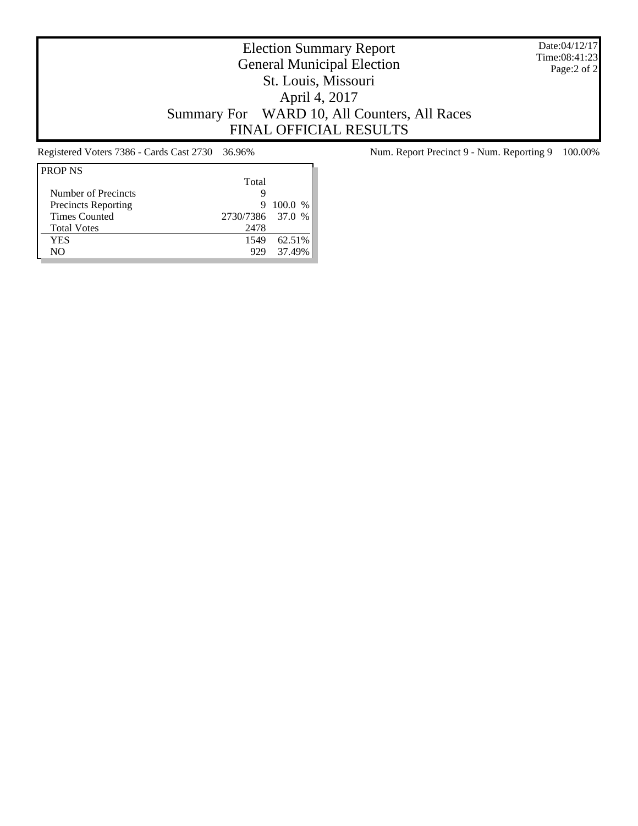Date:04/12/17 Time:08:41:23 Page:2 of 2

# Election Summary Report General Municipal Election St. Louis, Missouri April 4, 2017 Summary For WARD 10, All Counters, All Races FINAL OFFICIAL RESULTS

| <b>PROP NS</b>             |                  |           |
|----------------------------|------------------|-----------|
|                            | Total            |           |
| Number of Precincts        | g                |           |
| <b>Precincts Reporting</b> | 9                | $100.0\%$ |
| <b>Times Counted</b>       | 2730/7386 37.0 % |           |
| <b>Total Votes</b>         | 2478             |           |
| YES                        | 1549             | 62.51%    |
| NO.                        | 929              | 37.49%    |

Registered Voters 7386 - Cards Cast 2730 36.96% Num. Report Precinct 9 - Num. Reporting 9 100.00%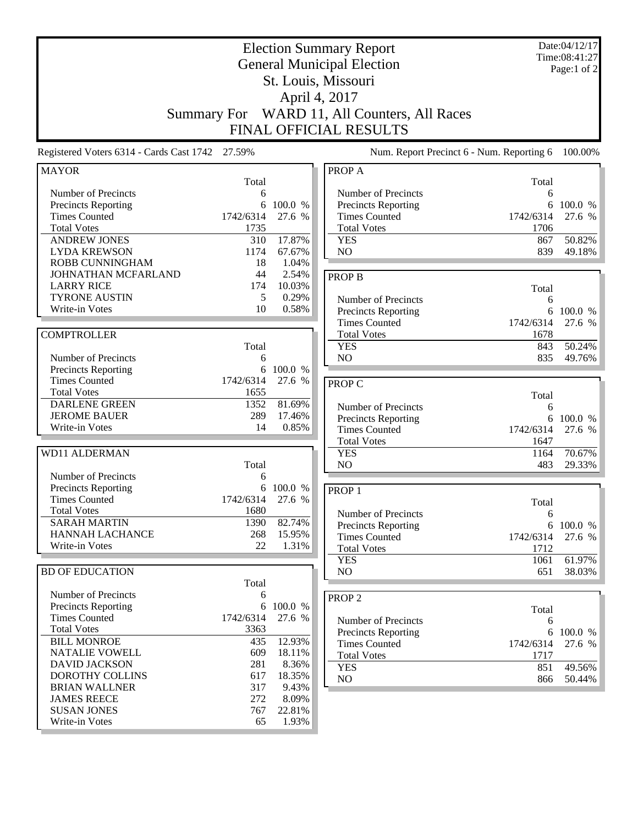|                                                                                                                                                                                                                                                                          | <b>Summary For</b>                                                            |                                                                                                 | <b>Election Summary Report</b><br><b>General Municipal Election</b><br>St. Louis, Missouri<br>April 4, 2017<br>WARD 11, All Counters, All Races |                                                    | Date:04/12/17<br>Time:08:41:27<br>Page:1 of 2 |
|--------------------------------------------------------------------------------------------------------------------------------------------------------------------------------------------------------------------------------------------------------------------------|-------------------------------------------------------------------------------|-------------------------------------------------------------------------------------------------|-------------------------------------------------------------------------------------------------------------------------------------------------|----------------------------------------------------|-----------------------------------------------|
|                                                                                                                                                                                                                                                                          |                                                                               |                                                                                                 | <b>FINAL OFFICIAL RESULTS</b>                                                                                                                   |                                                    |                                               |
| Registered Voters 6314 - Cards Cast 1742 27.59%                                                                                                                                                                                                                          |                                                                               |                                                                                                 | Num. Report Precinct 6 - Num. Reporting 6                                                                                                       |                                                    | 100.00%                                       |
| <b>MAYOR</b>                                                                                                                                                                                                                                                             | Total                                                                         |                                                                                                 | PROP A                                                                                                                                          | Total                                              |                                               |
| Number of Precincts<br>Precincts Reporting<br><b>Times Counted</b><br><b>Total Votes</b><br><b>ANDREW JONES</b><br><b>LYDA KREWSON</b>                                                                                                                                   | 6<br>6<br>1742/6314<br>1735<br>310<br>1174                                    | 100.0 %<br>27.6 %<br>17.87%<br>67.67%                                                           | Number of Precincts<br>Precincts Reporting<br><b>Times Counted</b><br><b>Total Votes</b><br><b>YES</b><br>N <sub>O</sub>                        | 6<br>1742/6314<br>1706<br>867<br>839               | 6 100.0 %<br>27.6 %<br>50.82%<br>49.18%       |
| ROBB CUNNINGHAM<br>JOHNATHAN MCFARLAND<br><b>LARRY RICE</b><br><b>TYRONE AUSTIN</b><br>Write-in Votes                                                                                                                                                                    | 18<br>44<br>174<br>5<br>10                                                    | 1.04%<br>2.54%<br>10.03%<br>0.29%<br>0.58%                                                      | <b>PROP B</b><br>Number of Precincts<br>Precincts Reporting                                                                                     | Total<br>6<br>6                                    | 100.0 %                                       |
| <b>COMPTROLLER</b><br>Number of Precincts<br>Precincts Reporting                                                                                                                                                                                                         | Total<br>6<br>6                                                               | 100.0 %                                                                                         | <b>Times Counted</b><br><b>Total Votes</b><br><b>YES</b><br>N <sub>O</sub>                                                                      | 1742/6314<br>1678<br>843<br>835                    | 27.6 %<br>50.24%<br>49.76%                    |
| <b>Times Counted</b><br><b>Total Votes</b><br><b>DARLENE GREEN</b><br><b>JEROME BAUER</b><br>Write-in Votes                                                                                                                                                              | 1742/6314<br>1655<br>1352<br>289<br>14                                        | 27.6 %<br>81.69%<br>17.46%<br>0.85%                                                             | <b>PROP C</b><br>Number of Precincts<br>Precincts Reporting<br><b>Times Counted</b>                                                             | Total<br>6<br>6<br>1742/6314                       | 100.0 %<br>27.6 %                             |
| <b>WD11 ALDERMAN</b><br>Number of Precincts                                                                                                                                                                                                                              | Total<br>6                                                                    |                                                                                                 | <b>Total Votes</b><br><b>YES</b><br>NO                                                                                                          | 1647<br>1164<br>483                                | 70.67%<br>29.33%                              |
| Precincts Reporting<br><b>Times Counted</b><br>Total Votes<br><b>SARAH MARTIN</b><br><b>HANNAH LACHANCE</b><br>Write-in Votes                                                                                                                                            | 1742/6314<br>1680<br>1390<br>268<br>22                                        | 6 100.0 %<br>27.6 %<br>82.74%<br>15.95%<br>1.31%                                                | PROP <sub>1</sub><br>Number of Precincts<br><b>Precincts Reporting</b><br><b>Times Counted</b><br><b>Total Votes</b>                            | Total<br>6<br>6<br>1742/6314<br>1712               | 100.0 %<br>27.6 %                             |
| <b>BD OF EDUCATION</b>                                                                                                                                                                                                                                                   | Total                                                                         |                                                                                                 | <b>YES</b><br>NO.                                                                                                                               | 1061<br>651                                        | 61.97%<br>38.03%                              |
| Number of Precincts<br><b>Precincts Reporting</b><br><b>Times Counted</b><br><b>Total Votes</b><br><b>BILL MONROE</b><br>NATALIE VOWELL<br><b>DAVID JACKSON</b><br>DOROTHY COLLINS<br><b>BRIAN WALLNER</b><br><b>JAMES REECE</b><br><b>SUSAN JONES</b><br>Write-in Votes | 6<br>1742/6314<br>3363<br>435<br>609<br>281<br>617<br>317<br>272<br>767<br>65 | 6 100.0 %<br>27.6 %<br>12.93%<br>18.11%<br>8.36%<br>18.35%<br>9.43%<br>8.09%<br>22.81%<br>1.93% | PROP <sub>2</sub><br>Number of Precincts<br><b>Precincts Reporting</b><br><b>Times Counted</b><br><b>Total Votes</b><br><b>YES</b><br>NO        | Total<br>6<br>6<br>1742/6314<br>1717<br>851<br>866 | 100.0 %<br>27.6 %<br>49.56%<br>50.44%         |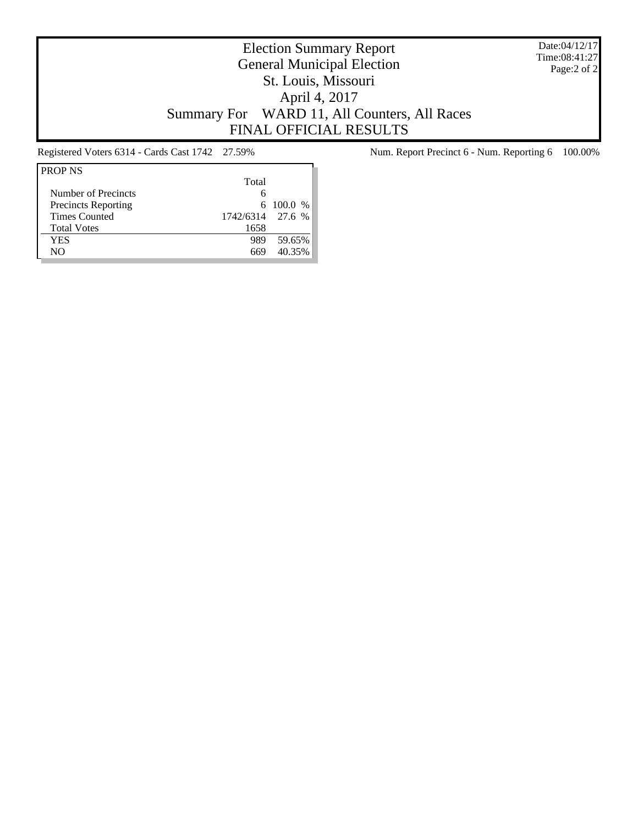Date:04/12/17 Time:08:41:27 Page:2 of 2

# Election Summary Report General Municipal Election St. Louis, Missouri April 4, 2017 Summary For WARD 11, All Counters, All Races FINAL OFFICIAL RESULTS

| Total |                  |
|-------|------------------|
| 6     |                  |
|       | $6\ 100.0\%$     |
|       |                  |
| 1658  |                  |
| 989   | 59.65%           |
| 669   | 40.35%           |
|       | 1742/6314 27.6 % |

Registered Voters 6314 - Cards Cast 1742 27.59% Num. Report Precinct 6 - Num. Reporting 6 100.00%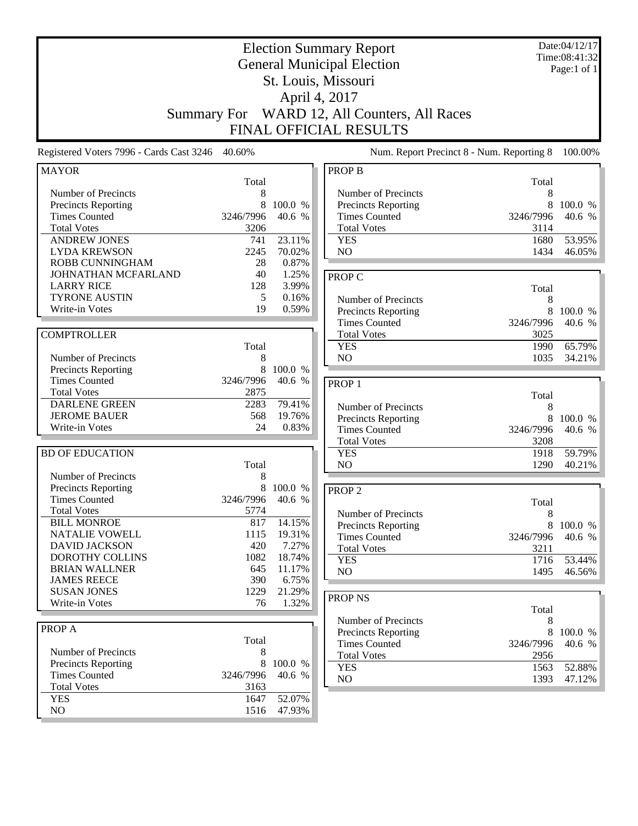|                                                                                                                                        | <b>Summary For</b>                                  |                                                | <b>Election Summary Report</b><br><b>General Municipal Election</b><br>St. Louis, Missouri<br>April 4, 2017<br>WARD 12, All Counters, All Races<br><b>FINAL OFFICIAL RESULTS</b> |                                                      | Date:04/12/17<br>Time:08:41:32<br>Page:1 of 1 |
|----------------------------------------------------------------------------------------------------------------------------------------|-----------------------------------------------------|------------------------------------------------|----------------------------------------------------------------------------------------------------------------------------------------------------------------------------------|------------------------------------------------------|-----------------------------------------------|
| Registered Voters 7996 - Cards Cast 3246 40.60%                                                                                        |                                                     |                                                | Num. Report Precinct 8 - Num. Reporting 8                                                                                                                                        |                                                      | 100.00%                                       |
| <b>MAYOR</b>                                                                                                                           |                                                     |                                                | <b>PROP B</b>                                                                                                                                                                    |                                                      |                                               |
| Number of Precincts<br>Precincts Reporting<br><b>Times Counted</b><br><b>Total Votes</b><br><b>ANDREW JONES</b><br><b>LYDA KREWSON</b> | Total<br>8<br>8<br>3246/7996<br>3206<br>741<br>2245 | 100.0 %<br>40.6 %<br>23.11%<br>70.02%          | Number of Precincts<br>Precincts Reporting<br><b>Times Counted</b><br><b>Total Votes</b><br><b>YES</b><br>NO                                                                     | Total<br>8<br>8<br>3246/7996<br>3114<br>1680<br>1434 | 100.0 %<br>40.6 %<br>53.95%<br>46.05%         |
| <b>ROBB CUNNINGHAM</b><br>JOHNATHAN MCFARLAND<br><b>LARRY RICE</b><br><b>TYRONE AUSTIN</b><br>Write-in Votes                           | 28<br>40<br>128<br>5<br>19                          | 0.87%<br>1.25%<br>3.99%<br>0.16%<br>0.59%      | <b>PROP C</b><br>Number of Precincts<br>Precincts Reporting                                                                                                                      | Total<br>8<br>8                                      | 100.0 %                                       |
| <b>COMPTROLLER</b><br>Number of Precincts                                                                                              | Total<br>8                                          |                                                | <b>Times Counted</b><br><b>Total Votes</b><br><b>YES</b><br>NO                                                                                                                   | 3246/7996<br>3025<br>1990<br>1035                    | 40.6 %<br>65.79%<br>34.21%                    |
| Precincts Reporting<br><b>Times Counted</b><br><b>Total Votes</b><br><b>DARLENE GREEN</b><br><b>JEROME BAUER</b><br>Write-in Votes     | 8<br>3246/7996<br>2875<br>2283<br>568<br>24         | 100.0 %<br>40.6 %<br>79.41%<br>19.76%<br>0.83% | PROP <sub>1</sub><br>Number of Precincts<br><b>Precincts Reporting</b><br><b>Times Counted</b>                                                                                   | Total<br>8<br>8<br>3246/7996                         | 100.0 %<br>40.6 %                             |
| <b>BD OF EDUCATION</b><br>Number of Precincts                                                                                          | Total<br>8                                          |                                                | <b>Total Votes</b><br><b>YES</b><br>N <sub>O</sub>                                                                                                                               | 3208<br>1918<br>1290                                 | 59.79%<br>40.21%                              |
| Precincts Reporting<br><b>Times Counted</b><br><b>Total Votes</b><br><b>BILL MONROE</b>                                                | 8<br>3246/7996<br>5774<br>817                       | 100.0 %<br>40.6 %<br>14.15%                    | PROP <sub>2</sub><br>Number of Precincts<br><b>Precincts Reporting</b>                                                                                                           | Total<br>$\,8$<br>8                                  | 100.0 %                                       |
| NATALIE VOWELL<br><b>DAVID JACKSON</b><br><b>DOROTHY COLLINS</b><br><b>BRIAN WALLNER</b><br><b>JAMES REECE</b>                         | 1115<br>420<br>1082<br>645<br>390                   | 19.31%<br>7.27%<br>18.74%<br>11.17%<br>6.75%   | <b>Times Counted</b><br><b>Total Votes</b><br><b>YES</b><br>NO                                                                                                                   | 3246/7996<br>3211<br>1716<br>1495                    | 40.6 %<br>53.44%<br>46.56%                    |
| <b>SUSAN JONES</b><br>Write-in Votes                                                                                                   | 1229<br>76                                          | 21.29%<br>1.32%                                | PROP <sub>NS</sub><br>Number of Precincts                                                                                                                                        | Total<br>8                                           |                                               |
| PROP A<br>Number of Precincts<br>Precincts Reporting<br><b>Times Counted</b><br><b>Total Votes</b>                                     | Total<br>8<br>8<br>3246/7996<br>3163                | 100.0 %<br>40.6 %                              | Precincts Reporting<br><b>Times Counted</b><br><b>Total Votes</b><br><b>YES</b><br>NO                                                                                            | 8<br>3246/7996<br>2956<br>1563<br>1393               | 100.0 %<br>40.6 %<br>52.88%<br>47.12%         |
| <b>YES</b><br>NO                                                                                                                       | 1647<br>1516                                        | 52.07%<br>47.93%                               |                                                                                                                                                                                  |                                                      |                                               |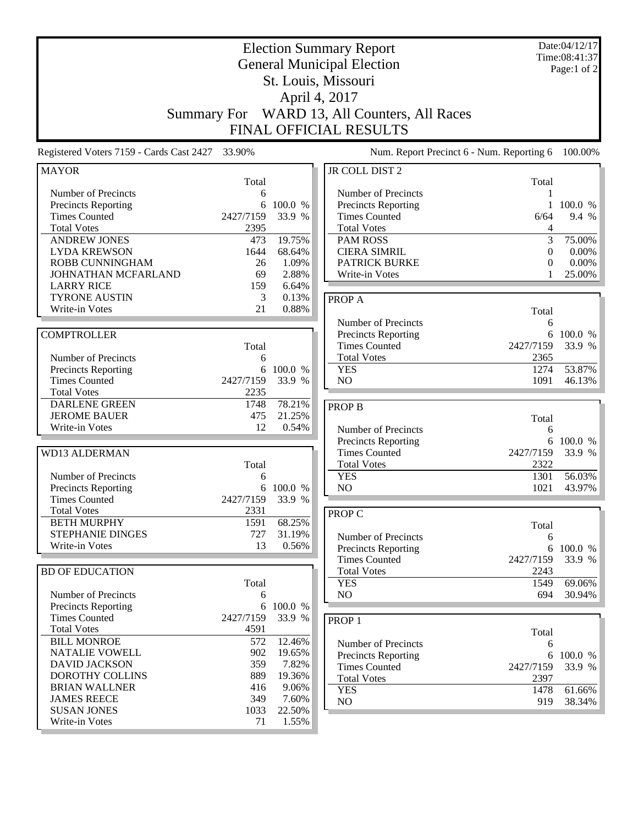|                                                                                                                                        | <b>Summary For</b>                         |                                                       | <b>Election Summary Report</b><br><b>General Municipal Election</b><br>St. Louis, Missouri<br>April 4, 2017<br>WARD 13, All Counters, All Races<br><b>FINAL OFFICIAL RESULTS</b> |                                                     | Date:04/12/17<br>Time:08:41:37<br>Page:1 of 2 |
|----------------------------------------------------------------------------------------------------------------------------------------|--------------------------------------------|-------------------------------------------------------|----------------------------------------------------------------------------------------------------------------------------------------------------------------------------------|-----------------------------------------------------|-----------------------------------------------|
| Registered Voters 7159 - Cards Cast 2427 33.90%                                                                                        |                                            |                                                       | Num. Report Precinct 6 - Num. Reporting 6                                                                                                                                        |                                                     | 100.00%                                       |
| <b>MAYOR</b>                                                                                                                           | Total                                      |                                                       | JR COLL DIST 2                                                                                                                                                                   | Total                                               |                                               |
| Number of Precincts<br>Precincts Reporting<br><b>Times Counted</b><br><b>Total Votes</b><br><b>ANDREW JONES</b><br><b>LYDA KREWSON</b> | 6<br>6<br>2427/7159<br>2395<br>473<br>1644 | 100.0 %<br>33.9 %<br>19.75%<br>68.64%                 | Number of Precincts<br>Precincts Reporting<br><b>Times Counted</b><br><b>Total Votes</b><br><b>PAM ROSS</b><br><b>CIERA SIMRIL</b>                                               | 1<br>$\mathbf{1}$<br>6/64<br>4<br>3<br>$\mathbf{0}$ | 100.0 %<br>9.4 %<br>75.00%<br>0.00%           |
| <b>ROBB CUNNINGHAM</b><br>JOHNATHAN MCFARLAND                                                                                          | 26<br>69                                   | 1.09%<br>2.88%                                        | <b>PATRICK BURKE</b><br>Write-in Votes                                                                                                                                           | $\theta$<br>1                                       | $0.00\%$<br>25.00%                            |
| <b>LARRY RICE</b><br><b>TYRONE AUSTIN</b><br>Write-in Votes                                                                            | 159<br>3<br>21                             | 6.64%<br>0.13%<br>0.88%                               | <b>PROPA</b>                                                                                                                                                                     | Total                                               |                                               |
| <b>COMPTROLLER</b><br>Number of Precincts                                                                                              | Total<br>6                                 |                                                       | Number of Precincts<br>Precincts Reporting<br><b>Times Counted</b><br><b>Total Votes</b>                                                                                         | 6<br>6<br>2427/7159<br>2365                         | 100.0 %<br>33.9 %                             |
| Precincts Reporting<br><b>Times Counted</b><br><b>Total Votes</b>                                                                      | 6<br>2427/7159<br>2235                     | 100.0 %<br>33.9 %                                     | <b>YES</b><br>N <sub>O</sub>                                                                                                                                                     | 1274<br>1091                                        | 53.87%<br>46.13%                              |
| <b>DARLENE GREEN</b><br><b>JEROME BAUER</b><br>Write-in Votes                                                                          | 1748<br>475<br>12                          | 78.21%<br>21.25%<br>0.54%                             | <b>PROP B</b><br>Number of Precincts                                                                                                                                             | Total<br>6                                          |                                               |
| <b>WD13 ALDERMAN</b>                                                                                                                   | Total                                      |                                                       | Precincts Reporting<br><b>Times Counted</b><br><b>Total Votes</b>                                                                                                                | 6<br>2427/7159<br>2322                              | 100.0 %<br>33.9 %                             |
| Number of Precincts<br>Precincts Reporting<br><b>Times Counted</b>                                                                     | 6<br>6<br>2427/7159                        | 100.0 %<br>33.9 %                                     | <b>YES</b><br>NO                                                                                                                                                                 | 1301<br>1021                                        | 56.03%<br>43.97%                              |
| <b>Total Votes</b><br><b>BETH MURPHY</b><br>STEPHANIE DINGES<br>Write-in Votes                                                         | 2331<br>1591<br>727<br>13                  | 68.25%<br>31.19%<br>0.56%                             | PROP C<br>Number of Precincts<br>Precincts Reporting                                                                                                                             | Total<br>6<br>6                                     | 100.0 %                                       |
| <b>BD OF EDUCATION</b><br>Number of Precincts                                                                                          | Total                                      |                                                       | <b>Times Counted</b><br><b>Total Votes</b><br><b>YES</b><br>NO                                                                                                                   | 2427/7159<br>2243<br>1549<br>694                    | 33.9 %<br>69.06%<br>30.94%                    |
| Precincts Reporting<br><b>Times Counted</b><br><b>Total Votes</b>                                                                      | 6<br>6<br>2427/7159<br>4591                | 100.0 %<br>33.9 %                                     | PROP <sub>1</sub>                                                                                                                                                                |                                                     |                                               |
| <b>BILL MONROE</b><br>NATALIE VOWELL<br><b>DAVID JACKSON</b><br>DOROTHY COLLINS<br><b>BRIAN WALLNER</b><br><b>JAMES REECE</b>          | 572<br>902<br>359<br>889<br>416<br>349     | 12.46%<br>19.65%<br>7.82%<br>19.36%<br>9.06%<br>7.60% | Number of Precincts<br>Precincts Reporting<br><b>Times Counted</b><br><b>Total Votes</b><br><b>YES</b><br>NO                                                                     | Total<br>6<br>6<br>2427/7159<br>2397<br>1478<br>919 | 100.0 %<br>33.9 %<br>61.66%<br>38.34%         |
| <b>SUSAN JONES</b><br>Write-in Votes                                                                                                   | 1033<br>71                                 | 22.50%<br>1.55%                                       |                                                                                                                                                                                  |                                                     |                                               |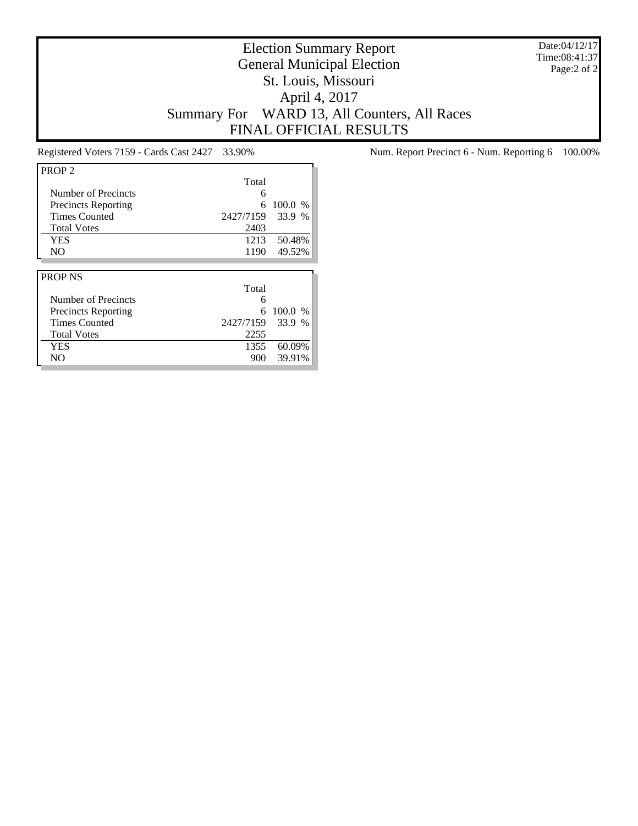Date:04/12/17 Time:08:41:37 Page:2 of 2

# Election Summary Report General Municipal Election St. Louis, Missouri April 4, 2017 Summary For WARD 13, All Counters, All Races FINAL OFFICIAL RESULTS

| PROP <sub>2</sub>          |           |         |
|----------------------------|-----------|---------|
|                            | Total     |         |
| Number of Precincts        | 6         |         |
| <b>Precincts Reporting</b> | 6         | 100.0 % |
| <b>Times Counted</b>       | 2427/7159 | 33.9 %  |
| <b>Total Votes</b>         | 2403      |         |
| <b>YES</b>                 | 1213      | 50.48%  |
| N <sub>O</sub>             | 1190      | 49.52%  |
|                            |           |         |
|                            |           |         |
| <b>PROP NS</b>             |           |         |
|                            | Total     |         |
| Number of Precincts        | 6         |         |
| <b>Precincts Reporting</b> | 6         | 100.0 % |
| <b>Times Counted</b>       | 2427/7159 | 33.9 %  |
| <b>Total Votes</b>         | 2255      |         |
| YES                        | 1355      | 60.09%  |

Registered Voters 7159 - Cards Cast 2427 33.90% Num. Report Precinct 6 - Num. Reporting 6 100.00%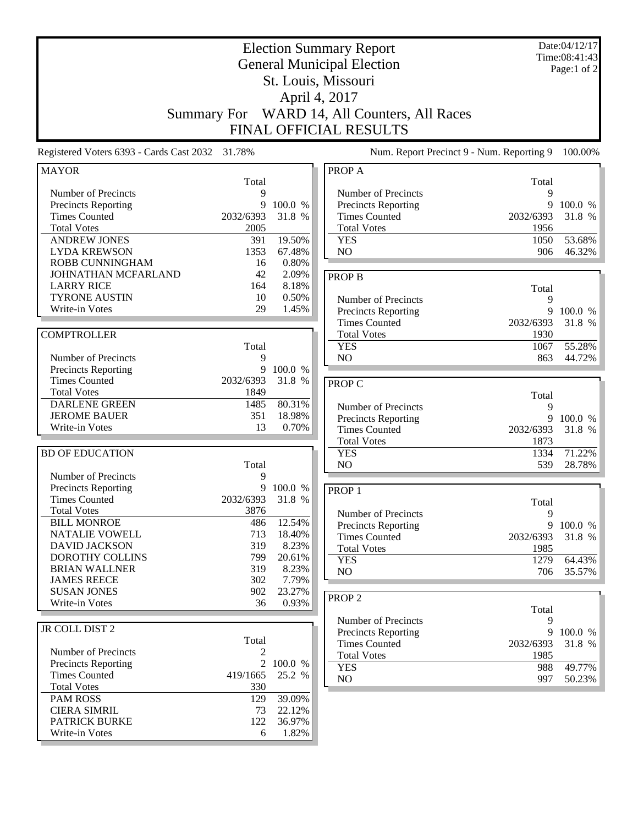|                                                 | <b>Summary For</b> |           | <b>Election Summary Report</b><br><b>General Municipal Election</b><br>St. Louis, Missouri<br>April 4, 2017<br>WARD 14, All Counters, All Races<br>FINAL OFFICIAL RESULTS |           | Date:04/12/17<br>Time:08:41:43<br>Page:1 of 2 |
|-------------------------------------------------|--------------------|-----------|---------------------------------------------------------------------------------------------------------------------------------------------------------------------------|-----------|-----------------------------------------------|
| Registered Voters 6393 - Cards Cast 2032 31.78% |                    |           | Num. Report Precinct 9 - Num. Reporting 9                                                                                                                                 |           | 100.00%                                       |
| <b>MAYOR</b>                                    |                    |           | PROP A                                                                                                                                                                    |           |                                               |
|                                                 | Total              |           |                                                                                                                                                                           | Total     |                                               |
| Number of Precincts                             | 9                  |           | Number of Precincts                                                                                                                                                       | 9         |                                               |
| <b>Precincts Reporting</b>                      | 9                  | 100.0 %   | Precincts Reporting                                                                                                                                                       | 9         | 100.0 %                                       |
| <b>Times Counted</b>                            | 2032/6393          | 31.8 %    | <b>Times Counted</b>                                                                                                                                                      | 2032/6393 | 31.8 %                                        |
| <b>Total Votes</b>                              | 2005               |           | <b>Total Votes</b>                                                                                                                                                        | 1956      |                                               |
| <b>ANDREW JONES</b>                             | 391                | 19.50%    | <b>YES</b>                                                                                                                                                                | 1050      | 53.68%                                        |
| <b>LYDA KREWSON</b>                             | 1353               | 67.48%    | NO                                                                                                                                                                        | 906       | 46.32%                                        |
| ROBB CUNNINGHAM                                 | 16                 | 0.80%     |                                                                                                                                                                           |           |                                               |
| JOHNATHAN MCFARLAND                             | 42                 | 2.09%     | <b>PROP B</b>                                                                                                                                                             |           |                                               |
| <b>LARRY RICE</b>                               | 164                | 8.18%     |                                                                                                                                                                           | Total     |                                               |
| <b>TYRONE AUSTIN</b>                            | 10                 | 0.50%     | Number of Precincts                                                                                                                                                       | 9         |                                               |
| Write-in Votes                                  | 29                 | 1.45%     | Precincts Reporting                                                                                                                                                       | 9         | 100.0 %                                       |
|                                                 |                    |           | <b>Times Counted</b>                                                                                                                                                      | 2032/6393 | 31.8 %                                        |
| <b>COMPTROLLER</b>                              |                    |           | <b>Total Votes</b>                                                                                                                                                        | 1930      |                                               |
|                                                 | Total              |           | <b>YES</b>                                                                                                                                                                | 1067      | 55.28%                                        |
| Number of Precincts                             | 9                  |           | NO                                                                                                                                                                        | 863       | 44.72%                                        |
| <b>Precincts Reporting</b>                      | 9                  | 100.0 %   |                                                                                                                                                                           |           |                                               |
| <b>Times Counted</b>                            | 2032/6393          | 31.8 %    | PROP C                                                                                                                                                                    |           |                                               |
| <b>Total Votes</b>                              | 1849               |           |                                                                                                                                                                           | Total     |                                               |
| <b>DARLENE GREEN</b>                            | 1485               | 80.31%    | Number of Precincts                                                                                                                                                       | 9         |                                               |
| <b>JEROME BAUER</b>                             | 351                | 18.98%    | Precincts Reporting                                                                                                                                                       | 9         | 100.0 %                                       |
| Write-in Votes                                  | 13                 | 0.70%     | <b>Times Counted</b>                                                                                                                                                      | 2032/6393 | 31.8 %                                        |
|                                                 |                    |           | <b>Total Votes</b>                                                                                                                                                        | 1873      |                                               |
| <b>BD OF EDUCATION</b>                          |                    |           | <b>YES</b>                                                                                                                                                                | 1334      | 71.22%                                        |
|                                                 | Total              |           | NO                                                                                                                                                                        | 539       | 28.78%                                        |
| Number of Precincts                             | 9                  |           |                                                                                                                                                                           |           |                                               |
| Precincts Reporting                             | 9                  | 100.0 %   | PROP <sub>1</sub>                                                                                                                                                         |           |                                               |
| <b>Times Counted</b>                            | 2032/6393          | 31.8<br>% |                                                                                                                                                                           | Total     |                                               |
| <b>Total Votes</b>                              | 3876               |           | Number of Precincts                                                                                                                                                       | 9         |                                               |
| <b>BILL MONROE</b>                              | 486                | 12.54%    | Precincts Reporting                                                                                                                                                       |           | 9 100.0 $\%$                                  |
| NATALIE VOWELL                                  | 713                | 18.40%    | <b>Times Counted</b>                                                                                                                                                      | 2032/6393 | 31.8 %                                        |
| <b>DAVID JACKSON</b>                            | 319                | 8.23%     | <b>Total Votes</b>                                                                                                                                                        | 1985      |                                               |
| DOROTHY COLLINS                                 | 799                | 20.61%    | <b>YES</b>                                                                                                                                                                | 1279      | 64.43%                                        |
| <b>BRIAN WALLNER</b>                            | 319                | 8.23%     | NO                                                                                                                                                                        | 706       | 35.57%                                        |
| <b>JAMES REECE</b>                              | 302                | 7.79%     |                                                                                                                                                                           |           |                                               |
| <b>SUSAN JONES</b>                              | 902                | 23.27%    |                                                                                                                                                                           |           |                                               |
| Write-in Votes                                  | 36                 | 0.93%     | PROP <sub>2</sub>                                                                                                                                                         |           |                                               |
|                                                 |                    |           |                                                                                                                                                                           | Total     |                                               |
| JR COLL DIST 2                                  |                    |           | Number of Precincts                                                                                                                                                       | 9         |                                               |
|                                                 | Total              |           | Precincts Reporting                                                                                                                                                       | 9         | 100.0 %                                       |
| Number of Precincts                             | 2                  |           | <b>Times Counted</b>                                                                                                                                                      | 2032/6393 | 31.8 %                                        |
| <b>Precincts Reporting</b>                      | 2                  | 100.0 %   | <b>Total Votes</b>                                                                                                                                                        | 1985      |                                               |
| <b>Times Counted</b>                            | 419/1665           | 25.2 %    | <b>YES</b>                                                                                                                                                                | 988       | 49.77%                                        |
| <b>Total Votes</b>                              | 330                |           | NO                                                                                                                                                                        | 997       | 50.23%                                        |
| <b>PAM ROSS</b>                                 | 129                | 39.09%    |                                                                                                                                                                           |           |                                               |
| <b>CIERA SIMRIL</b>                             | 73                 | 22.12%    |                                                                                                                                                                           |           |                                               |
| PATRICK BURKE                                   | 122                | 36.97%    |                                                                                                                                                                           |           |                                               |
| Write-in Votes                                  | 6                  | 1.82%     |                                                                                                                                                                           |           |                                               |
|                                                 |                    |           |                                                                                                                                                                           |           |                                               |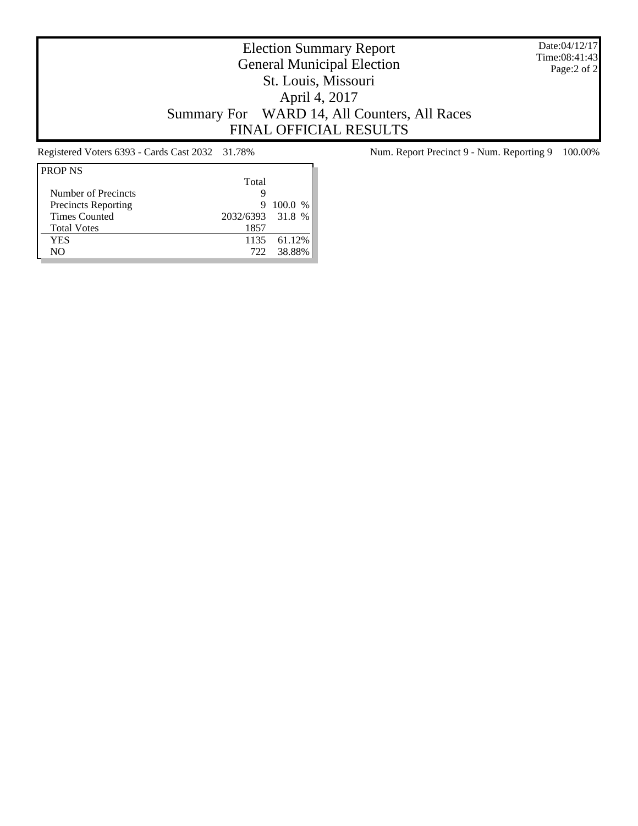Date:04/12/17 Time:08:41:43 Page:2 of 2

# Election Summary Report General Municipal Election St. Louis, Missouri April 4, 2017 Summary For WARD 14, All Counters, All Races FINAL OFFICIAL RESULTS

| <b>PROP NS</b>             |                  |             |
|----------------------------|------------------|-------------|
|                            | Total            |             |
| Number of Precincts        | g                |             |
| <b>Precincts Reporting</b> | 9                | 100.0 %     |
| <b>Times Counted</b>       | 2032/6393 31.8 % |             |
| <b>Total Votes</b>         | 1857             |             |
| YES                        |                  | 1135 61.12% |
| NΟ                         | 722              | 38.88%      |

Registered Voters 6393 - Cards Cast 2032 31.78% Num. Report Precinct 9 - Num. Reporting 9 100.00%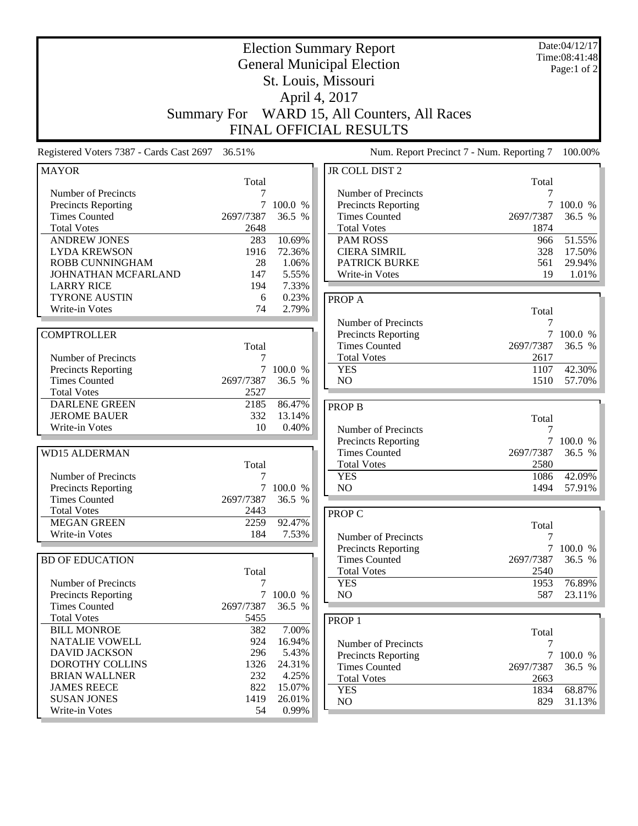| <b>Summary For</b>                                                                          |                           |                                    | <b>Election Summary Report</b><br><b>General Municipal Election</b><br>St. Louis, Missouri<br>April 4, 2017<br>WARD 15, All Counters, All Races<br>FINAL OFFICIAL RESULTS |                                  | Date:04/12/17<br>Time:08:41:48<br>Page:1 of 2 |
|---------------------------------------------------------------------------------------------|---------------------------|------------------------------------|---------------------------------------------------------------------------------------------------------------------------------------------------------------------------|----------------------------------|-----------------------------------------------|
| Registered Voters 7387 - Cards Cast 2697                                                    | 36.51%                    |                                    | Num. Report Precinct 7 - Num. Reporting 7                                                                                                                                 |                                  | 100.00%                                       |
| <b>MAYOR</b>                                                                                |                           |                                    | JR COLL DIST 2                                                                                                                                                            |                                  |                                               |
| Number of Precincts<br><b>Precincts Reporting</b>                                           | Total<br>7<br>7           | 100.0 %                            | Number of Precincts<br><b>Precincts Reporting</b>                                                                                                                         | Total<br>7<br>7                  | 100.0 %                                       |
| <b>Times Counted</b><br><b>Total Votes</b>                                                  | 2697/7387<br>2648         | 36.5 %                             | <b>Times Counted</b><br><b>Total Votes</b>                                                                                                                                | 2697/7387<br>1874                | 36.5 %                                        |
| <b>ANDREW JONES</b><br><b>LYDA KREWSON</b><br><b>ROBB CUNNINGHAM</b><br>JOHNATHAN MCFARLAND | 283<br>1916<br>28<br>147  | 10.69%<br>72.36%<br>1.06%<br>5.55% | PAM ROSS<br><b>CIERA SIMRIL</b><br><b>PATRICK BURKE</b>                                                                                                                   | 966<br>328<br>561<br>19          | 51.55%<br>17.50%<br>29.94%<br>1.01%           |
| <b>LARRY RICE</b><br><b>TYRONE AUSTIN</b><br>Write-in Votes                                 | 194<br>6<br>74            | 7.33%<br>0.23%<br>2.79%            | Write-in Votes<br>PROP A                                                                                                                                                  | Total                            |                                               |
| <b>COMPTROLLER</b>                                                                          | Total                     |                                    | Number of Precincts<br><b>Precincts Reporting</b><br><b>Times Counted</b>                                                                                                 | 7<br>$\tau$<br>2697/7387         | 100.0 %<br>36.5 %                             |
| Number of Precincts<br><b>Precincts Reporting</b><br><b>Times Counted</b>                   | $\tau$<br>2697/7387       | 100.0 %<br>36.5 %                  | <b>Total Votes</b><br><b>YES</b><br>N <sub>O</sub>                                                                                                                        | 2617<br>1107<br>1510             | 42.30%<br>57.70%                              |
| <b>Total Votes</b><br><b>DARLENE GREEN</b><br><b>JEROME BAUER</b>                           | 2527<br>2185<br>332       | 86.47%<br>13.14%                   | <b>PROP B</b>                                                                                                                                                             | Total                            |                                               |
| Write-in Votes<br><b>WD15 ALDERMAN</b>                                                      | 10                        | 0.40%                              | Number of Precincts<br><b>Precincts Reporting</b><br><b>Times Counted</b>                                                                                                 | 7<br>2697/7387                   | 7 100.0 %<br>36.5 %                           |
| Number of Precincts<br><b>Precincts Reporting</b>                                           | Total<br>7                | 100.0 %                            | <b>Total Votes</b><br><b>YES</b><br>N <sub>O</sub>                                                                                                                        | 2580<br>1086<br>1494             | 42.09%<br>57.91%                              |
| <b>Times Counted</b><br><b>Total Votes</b><br><b>MEGAN GREEN</b>                            | 2697/7387<br>2443<br>2259 | 36.5 %<br>92.47%                   | <b>PROP C</b>                                                                                                                                                             | Total                            |                                               |
| Write-in Votes<br><b>BD OF EDUCATION</b>                                                    | 184                       | 7.53%                              | Number of Precincts<br><b>Precincts Reporting</b><br><b>Times Counted</b>                                                                                                 | 7<br>$\overline{7}$<br>2697/7387 | 100.0 %<br>36.5 %                             |
| Number of Precincts                                                                         | Total<br>7                |                                    | <b>Total Votes</b><br><b>YES</b>                                                                                                                                          | 2540<br>1953                     | 76.89%                                        |
| Precincts Reporting<br><b>Times Counted</b>                                                 | 2697/7387                 | 7 100.0 %<br>36.5 %                | NO.                                                                                                                                                                       | 587                              | 23.11%                                        |
| <b>Total Votes</b><br><b>BILL MONROE</b><br><b>NATALIE VOWELL</b>                           | 5455<br>382<br>924        | 7.00%<br>16.94%                    | PROP <sub>1</sub><br>Number of Precincts                                                                                                                                  | Total                            |                                               |
| <b>DAVID JACKSON</b><br><b>DOROTHY COLLINS</b><br><b>BRIAN WALLNER</b>                      | 296<br>1326<br>232        | 5.43%<br>24.31%<br>4.25%           | Precincts Reporting<br><b>Times Counted</b><br><b>Total Votes</b>                                                                                                         | 7<br>$\tau$<br>2697/7387<br>2663 | 100.0 %<br>36.5 %                             |
| <b>JAMES REECE</b><br><b>SUSAN JONES</b><br>Write-in Votes                                  | 822<br>1419<br>54         | 15.07%<br>26.01%<br>0.99%          | <b>YES</b><br>NO                                                                                                                                                          | 1834<br>829                      | 68.87%<br>31.13%                              |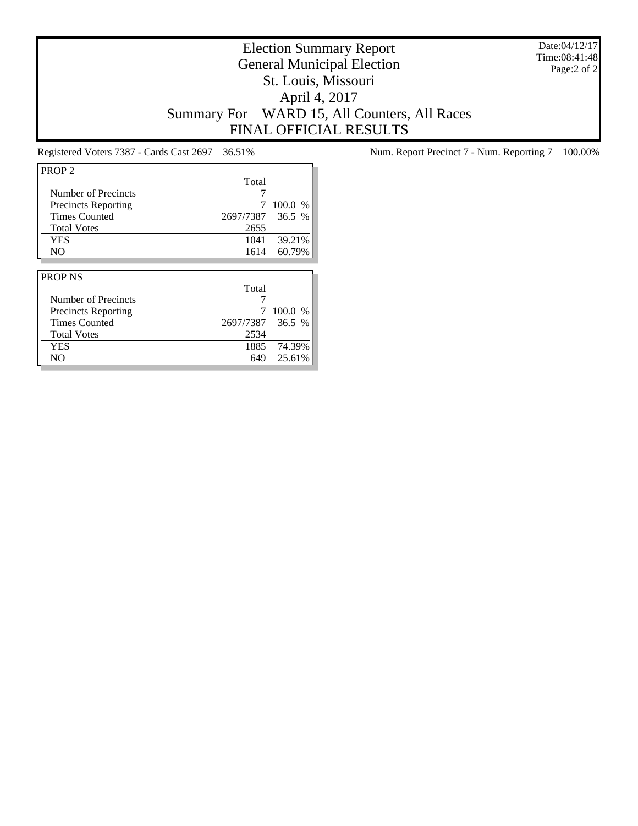Date:04/12/17 Time:08:41:48 Page:2 of 2

# Election Summary Report General Municipal Election St. Louis, Missouri April 4, 2017 Summary For WARD 15, All Counters, All Races FINAL OFFICIAL RESULTS

| PROP <sub>2</sub>          |           |         |
|----------------------------|-----------|---------|
|                            | Total     |         |
| Number of Precincts        |           |         |
| <b>Precincts Reporting</b> | 7         | 100.0%  |
| <b>Times Counted</b>       | 2697/7387 | 36.5%   |
| <b>Total Votes</b>         | 2655      |         |
| <b>YES</b>                 | 1041      | 39.21%  |
| N <sub>O</sub>             | 1614      | 60.79%  |
|                            |           |         |
|                            |           |         |
| <b>PROP NS</b>             |           |         |
|                            | Total     |         |
| Number of Precincts        |           |         |
| <b>Precincts Reporting</b> |           | 100.0 % |
| <b>Times Counted</b>       | 2697/7387 | 36.5%   |
| <b>Total Votes</b>         | 2534      |         |
| <b>YES</b>                 | 1885      | 74.39%  |

Registered Voters 7387 - Cards Cast 2697 36.51% Num. Report Precinct 7 - Num. Reporting 7 100.00%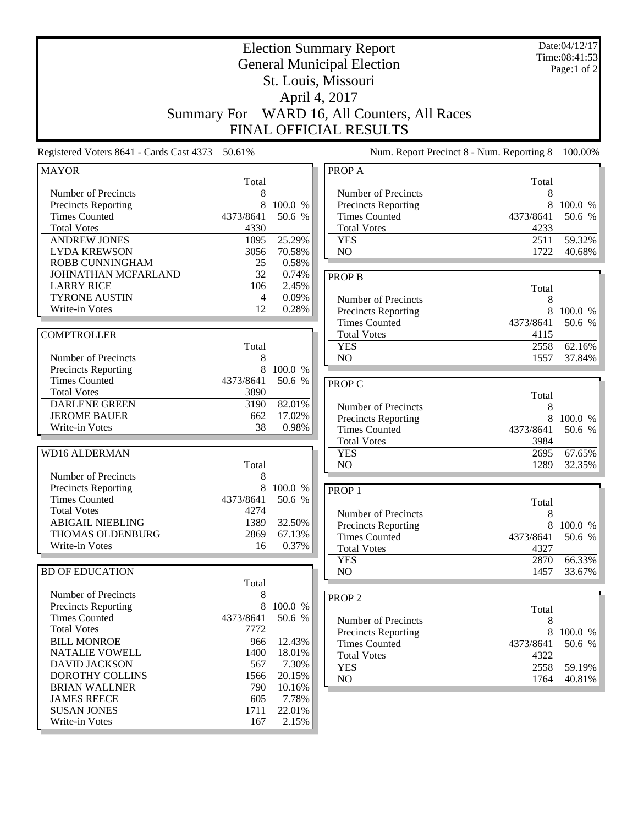| <b>Election Summary Report</b><br><b>General Municipal Election</b><br>St. Louis, Missouri      |                                   |                                     |                                                                                          | Date:04/12/17<br>Time:08:41:53<br>Page:1 of 2 |                             |
|-------------------------------------------------------------------------------------------------|-----------------------------------|-------------------------------------|------------------------------------------------------------------------------------------|-----------------------------------------------|-----------------------------|
|                                                                                                 |                                   |                                     | April 4, 2017                                                                            |                                               |                             |
|                                                                                                 | <b>Summary For</b>                |                                     | WARD 16, All Counters, All Races<br><b>FINAL OFFICIAL RESULTS</b>                        |                                               |                             |
| Registered Voters 8641 - Cards Cast 4373 50.61%                                                 |                                   |                                     | Num. Report Precinct 8 - Num. Reporting 8                                                |                                               | 100.00%                     |
| <b>MAYOR</b>                                                                                    | Total                             |                                     | PROP A                                                                                   | Total                                         |                             |
| Number of Precincts<br><b>Precincts Reporting</b><br><b>Times Counted</b><br><b>Total Votes</b> | 8<br>8<br>4373/8641<br>4330       | 100.0 %<br>50.6 %                   | Number of Precincts<br>Precincts Reporting<br><b>Times Counted</b><br><b>Total Votes</b> | 8<br>8<br>4373/8641<br>4233                   | 100.0 %<br>50.6 %           |
| <b>ANDREW JONES</b><br><b>LYDA KREWSON</b><br>ROBB CUNNINGHAM                                   | 1095<br>3056<br>25                | 25.29%<br>70.58%<br>0.58%           | <b>YES</b><br>NO                                                                         | 2511<br>1722                                  | 59.32%<br>40.68%            |
| JOHNATHAN MCFARLAND<br><b>LARRY RICE</b><br><b>TYRONE AUSTIN</b><br>Write-in Votes              | 32<br>106<br>$\overline{4}$<br>12 | 0.74%<br>2.45%<br>0.09%<br>0.28%    | <b>PROP B</b><br>Number of Precincts<br><b>Precincts Reporting</b>                       | Total<br>8<br>8                               | 100.0 %                     |
| <b>COMPTROLLER</b>                                                                              | Total                             |                                     | <b>Times Counted</b><br><b>Total Votes</b><br><b>YES</b>                                 | 4373/8641<br>4115<br>2558                     | 50.6 %<br>62.16%            |
| Number of Precincts<br><b>Precincts Reporting</b><br><b>Times Counted</b><br><b>Total Votes</b> | 8<br>8<br>4373/8641<br>3890       | 100.0 %<br>50.6 %                   | NO<br><b>PROP C</b>                                                                      | 1557                                          | 37.84%                      |
| <b>DARLENE GREEN</b><br><b>JEROME BAUER</b><br>Write-in Votes                                   | 3190<br>662<br>38                 | 82.01%<br>17.02%<br>0.98%           | Number of Precincts<br><b>Precincts Reporting</b><br><b>Times Counted</b>                | Total<br>8<br>8<br>4373/8641                  | 100.0 %<br>50.6 %           |
| <b>WD16 ALDERMAN</b>                                                                            | Total                             |                                     | <b>Total Votes</b><br><b>YES</b><br>NO                                                   | 3984<br>2695<br>1289                          | 67.65%<br>32.35%            |
| Number of Precincts<br>Precincts Reporting<br><b>Times Counted</b><br>Total Votes               | 8<br>8<br>4373/8641<br>4274       | 100.0 %<br>50.6 %                   | PROP <sub>1</sub><br>Number of Precincts                                                 | Total                                         |                             |
| <b>ABIGAIL NIEBLING</b><br>THOMAS OLDENBURG<br>Write-in Votes                                   | 1389<br>2869<br>16                | 32.50%<br>67.13%<br>0.37%           | Precincts Reporting<br><b>Times Counted</b><br><b>Total Votes</b><br><b>YES</b>          | 8<br>8<br>4373/8641<br>4327<br>2870           | 100.0 %<br>50.6 %<br>66.33% |
| <b>BD OF EDUCATION</b>                                                                          | Total                             |                                     | NO.                                                                                      | 1457                                          | 33.67%                      |
| Number of Precincts<br><b>Precincts Reporting</b><br><b>Times Counted</b><br><b>Total Votes</b> | 8<br>8<br>4373/8641<br>7772       | 100.0 %<br>50.6 %                   | PROP $2$<br>Number of Precincts<br><b>Precincts Reporting</b>                            | Total<br>8<br>8                               | 100.0 %                     |
| <b>BILL MONROE</b><br>NATALIE VOWELL<br><b>DAVID JACKSON</b><br>DOROTHY COLLINS                 | 966<br>1400<br>567<br>1566        | 12.43%<br>18.01%<br>7.30%<br>20.15% | <b>Times Counted</b><br><b>Total Votes</b><br><b>YES</b><br>NO                           | 4373/8641<br>4322<br>2558<br>1764             | 50.6 %<br>59.19%<br>40.81%  |
| <b>BRIAN WALLNER</b><br><b>JAMES REECE</b><br><b>SUSAN JONES</b><br>Write-in Votes              | 790<br>605<br>1711<br>167         | 10.16%<br>7.78%<br>22.01%<br>2.15%  |                                                                                          |                                               |                             |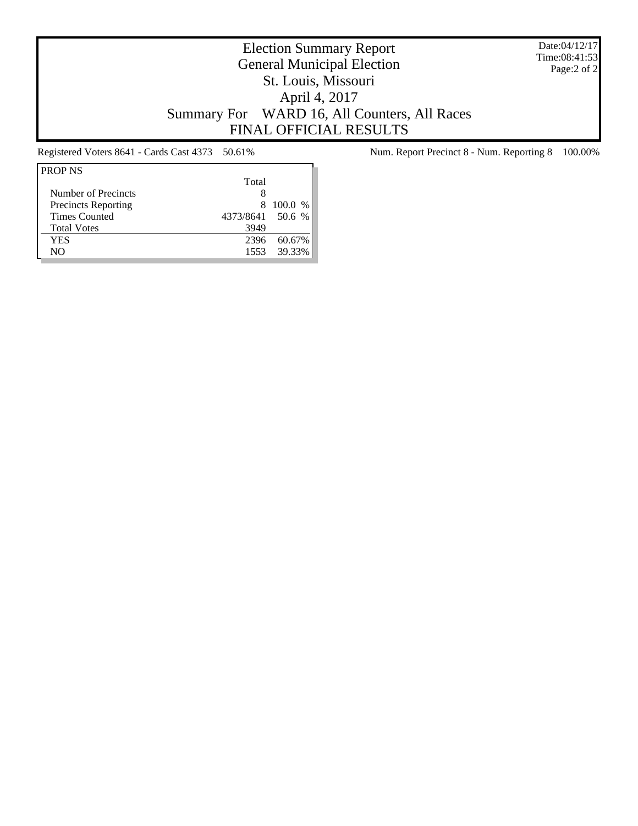Date:04/12/17 Time:08:41:53 Page:2 of 2

# Election Summary Report General Municipal Election St. Louis, Missouri April 4, 2017 Summary For WARD 16, All Counters, All Races FINAL OFFICIAL RESULTS

| Total |                  |
|-------|------------------|
| 8     |                  |
| 8.    | 100.0 %          |
|       |                  |
| 3949  |                  |
| 2396  | 60.67%           |
| 1553  | 39.33%           |
|       | 4373/8641 50.6 % |

Registered Voters 8641 - Cards Cast 4373 50.61% Num. Report Precinct 8 - Num. Reporting 8 100.00%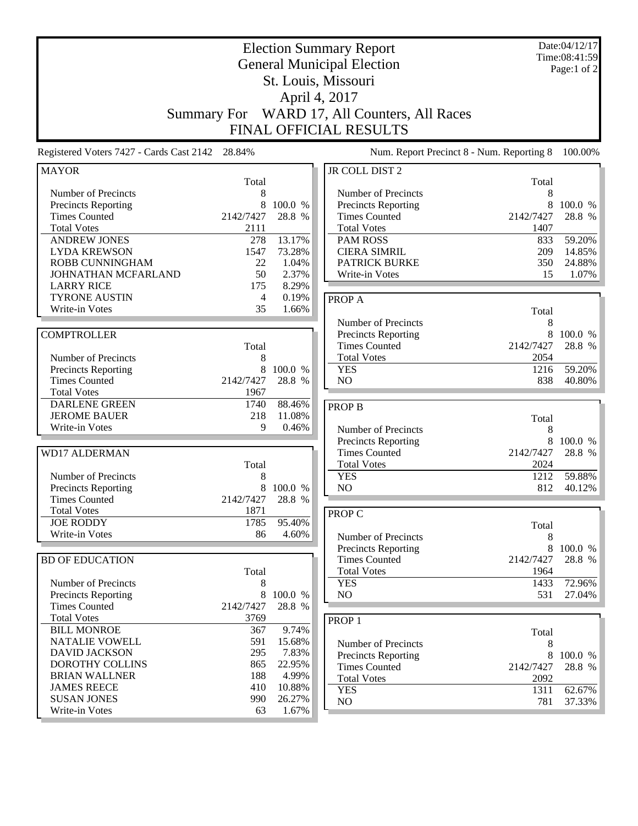|                                                 | <b>Summary For</b> |         | <b>Election Summary Report</b><br><b>General Municipal Election</b><br>St. Louis, Missouri<br>April 4, 2017<br>WARD 17, All Counters, All Races<br><b>FINAL OFFICIAL RESULTS</b> |            | Date:04/12/17<br>Time:08:41:59<br>Page:1 of 2 |
|-------------------------------------------------|--------------------|---------|----------------------------------------------------------------------------------------------------------------------------------------------------------------------------------|------------|-----------------------------------------------|
| Registered Voters 7427 - Cards Cast 2142 28.84% |                    |         | Num. Report Precinct 8 - Num. Reporting 8                                                                                                                                        |            | 100.00%                                       |
| <b>MAYOR</b>                                    |                    |         | JR COLL DIST 2                                                                                                                                                                   |            |                                               |
| Number of Precincts                             | Total<br>8         |         | Number of Precincts                                                                                                                                                              | Total<br>8 |                                               |
| <b>Precincts Reporting</b>                      | 8                  | 100.0 % | Precincts Reporting                                                                                                                                                              | 8          | 100.0 %                                       |
| <b>Times Counted</b>                            | 2142/7427          | 28.8 %  | <b>Times Counted</b>                                                                                                                                                             | 2142/7427  | 28.8 %                                        |
| <b>Total Votes</b>                              | 2111               |         | <b>Total Votes</b>                                                                                                                                                               | 1407       |                                               |
| <b>ANDREW JONES</b>                             | 278                | 13.17%  | <b>PAM ROSS</b>                                                                                                                                                                  | 833        | 59.20%                                        |
| <b>LYDA KREWSON</b>                             | 1547               | 73.28%  | <b>CIERA SIMRIL</b>                                                                                                                                                              | 209        | 14.85%                                        |
| <b>ROBB CUNNINGHAM</b>                          | 22                 | 1.04%   | <b>PATRICK BURKE</b>                                                                                                                                                             | 350        | 24.88%                                        |
| JOHNATHAN MCFARLAND                             | 50                 | 2.37%   | Write-in Votes                                                                                                                                                                   | 15         | 1.07%                                         |
| <b>LARRY RICE</b>                               | 175                | 8.29%   |                                                                                                                                                                                  |            |                                               |
| <b>TYRONE AUSTIN</b>                            | $\overline{4}$     | 0.19%   | <b>PROPA</b>                                                                                                                                                                     |            |                                               |
| Write-in Votes                                  | 35                 | 1.66%   |                                                                                                                                                                                  | Total      |                                               |
|                                                 |                    |         | Number of Precincts                                                                                                                                                              | 8          |                                               |
| <b>COMPTROLLER</b>                              |                    |         | Precincts Reporting                                                                                                                                                              | 8          | 100.0 %                                       |
|                                                 | Total              |         | <b>Times Counted</b>                                                                                                                                                             | 2142/7427  | 28.8 %                                        |
| Number of Precincts                             | 8                  |         | <b>Total Votes</b>                                                                                                                                                               | 2054       |                                               |
| Precincts Reporting                             | 8                  | 100.0 % | <b>YES</b>                                                                                                                                                                       | 1216       | 59.20%                                        |
| <b>Times Counted</b>                            | 2142/7427          | 28.8 %  | N <sub>O</sub>                                                                                                                                                                   | 838        | 40.80%                                        |
| <b>Total Votes</b>                              | 1967               |         |                                                                                                                                                                                  |            |                                               |
| <b>DARLENE GREEN</b>                            | 1740               | 88.46%  | <b>PROP B</b>                                                                                                                                                                    |            |                                               |
| <b>JEROME BAUER</b>                             | 218                | 11.08%  |                                                                                                                                                                                  | Total      |                                               |
| Write-in Votes                                  | 9                  | 0.46%   | Number of Precincts                                                                                                                                                              | 8          |                                               |
|                                                 |                    |         | Precincts Reporting                                                                                                                                                              | 8          | 100.0 %                                       |
| <b>WD17 ALDERMAN</b>                            |                    |         | <b>Times Counted</b>                                                                                                                                                             | 2142/7427  | 28.8 %                                        |
|                                                 | Total              |         | <b>Total Votes</b>                                                                                                                                                               | 2024       |                                               |
| Number of Precincts                             | 8                  |         | <b>YES</b>                                                                                                                                                                       | 1212       | 59.88%                                        |
| Precincts Reporting                             | 8                  | 100.0 % | NO                                                                                                                                                                               | 812        | 40.12%                                        |
| <b>Times Counted</b>                            | 2142/7427          | 28.8 %  |                                                                                                                                                                                  |            |                                               |
| Total Votes                                     | 1871               |         | PROP C                                                                                                                                                                           |            |                                               |
| <b>JOE RODDY</b>                                | 1785               | 95.40%  |                                                                                                                                                                                  | Total      |                                               |
| Write-in Votes                                  | 86                 | 4.60%   | Number of Precincts                                                                                                                                                              | 8          |                                               |
|                                                 |                    |         | Precincts Reporting                                                                                                                                                              | 8          | 100.0 %                                       |
| <b>BD OF EDUCATION</b>                          |                    |         | <b>Times Counted</b>                                                                                                                                                             | 2142/7427  | 28.8 %                                        |
|                                                 | Total              |         | <b>Total Votes</b>                                                                                                                                                               | 1964       |                                               |
| Number of Precincts                             | 8                  |         | <b>YES</b>                                                                                                                                                                       | 1433       | 72.96%                                        |
| Precincts Reporting                             | 8                  | 100.0 % | NO                                                                                                                                                                               | 531        | 27.04%                                        |
| <b>Times Counted</b>                            | 2142/7427          | 28.8 %  |                                                                                                                                                                                  |            |                                               |
| <b>Total Votes</b>                              | 3769               |         | PROP <sub>1</sub>                                                                                                                                                                |            |                                               |
| <b>BILL MONROE</b>                              | 367                | 9.74%   |                                                                                                                                                                                  | Total      |                                               |
| NATALIE VOWELL                                  | 591                | 15.68%  | Number of Precincts                                                                                                                                                              | 8          |                                               |
| <b>DAVID JACKSON</b>                            | 295                | 7.83%   | Precincts Reporting                                                                                                                                                              | 8          | 100.0 %                                       |
| DOROTHY COLLINS                                 | 865                | 22.95%  | <b>Times Counted</b>                                                                                                                                                             | 2142/7427  | 28.8 %                                        |
| <b>BRIAN WALLNER</b>                            | 188                | 4.99%   | <b>Total Votes</b>                                                                                                                                                               | 2092       |                                               |
| <b>JAMES REECE</b>                              | 410                | 10.88%  | <b>YES</b>                                                                                                                                                                       | 1311       | 62.67%                                        |
| <b>SUSAN JONES</b>                              | 990                | 26.27%  | NO                                                                                                                                                                               | 781        | 37.33%                                        |
| Write-in Votes                                  | 63                 | 1.67%   |                                                                                                                                                                                  |            |                                               |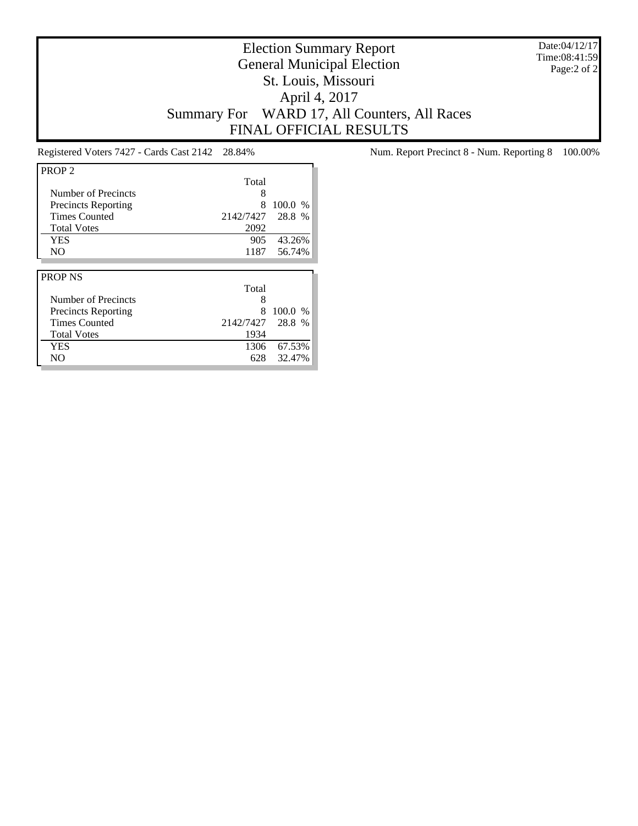Date:04/12/17 Time:08:41:59 Page:2 of 2

# Election Summary Report General Municipal Election St. Louis, Missouri April 4, 2017 Summary For WARD 17, All Counters, All Races FINAL OFFICIAL RESULTS

| PROP <sub>2</sub>          |           |         |
|----------------------------|-----------|---------|
|                            | Total     |         |
| Number of Precincts        | 8         |         |
| <b>Precincts Reporting</b> | 8         | 100.0 % |
| <b>Times Counted</b>       | 2142/7427 | 28.8 %  |
| <b>Total Votes</b>         | 2092      |         |
| YES                        | 905       | 43.26%  |
| N <sub>O</sub>             | 1187      | 56.74%  |
|                            |           |         |
|                            |           |         |
| <b>PROP NS</b>             |           |         |
|                            | Total     |         |
| Number of Precincts        | 8         |         |
| <b>Precincts Reporting</b> | 8         | 100.0 % |
| <b>Times Counted</b>       | 2142/7427 | 28.8 %  |
| <b>Total Votes</b>         | 1934      |         |
| YES                        | 1306      | 67.53%  |

Registered Voters 7427 - Cards Cast 2142 28.84% Num. Report Precinct 8 - Num. Reporting 8 100.00%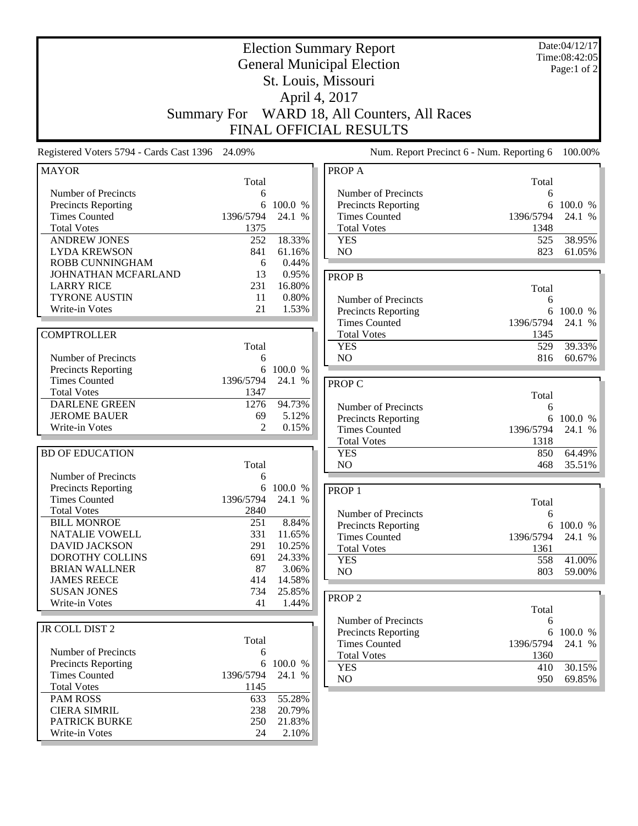| <b>Election Summary Report</b><br><b>General Municipal Election</b> |            |                  |                                                   | Date:04/12/17<br>Time:08:42:05<br>Page:1 of 2 |                   |
|---------------------------------------------------------------------|------------|------------------|---------------------------------------------------|-----------------------------------------------|-------------------|
|                                                                     |            |                  | St. Louis, Missouri                               |                                               |                   |
|                                                                     |            |                  | April 4, 2017                                     |                                               |                   |
|                                                                     |            |                  |                                                   |                                               |                   |
| <b>Summary For</b>                                                  |            |                  | WARD 18, All Counters, All Races                  |                                               |                   |
|                                                                     |            |                  | <b>FINAL OFFICIAL RESULTS</b>                     |                                               |                   |
| Registered Voters 5794 - Cards Cast 1396 24.09%                     |            |                  |                                                   | Num. Report Precinct 6 - Num. Reporting 6     | 100.00%           |
| <b>MAYOR</b>                                                        |            |                  | PROP A                                            |                                               |                   |
|                                                                     | Total      |                  |                                                   | Total                                         |                   |
| Number of Precincts<br>Precincts Reporting                          | 6<br>6     | 100.0 %          | Number of Precincts<br><b>Precincts Reporting</b> | 6<br>6                                        | 100.0 %           |
| <b>Times Counted</b>                                                | 1396/5794  | 24.1 %           | <b>Times Counted</b>                              | 1396/5794                                     | 24.1 %            |
| <b>Total Votes</b>                                                  | 1375       |                  | <b>Total Votes</b>                                | 1348                                          |                   |
| <b>ANDREW JONES</b>                                                 | 252        | 18.33%           | <b>YES</b>                                        | 525                                           | 38.95%            |
| <b>LYDA KREWSON</b>                                                 | 841        | 61.16%           | NO                                                | 823                                           | 61.05%            |
| <b>ROBB CUNNINGHAM</b>                                              | 6          | 0.44%            |                                                   |                                               |                   |
| JOHNATHAN MCFARLAND                                                 | 13         | 0.95%            | <b>PROP B</b>                                     |                                               |                   |
| <b>LARRY RICE</b>                                                   | 231        | 16.80%           |                                                   | Total                                         |                   |
| <b>TYRONE AUSTIN</b>                                                | 11         | 0.80%            | Number of Precincts                               | 6                                             |                   |
| Write-in Votes                                                      | 21         | 1.53%            | Precincts Reporting                               | 6                                             | 100.0 %           |
|                                                                     |            |                  | <b>Times Counted</b>                              | 1396/5794                                     | 24.1 %            |
| <b>COMPTROLLER</b>                                                  |            |                  | <b>Total Votes</b>                                | 1345                                          |                   |
|                                                                     | Total      |                  | <b>YES</b>                                        | 529                                           | 39.33%            |
| Number of Precincts                                                 | 6          |                  | NO                                                | 816                                           | 60.67%            |
| Precincts Reporting                                                 | 6          | 100.0 %          |                                                   |                                               |                   |
| <b>Times Counted</b>                                                | 1396/5794  | 24.1 %           | PROP C                                            |                                               |                   |
| <b>Total Votes</b>                                                  | 1347       |                  |                                                   | Total                                         |                   |
| <b>DARLENE GREEN</b>                                                | 1276       | 94.73%           | Number of Precincts                               | 6                                             |                   |
| <b>JEROME BAUER</b>                                                 | 69         | 5.12%            | <b>Precincts Reporting</b>                        | 6                                             | 100.0 %           |
| Write-in Votes                                                      | 2          | 0.15%            | <b>Times Counted</b>                              | 1396/5794                                     | 24.1 %            |
|                                                                     |            |                  | <b>Total Votes</b>                                | 1318                                          |                   |
| <b>BD OF EDUCATION</b>                                              |            |                  | <b>YES</b>                                        | 850                                           | 64.49%            |
|                                                                     | Total      |                  | N <sub>O</sub>                                    | 468                                           | 35.51%            |
| Number of Precincts                                                 | 6          |                  |                                                   |                                               |                   |
| Precincts Reporting                                                 | 6          | 100.0 %          | PROP <sub>1</sub>                                 |                                               |                   |
| <b>Times Counted</b>                                                | 1396/5794  | 24.1 %           |                                                   | Total                                         |                   |
| <b>Total Votes</b>                                                  | 2840       |                  | Number of Precincts                               | 6                                             |                   |
| <b>BILL MONROE</b>                                                  | 251        | 8.84%            | <b>Precincts Reporting</b>                        | 6                                             | 100.0 %           |
| <b>NATALIE VOWELL</b><br><b>DAVID JACKSON</b>                       | 331<br>291 | 11.65%<br>10.25% | <b>Times Counted</b>                              | 1396/5794                                     | 24.1 %            |
| DOROTHY COLLINS                                                     | 691        | 24.33%           | <b>Total Votes</b>                                | 1361                                          |                   |
| <b>BRIAN WALLNER</b>                                                | 87         | 3.06%            | <b>YES</b>                                        | 558                                           | 41.00%            |
| <b>JAMES REECE</b>                                                  | 414        | 14.58%           | NO                                                | 803                                           | 59.00%            |
| <b>SUSAN JONES</b>                                                  | 734        | 25.85%           |                                                   |                                               |                   |
| Write-in Votes                                                      | 41         | 1.44%            | PROP <sub>2</sub>                                 |                                               |                   |
|                                                                     |            |                  |                                                   | Total                                         |                   |
| JR COLL DIST 2                                                      |            |                  | Number of Precincts                               | 6                                             |                   |
|                                                                     | Total      |                  | Precincts Reporting<br><b>Times Counted</b>       | 6<br>1396/5794                                | 100.0 %<br>24.1 % |
| Number of Precincts                                                 | 6          |                  | <b>Total Votes</b>                                | 1360                                          |                   |
| Precincts Reporting                                                 | 6          | 100.0 %          | <b>YES</b>                                        | 410                                           | 30.15%            |
| <b>Times Counted</b>                                                | 1396/5794  | 24.1 %           | NO                                                | 950                                           | 69.85%            |
| <b>Total Votes</b>                                                  | 1145       |                  |                                                   |                                               |                   |
| <b>PAM ROSS</b>                                                     | 633        | 55.28%           |                                                   |                                               |                   |
| <b>CIERA SIMRIL</b>                                                 | 238        | 20.79%           |                                                   |                                               |                   |
| PATRICK BURKE                                                       | 250        | 21.83%           |                                                   |                                               |                   |
| Write-in Votes                                                      | 24         | 2.10%            |                                                   |                                               |                   |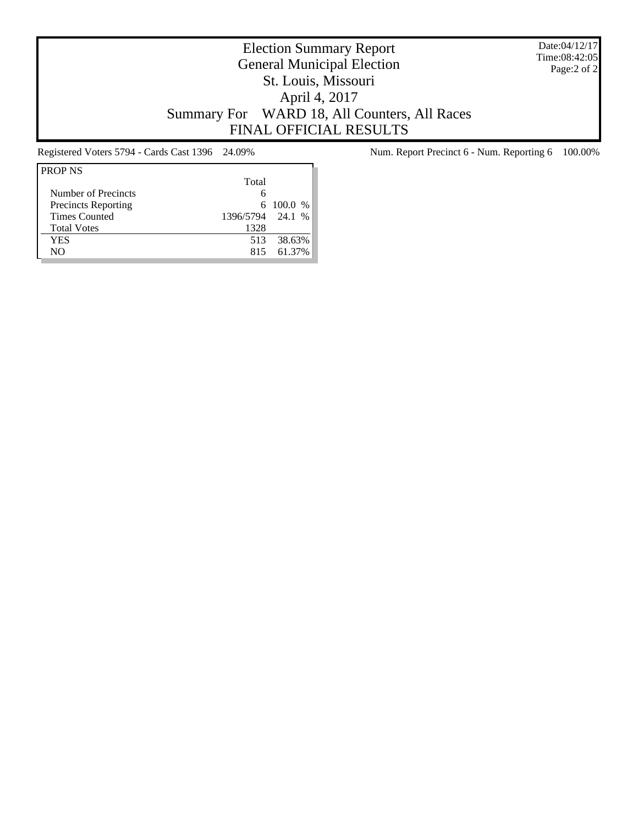Date:04/12/17 Time:08:42:05 Page:2 of 2

# Election Summary Report General Municipal Election St. Louis, Missouri April 4, 2017 Summary For WARD 18, All Counters, All Races FINAL OFFICIAL RESULTS

| <b>PROP NS</b>             |                  |             |
|----------------------------|------------------|-------------|
|                            | Total            |             |
| Number of Precincts        | 6                |             |
| <b>Precincts Reporting</b> |                  | 6 100.0 $%$ |
| <b>Times Counted</b>       | 1396/5794 24.1 % |             |
| <b>Total Votes</b>         | 1328             |             |
| YES                        | 513              | 38.63%      |
| NΟ                         | 815              | 61.37%      |

Registered Voters 5794 - Cards Cast 1396 24.09% Num. Report Precinct 6 - Num. Reporting 6 100.00%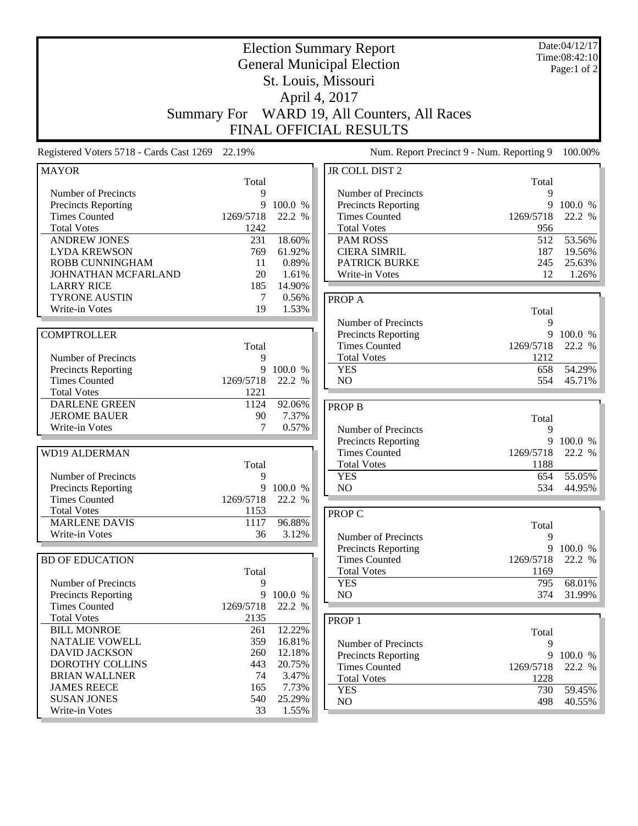|                                                | <b>Summary For</b> |                  | <b>Election Summary Report</b><br><b>General Municipal Election</b><br>St. Louis, Missouri<br>April 4, 2017<br>WARD 19, All Counters, All Races<br>FINAL OFFICIAL RESULTS |                | Date:04/12/17<br>Time:08:42:10<br>Page:1 of 2 |
|------------------------------------------------|--------------------|------------------|---------------------------------------------------------------------------------------------------------------------------------------------------------------------------|----------------|-----------------------------------------------|
| Registered Voters 5718 - Cards Cast 1269       | 22.19%             |                  | Num. Report Precinct 9 - Num. Reporting 9                                                                                                                                 |                | 100.00%                                       |
| <b>MAYOR</b>                                   |                    |                  | <b>JR COLL DIST 2</b>                                                                                                                                                     |                |                                               |
| Number of Precincts                            | Total<br>9         |                  | Number of Precincts                                                                                                                                                       | Total<br>9     |                                               |
| <b>Precincts Reporting</b>                     | 9                  | 100.0 %          | Precincts Reporting                                                                                                                                                       | 9              | 100.0 %                                       |
| <b>Times Counted</b>                           | 1269/5718          | 22.2 %           | <b>Times Counted</b>                                                                                                                                                      | 1269/5718      | 22.2 %                                        |
| <b>Total Votes</b>                             | 1242               |                  | <b>Total Votes</b>                                                                                                                                                        | 956            |                                               |
| <b>ANDREW JONES</b>                            | 231                | 18.60%           | <b>PAM ROSS</b>                                                                                                                                                           | 512            | 53.56%                                        |
| <b>LYDA KREWSON</b>                            | 769                | 61.92%           | <b>CIERA SIMRIL</b>                                                                                                                                                       | 187            | 19.56%                                        |
| ROBB CUNNINGHAM                                | 11                 | 0.89%            | <b>PATRICK BURKE</b>                                                                                                                                                      | 245            | 25.63%                                        |
| JOHNATHAN MCFARLAND                            | 20                 | 1.61%            | Write-in Votes                                                                                                                                                            | 12             | 1.26%                                         |
| <b>LARRY RICE</b>                              | 185                | 14.90%           |                                                                                                                                                                           |                |                                               |
| <b>TYRONE AUSTIN</b>                           | 7<br>19            | 0.56%            | PROP A                                                                                                                                                                    |                |                                               |
| Write-in Votes                                 |                    | 1.53%            |                                                                                                                                                                           | Total          |                                               |
|                                                |                    |                  | Number of Precincts                                                                                                                                                       | 9              |                                               |
| <b>COMPTROLLER</b>                             |                    |                  | <b>Precincts Reporting</b><br><b>Times Counted</b>                                                                                                                        | 9<br>1269/5718 | 100.0 %<br>22.2 %                             |
| Number of Precincts                            | Total<br>9         |                  | <b>Total Votes</b>                                                                                                                                                        | 1212           |                                               |
| <b>Precincts Reporting</b>                     | 9                  | 100.0 %          | <b>YES</b>                                                                                                                                                                | 658            | 54.29%                                        |
| <b>Times Counted</b>                           | 1269/5718          | 22.2 %           | N <sub>O</sub>                                                                                                                                                            | 554            | 45.71%                                        |
| <b>Total Votes</b>                             | 1221               |                  |                                                                                                                                                                           |                |                                               |
| <b>DARLENE GREEN</b>                           | 1124               | 92.06%           | <b>PROP B</b>                                                                                                                                                             |                |                                               |
| <b>JEROME BAUER</b>                            | 90                 | 7.37%            |                                                                                                                                                                           | Total          |                                               |
| Write-in Votes                                 | 7                  | 0.57%            | Number of Precincts                                                                                                                                                       | 9              |                                               |
|                                                |                    |                  | Precincts Reporting                                                                                                                                                       | 9              | 100.0 %                                       |
| <b>WD19 ALDERMAN</b>                           |                    |                  | <b>Times Counted</b>                                                                                                                                                      | 1269/5718      | 22.2 %                                        |
|                                                | Total              |                  | <b>Total Votes</b>                                                                                                                                                        | 1188           |                                               |
| Number of Precincts                            | 9                  |                  | <b>YES</b>                                                                                                                                                                | 654            | 55.05%                                        |
| <b>Precincts Reporting</b>                     | 9                  | 100.0 %          | NO                                                                                                                                                                        | 534            | 44.95%                                        |
| <b>Times Counted</b>                           | 1269/5718          | 22.2 %           |                                                                                                                                                                           |                |                                               |
| <b>Total Votes</b>                             | 1153               |                  | <b>PROP C</b>                                                                                                                                                             |                |                                               |
| <b>MARLENE DAVIS</b>                           | 1117               | 96.88%           |                                                                                                                                                                           | Total          |                                               |
| Write-in Votes                                 | 36                 | 3.12%            | Number of Precincts                                                                                                                                                       | 9              |                                               |
|                                                |                    |                  | Precincts Reporting                                                                                                                                                       | 9              | 100.0 %                                       |
| <b>BD OF EDUCATION</b>                         |                    |                  | <b>Times Counted</b>                                                                                                                                                      | 1269/5718      | 22.2 %                                        |
|                                                | Total              |                  | <b>Total Votes</b>                                                                                                                                                        | 1169           |                                               |
| Number of Precincts                            | 9                  |                  | <b>YES</b>                                                                                                                                                                | 795            | 68.01%                                        |
| <b>Precincts Reporting</b>                     | 9                  | 100.0 %          | NO                                                                                                                                                                        | 374            | 31.99%                                        |
| <b>Times Counted</b>                           | 1269/5718          | 22.2 %           |                                                                                                                                                                           |                |                                               |
| <b>Total Votes</b>                             | 2135               |                  | PROP <sub>1</sub>                                                                                                                                                         |                |                                               |
| <b>BILL MONROE</b>                             | 261                | 12.22%           |                                                                                                                                                                           | Total          |                                               |
| <b>NATALIE VOWELL</b>                          | 359                | 16.81%           | Number of Precincts                                                                                                                                                       | 9              |                                               |
| <b>DAVID JACKSON</b><br><b>DOROTHY COLLINS</b> | 260<br>443         | 12.18%<br>20.75% | Precincts Reporting                                                                                                                                                       | 9              | 100.0 %                                       |
| <b>BRIAN WALLNER</b>                           | 74                 | 3.47%            | <b>Times Counted</b>                                                                                                                                                      | 1269/5718      | 22.2 %                                        |
| <b>JAMES REECE</b>                             | 165                | 7.73%            | <b>Total Votes</b>                                                                                                                                                        | 1228           |                                               |
| <b>SUSAN JONES</b>                             | 540                | 25.29%           | <b>YES</b>                                                                                                                                                                | 730            | 59.45%                                        |
| Write-in Votes                                 | 33                 | 1.55%            | NO                                                                                                                                                                        | 498            | 40.55%                                        |
|                                                |                    |                  |                                                                                                                                                                           |                |                                               |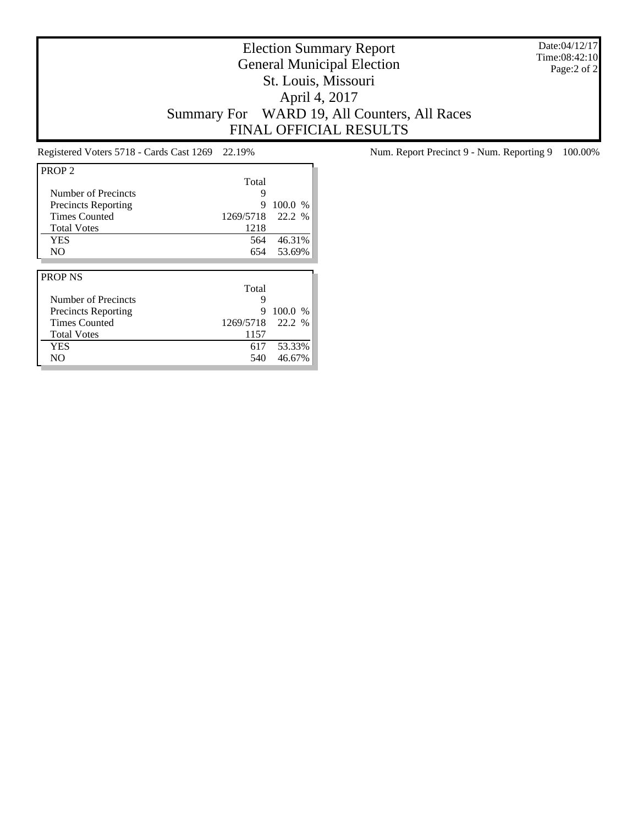Date:04/12/17 Time:08:42:10 Page:2 of 2

# Election Summary Report General Municipal Election St. Louis, Missouri April 4, 2017 Summary For WARD 19, All Counters, All Races FINAL OFFICIAL RESULTS

| PROP <sub>2</sub>          |           |         |
|----------------------------|-----------|---------|
|                            | Total     |         |
| Number of Precincts        | 9         |         |
| <b>Precincts Reporting</b> | 9         | 100.0 % |
| <b>Times Counted</b>       | 1269/5718 | 22.2 %  |
| <b>Total Votes</b>         | 1218      |         |
| <b>YES</b>                 | 564       | 46.31%  |
| N <sub>O</sub>             | 654       | 53.69%  |
|                            |           |         |
|                            |           |         |
| <b>PROP NS</b>             |           |         |
|                            | Total     |         |
| Number of Precincts        | 9         |         |
| <b>Precincts Reporting</b> | 9         | 100.0 % |
| <b>Times Counted</b>       | 1269/5718 | 22.2%   |
| <b>Total Votes</b>         | 1157      |         |
| YES                        | 617       | 53.33%  |

Registered Voters 5718 - Cards Cast 1269 22.19% Num. Report Precinct 9 - Num. Reporting 9 100.00%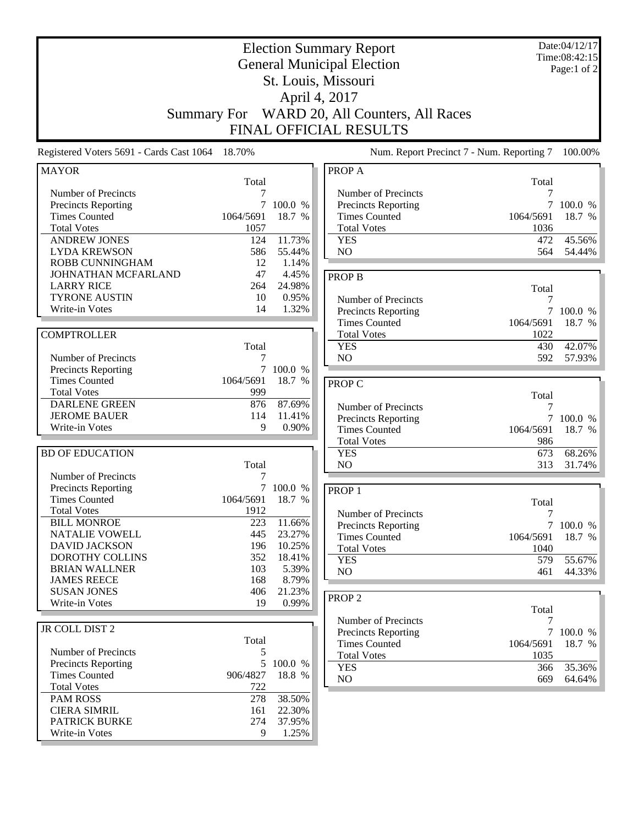| <b>Election Summary Report</b><br><b>General Municipal Election</b><br>St. Louis, Missouri<br>April 4, 2017                            |                                     |                                                  |                                                                                                              | Date:04/12/17<br>Time:08:42:15<br>Page:1 of 2 |                                         |
|----------------------------------------------------------------------------------------------------------------------------------------|-------------------------------------|--------------------------------------------------|--------------------------------------------------------------------------------------------------------------|-----------------------------------------------|-----------------------------------------|
| <b>Summary For</b>                                                                                                                     |                                     |                                                  | WARD 20, All Counters, All Races<br><b>FINAL OFFICIAL RESULTS</b>                                            |                                               |                                         |
| Registered Voters 5691 - Cards Cast 1064                                                                                               | 18.70%                              |                                                  | Num. Report Precinct 7 - Num. Reporting 7                                                                    |                                               | 100.00%                                 |
| <b>MAYOR</b>                                                                                                                           | Total                               |                                                  | PROP A                                                                                                       | Total                                         |                                         |
| Number of Precincts<br>Precincts Reporting<br><b>Times Counted</b><br><b>Total Votes</b><br><b>ANDREW JONES</b><br><b>LYDA KREWSON</b> | 1064/5691<br>1057<br>124<br>586     | 100.0 %<br>18.7 %<br>11.73%<br>55.44%            | Number of Precincts<br>Precincts Reporting<br><b>Times Counted</b><br><b>Total Votes</b><br><b>YES</b><br>NO | 7<br>7<br>1064/5691<br>1036<br>472<br>564     | 100.0 %<br>18.7 %<br>45.56%<br>54.44%   |
| ROBB CUNNINGHAM<br>JOHNATHAN MCFARLAND<br><b>LARRY RICE</b><br><b>TYRONE AUSTIN</b><br>Write-in Votes                                  | 12<br>47<br>264<br>10<br>14         | 1.14%<br>4.45%<br>24.98%<br>0.95%<br>1.32%       | <b>PROP B</b><br>Number of Precincts<br>Precincts Reporting                                                  | Total<br>7<br>7                               | 100.0 %                                 |
| <b>COMPTROLLER</b><br>Number of Precincts                                                                                              | Total                               |                                                  | <b>Times Counted</b><br><b>Total Votes</b><br><b>YES</b><br>N <sub>O</sub>                                   | 1064/5691<br>1022<br>430<br>592               | 18.7 %<br>42.07%<br>57.93%              |
| Precincts Reporting<br><b>Times Counted</b><br><b>Total Votes</b><br><b>DARLENE GREEN</b><br><b>JEROME BAUER</b><br>Write-in Votes     | 1064/5691<br>999<br>876<br>114<br>9 | 7 100.0 %<br>18.7 %<br>87.69%<br>11.41%<br>0.90% | PROP C<br>Number of Precincts<br>Precincts Reporting                                                         | Total<br>7<br>$\tau$                          | 100.0 %                                 |
| <b>BD OF EDUCATION</b>                                                                                                                 |                                     |                                                  | <b>Times Counted</b><br><b>Total Votes</b><br><b>YES</b>                                                     | 1064/5691<br>986<br>673                       | 18.7 %<br>68.26%                        |
| Number of Precincts<br>Precincts Reporting<br><b>Times Counted</b><br><b>Total Votes</b>                                               | Total<br>7<br>1064/5691<br>1912     | 100.0 %<br>18.7<br>%                             | NO<br>PROP <sub>1</sub><br>Number of Precincts                                                               | 313<br>Total<br>$\boldsymbol{7}$              | 31.74%                                  |
| <b>BILL MONROE</b><br>NATALIE VOWELL<br><b>DAVID JACKSON</b><br>DOROTHY COLLINS<br><b>BRIAN WALLNER</b>                                | 223<br>445<br>196<br>352<br>103     | 11.66%<br>23.27%<br>10.25%<br>18.41%<br>5.39%    | <b>Precincts Reporting</b><br><b>Times Counted</b><br><b>Total Votes</b><br><b>YES</b><br>NO                 | 1064/5691<br>1040<br>579<br>461               | 7 100.0 %<br>18.7 %<br>55.67%<br>44.33% |
| <b>JAMES REECE</b><br><b>SUSAN JONES</b><br>Write-in Votes                                                                             | 168<br>406<br>19                    | 8.79%<br>21.23%<br>0.99%                         | PROP <sub>2</sub>                                                                                            | Total                                         |                                         |
| JR COLL DIST 2<br>Number of Precincts<br><b>Precincts Reporting</b><br><b>Times Counted</b>                                            | Total<br>5<br>5<br>906/4827         | 100.0 %<br>18.8 %                                | Number of Precincts<br>Precincts Reporting<br><b>Times Counted</b><br><b>Total Votes</b><br><b>YES</b><br>NO | 7<br>1064/5691<br>1035<br>366<br>669          | 7 100.0 %<br>18.7 %<br>35.36%<br>64.64% |
| <b>Total Votes</b><br><b>PAM ROSS</b><br><b>CIERA SIMRIL</b><br>PATRICK BURKE<br>Write-in Votes                                        | 722<br>278<br>161<br>274<br>9       | 38.50%<br>22.30%<br>37.95%<br>1.25%              |                                                                                                              |                                               |                                         |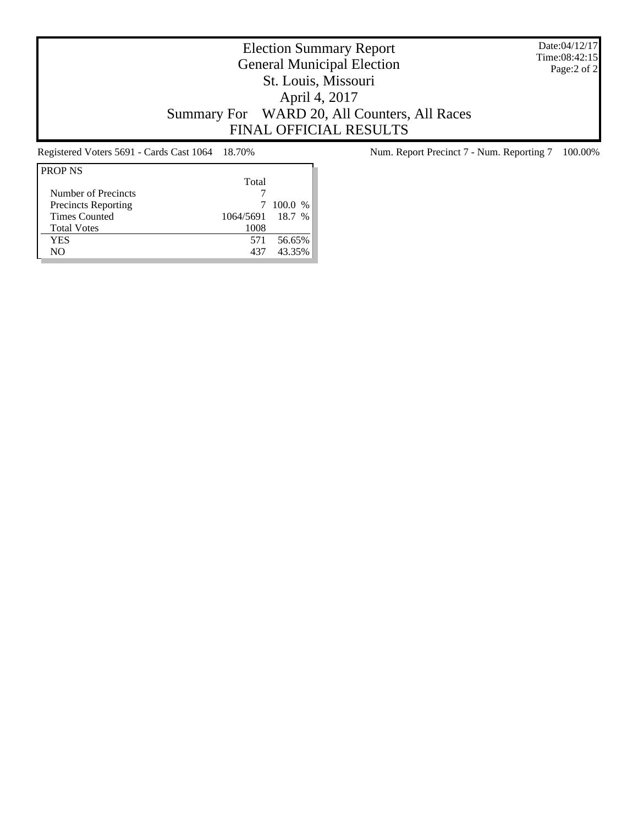Date:04/12/17 Time:08:42:15 Page:2 of 2

# Election Summary Report General Municipal Election St. Louis, Missouri April 4, 2017 Summary For WARD 20, All Counters, All Races FINAL OFFICIAL RESULTS

| Total                                    |  |
|------------------------------------------|--|
| Number of Precincts                      |  |
| <b>Precincts Reporting</b><br>100.0 %    |  |
| <b>Times Counted</b><br>1064/5691 18.7 % |  |
| 1008<br><b>Total Votes</b>               |  |
| YES<br>56.65%<br>571                     |  |
| 43.35%<br>NO.<br>437                     |  |

Registered Voters 5691 - Cards Cast 1064 18.70% Num. Report Precinct 7 - Num. Reporting 7 100.00%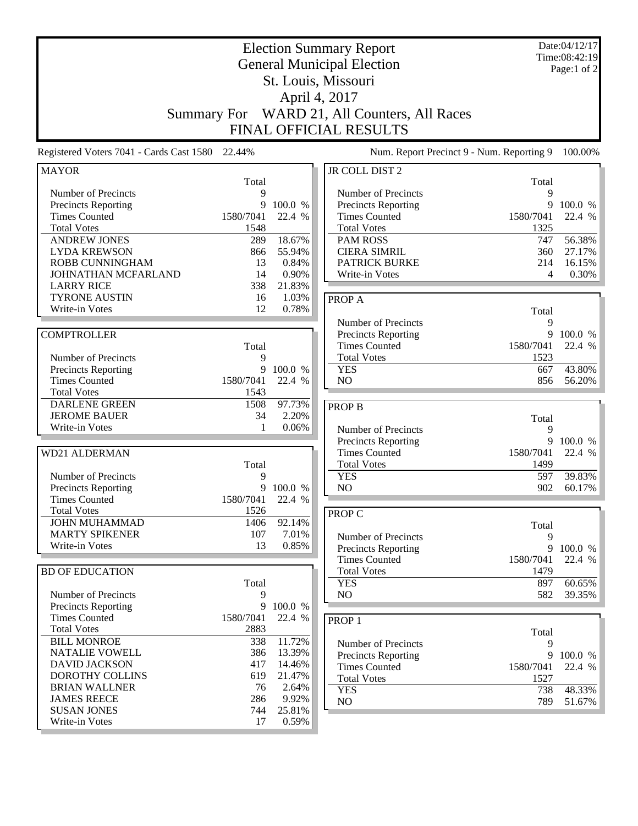| <b>Election Summary Report</b><br><b>General Municipal Election</b> |           |         | Date:04/12/17<br>Time:08:42:19<br>Page:1 of 2 |           |         |
|---------------------------------------------------------------------|-----------|---------|-----------------------------------------------|-----------|---------|
|                                                                     |           |         | St. Louis, Missouri                           |           |         |
|                                                                     |           |         |                                               |           |         |
|                                                                     |           |         | April 4, 2017                                 |           |         |
| <b>Summary For</b>                                                  |           |         | WARD 21, All Counters, All Races              |           |         |
|                                                                     |           |         | FINAL OFFICIAL RESULTS                        |           |         |
| Registered Voters 7041 - Cards Cast 1580 22.44%                     |           |         | Num. Report Precinct 9 - Num. Reporting 9     |           | 100.00% |
| <b>MAYOR</b>                                                        |           |         | <b>JR COLL DIST 2</b>                         |           |         |
|                                                                     | Total     |         |                                               | Total     |         |
| Number of Precincts                                                 | 9         |         | Number of Precincts                           | 9         |         |
| <b>Precincts Reporting</b>                                          | 9         | 100.0 % | Precincts Reporting                           | 9         | 100.0 % |
| <b>Times Counted</b>                                                | 1580/7041 | 22.4 %  | <b>Times Counted</b>                          | 1580/7041 | 22.4 %  |
| <b>Total Votes</b>                                                  | 1548      |         | <b>Total Votes</b>                            | 1325      |         |
| <b>ANDREW JONES</b>                                                 | 289       | 18.67%  | <b>PAM ROSS</b>                               | 747       | 56.38%  |
| <b>LYDA KREWSON</b>                                                 | 866       | 55.94%  | <b>CIERA SIMRIL</b>                           | 360       | 27.17%  |
| ROBB CUNNINGHAM                                                     | 13        | 0.84%   | <b>PATRICK BURKE</b>                          | 214       | 16.15%  |
| JOHNATHAN MCFARLAND                                                 | 14        | 0.90%   | Write-in Votes                                | 4         | 0.30%   |
| <b>LARRY RICE</b>                                                   | 338       | 21.83%  |                                               |           |         |
| <b>TYRONE AUSTIN</b>                                                | 16        | 1.03%   | PROP A                                        |           |         |
| Write-in Votes                                                      | 12        | 0.78%   |                                               | Total     |         |
|                                                                     |           |         | Number of Precincts                           | 9         |         |
| <b>COMPTROLLER</b>                                                  |           |         | Precincts Reporting                           | 9         | 100.0 % |
|                                                                     | Total     |         | <b>Times Counted</b>                          | 1580/7041 | 22.4 %  |
| Number of Precincts                                                 | 9         |         | <b>Total Votes</b>                            | 1523      |         |
| Precincts Reporting                                                 | 9         | 100.0 % | <b>YES</b>                                    | 667       | 43.80%  |
| <b>Times Counted</b>                                                | 1580/7041 | 22.4 %  | NO                                            | 856       | 56.20%  |
| <b>Total Votes</b>                                                  | 1543      |         |                                               |           |         |
| <b>DARLENE GREEN</b>                                                | 1508      | 97.73%  | <b>PROP B</b>                                 |           |         |
| <b>JEROME BAUER</b>                                                 | 34        | 2.20%   |                                               | Total     |         |
| Write-in Votes                                                      | 1         | 0.06%   | Number of Precincts                           | 9         |         |
|                                                                     |           |         | Precincts Reporting                           | 9         | 100.0 % |
| <b>WD21 ALDERMAN</b>                                                |           |         | <b>Times Counted</b>                          | 1580/7041 | 22.4 %  |
|                                                                     | Total     |         | <b>Total Votes</b>                            | 1499      |         |
| Number of Precincts                                                 | 9         |         | <b>YES</b>                                    | 597       | 39.83%  |
| Precincts Reporting                                                 | 9         | 100.0 % | NO                                            | 902       | 60.17%  |
| <b>Times Counted</b>                                                | 1580/7041 | 22.4 %  |                                               |           |         |
| <b>Total Votes</b>                                                  | 1526      |         | <b>PROP C</b>                                 |           |         |
| <b>JOHN MUHAMMAD</b>                                                | 1406      | 92.14%  |                                               | Total     |         |
| <b>MARTY SPIKENER</b>                                               | 107       | 7.01%   | Number of Precincts                           | 9         |         |
| Write-in Votes                                                      | 13        | 0.85%   | <b>Precincts Reporting</b>                    | 9         | 100.0 % |
|                                                                     |           |         | <b>Times Counted</b>                          | 1580/7041 | 22.4 %  |
| <b>BD OF EDUCATION</b>                                              |           |         | <b>Total Votes</b>                            | 1479      |         |
|                                                                     | Total     |         | <b>YES</b>                                    | 897       | 60.65%  |
| Number of Precincts                                                 | 9         |         | N <sub>O</sub>                                | 582       | 39.35%  |
| <b>Precincts Reporting</b>                                          | 9         | 100.0 % |                                               |           |         |
| <b>Times Counted</b>                                                | 1580/7041 | 22.4 %  | PROP <sub>1</sub>                             |           |         |
| <b>Total Votes</b>                                                  | 2883      |         |                                               | Total     |         |
| <b>BILL MONROE</b>                                                  | 338       | 11.72%  | Number of Precincts                           | 9         |         |
| NATALIE VOWELL                                                      | 386       | 13.39%  | Precincts Reporting                           | 9         | 100.0 % |
| <b>DAVID JACKSON</b>                                                | 417       | 14.46%  | <b>Times Counted</b>                          | 1580/7041 | 22.4 %  |
| DOROTHY COLLINS                                                     | 619       | 21.47%  | <b>Total Votes</b>                            | 1527      |         |
| <b>BRIAN WALLNER</b>                                                | 76        | 2.64%   | <b>YES</b>                                    | 738       | 48.33%  |
| <b>JAMES REECE</b>                                                  | 286       | 9.92%   | NO                                            | 789       | 51.67%  |
| <b>SUSAN JONES</b>                                                  | 744       | 25.81%  |                                               |           |         |
| Write-in Votes                                                      | 17        | 0.59%   |                                               |           |         |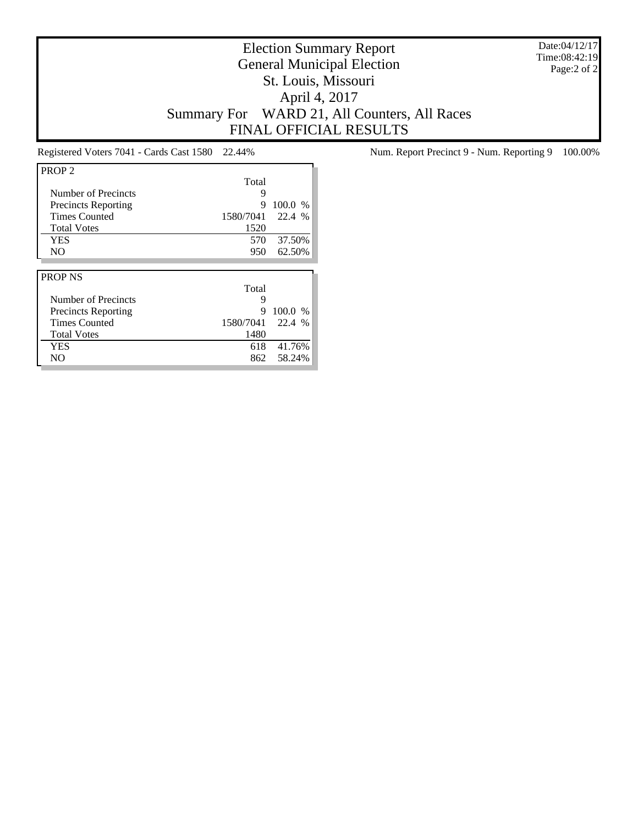Date:04/12/17 Time:08:42:19 Page:2 of 2

# Election Summary Report General Municipal Election St. Louis, Missouri April 4, 2017 Summary For WARD 21, All Counters, All Races FINAL OFFICIAL RESULTS

| PROP <sub>2</sub>          |                     |  |
|----------------------------|---------------------|--|
|                            | Total               |  |
| Number of Precincts        | 9                   |  |
| <b>Precincts Reporting</b> | 100.0 %<br>9        |  |
| <b>Times Counted</b>       | 22.4 %<br>1580/7041 |  |
| <b>Total Votes</b>         | 1520                |  |
| YES                        | 570<br>37.50%       |  |
| NO.                        | 62.50%<br>950       |  |
|                            |                     |  |
|                            |                     |  |
| <b>PROP NS</b>             |                     |  |
|                            | Total               |  |
| Number of Precincts        | 9                   |  |
| <b>Precincts Reporting</b> | 100.0 %<br>9        |  |
| <b>Times Counted</b>       | 1580/7041<br>22.4 % |  |
| <b>Total Votes</b>         | 1480                |  |
| <b>YES</b>                 | 41.76%<br>618       |  |

Registered Voters 7041 - Cards Cast 1580 22.44% Num. Report Precinct 9 - Num. Reporting 9 100.00%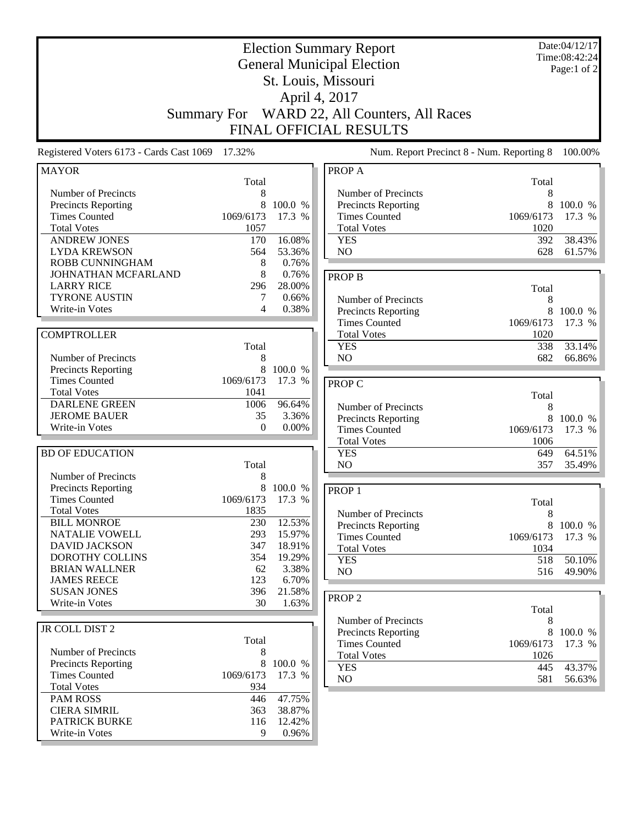| <b>Election Summary Report</b><br><b>General Municipal Election</b> |                                                                |              |                                            |                   | Date:04/12/17<br>Time:08:42:24 |  |  |
|---------------------------------------------------------------------|----------------------------------------------------------------|--------------|--------------------------------------------|-------------------|--------------------------------|--|--|
|                                                                     |                                                                |              |                                            |                   | Page:1 of 2                    |  |  |
|                                                                     |                                                                |              | St. Louis, Missouri                        |                   |                                |  |  |
|                                                                     |                                                                |              | April 4, 2017                              |                   |                                |  |  |
| <b>Summary For</b>                                                  |                                                                |              | WARD 22, All Counters, All Races           |                   |                                |  |  |
|                                                                     |                                                                |              | <b>FINAL OFFICIAL RESULTS</b>              |                   |                                |  |  |
| Registered Voters 6173 - Cards Cast 1069                            | 17.32%<br>Num. Report Precinct 8 - Num. Reporting 8<br>100.00% |              |                                            |                   |                                |  |  |
| <b>MAYOR</b>                                                        |                                                                |              | PROP A                                     |                   |                                |  |  |
|                                                                     | Total                                                          |              |                                            | Total             |                                |  |  |
| Number of Precincts                                                 | 8                                                              |              | Number of Precincts                        | 8                 |                                |  |  |
| <b>Precincts Reporting</b>                                          | 8                                                              | 100.0 %      | <b>Precincts Reporting</b>                 | 8                 | 100.0 %                        |  |  |
| <b>Times Counted</b><br><b>Total Votes</b>                          | 1069/6173<br>1057                                              | 17.3 %       | <b>Times Counted</b><br><b>Total Votes</b> | 1069/6173<br>1020 | 17.3 %                         |  |  |
| <b>ANDREW JONES</b>                                                 | 170                                                            | 16.08%       | <b>YES</b>                                 | 392               | 38.43%                         |  |  |
| <b>LYDA KREWSON</b>                                                 | 564                                                            | 53.36%       | N <sub>O</sub>                             | 628               | 61.57%                         |  |  |
| <b>ROBB CUNNINGHAM</b>                                              | 8                                                              | 0.76%        |                                            |                   |                                |  |  |
| JOHNATHAN MCFARLAND                                                 | 8                                                              | 0.76%        | <b>PROP B</b>                              |                   |                                |  |  |
| <b>LARRY RICE</b>                                                   | 296                                                            | 28.00%       |                                            | Total             |                                |  |  |
| <b>TYRONE AUSTIN</b>                                                | 7                                                              | 0.66%        | Number of Precincts                        | 8                 |                                |  |  |
| Write-in Votes                                                      | 4                                                              | 0.38%        | <b>Precincts Reporting</b>                 | 8                 | 100.0 %                        |  |  |
|                                                                     |                                                                |              | <b>Times Counted</b>                       | 1069/6173         | 17.3 %                         |  |  |
| <b>COMPTROLLER</b>                                                  |                                                                |              | <b>Total Votes</b>                         | 1020              |                                |  |  |
|                                                                     | Total                                                          |              | <b>YES</b>                                 | 338               | 33.14%                         |  |  |
| Number of Precincts                                                 | 8                                                              |              | N <sub>O</sub>                             | 682               | 66.86%                         |  |  |
| <b>Precincts Reporting</b>                                          | 8                                                              | 100.0 %      |                                            |                   |                                |  |  |
| <b>Times Counted</b>                                                | 1069/6173                                                      | 17.3 %       | PROP C                                     |                   |                                |  |  |
| <b>Total Votes</b>                                                  | 1041                                                           |              |                                            | Total             |                                |  |  |
| <b>DARLENE GREEN</b>                                                | 1006                                                           | 96.64%       | Number of Precincts                        | 8                 |                                |  |  |
| <b>JEROME BAUER</b><br>Write-in Votes                               | 35<br>$\overline{0}$                                           | 3.36%        | <b>Precincts Reporting</b>                 | 8                 | 100.0 %                        |  |  |
|                                                                     |                                                                | 0.00%        | <b>Times Counted</b>                       | 1069/6173         | 17.3 %                         |  |  |
|                                                                     |                                                                |              | <b>Total Votes</b>                         | 1006              |                                |  |  |
| <b>BD OF EDUCATION</b>                                              | Total                                                          |              | <b>YES</b><br>NO                           | 649<br>357        | 64.51%<br>35.49%               |  |  |
| Number of Precincts                                                 | 8                                                              |              |                                            |                   |                                |  |  |
| <b>Precincts Reporting</b>                                          | 8                                                              | 100.0 %      | PROP <sub>1</sub>                          |                   |                                |  |  |
| <b>Times Counted</b>                                                | 1069/6173                                                      | 17.3<br>$\%$ |                                            |                   |                                |  |  |
| <b>Total Votes</b>                                                  | 1835                                                           |              | Number of Precincts                        | Total<br>8        |                                |  |  |
| <b>BILL MONROE</b>                                                  | 230                                                            | 12.53%       | <b>Precincts Reporting</b>                 | 8                 | 100.0 %                        |  |  |
| <b>NATALIE VOWELL</b>                                               | 293                                                            | 15.97%       | <b>Times Counted</b>                       | 1069/6173         | 17.3 %                         |  |  |
| <b>DAVID JACKSON</b>                                                | 347                                                            | 18.91%       | <b>Total Votes</b>                         | 1034              |                                |  |  |
| DOROTHY COLLINS                                                     | 354                                                            | 19.29%       | <b>YES</b>                                 | 518               | 50.10%                         |  |  |
| <b>BRIAN WALLNER</b>                                                | 62                                                             | 3.38%        | NO                                         | 516               | 49.90%                         |  |  |
| <b>JAMES REECE</b>                                                  | 123                                                            | 6.70%        |                                            |                   |                                |  |  |
| <b>SUSAN JONES</b>                                                  | 396                                                            | 21.58%       | PROP <sub>2</sub>                          |                   |                                |  |  |
| Write-in Votes                                                      | 30                                                             | 1.63%        |                                            | Total             |                                |  |  |
|                                                                     |                                                                |              | Number of Precincts                        | 8                 |                                |  |  |
| JR COLL DIST 2                                                      |                                                                |              | <b>Precincts Reporting</b>                 | 8                 | 100.0 %                        |  |  |
| Number of Precincts                                                 | Total<br>8                                                     |              | <b>Times Counted</b>                       | 1069/6173         | 17.3 %                         |  |  |
| <b>Precincts Reporting</b>                                          | 8                                                              | 100.0 %      | <b>Total Votes</b>                         | 1026              |                                |  |  |
| <b>Times Counted</b>                                                | 1069/6173                                                      | 17.3 %       | <b>YES</b>                                 | 445               | 43.37%                         |  |  |
| <b>Total Votes</b>                                                  | 934                                                            |              | NO                                         | 581               | 56.63%                         |  |  |
| <b>PAM ROSS</b>                                                     | 446                                                            | 47.75%       |                                            |                   |                                |  |  |
| <b>CIERA SIMRIL</b>                                                 | 363                                                            | 38.87%       |                                            |                   |                                |  |  |
| <b>PATRICK BURKE</b>                                                | 116                                                            | 12.42%       |                                            |                   |                                |  |  |
| Write-in Votes                                                      | 9                                                              | 0.96%        |                                            |                   |                                |  |  |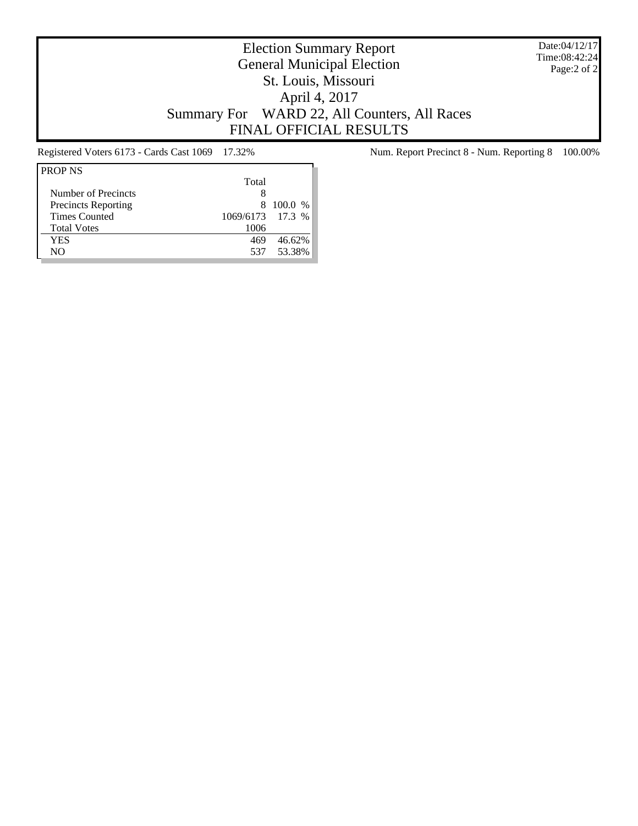Date:04/12/17 Time:08:42:24 Page:2 of 2

# Election Summary Report General Municipal Election St. Louis, Missouri April 4, 2017 Summary For WARD 22, All Counters, All Races FINAL OFFICIAL RESULTS

| <b>PROP NS</b>             |                  |            |
|----------------------------|------------------|------------|
|                            | Total            |            |
| Number of Precincts        | 8                |            |
| <b>Precincts Reporting</b> | 8                | 100.0 %    |
| <b>Times Counted</b>       | 1069/6173 17.3 % |            |
| <b>Total Votes</b>         | 1006             |            |
| YES                        | 469              | 46.62%     |
| NΟ                         |                  | 537 53.38% |
|                            |                  |            |

Registered Voters 6173 - Cards Cast 1069 17.32% Num. Report Precinct 8 - Num. Reporting 8 100.00%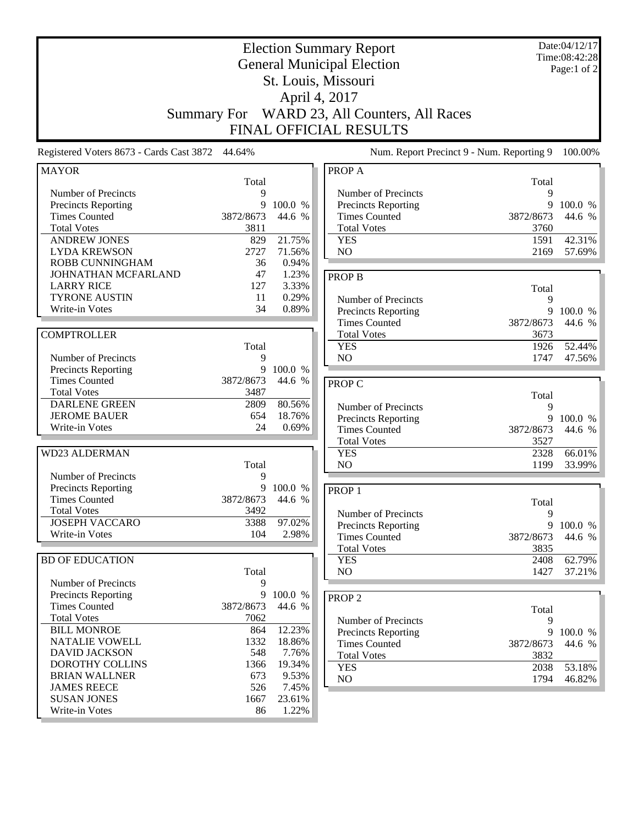|                                             | <b>Summary For</b> |                  | <b>Election Summary Report</b><br><b>General Municipal Election</b><br>St. Louis, Missouri<br>April 4, 2017<br>WARD 23, All Counters, All Races<br><b>FINAL OFFICIAL RESULTS</b> |                   | Date:04/12/17<br>Time:08:42:28<br>Page:1 of 2 |
|---------------------------------------------|--------------------|------------------|----------------------------------------------------------------------------------------------------------------------------------------------------------------------------------|-------------------|-----------------------------------------------|
| Registered Voters 8673 - Cards Cast 3872    | 44.64%             |                  | Num. Report Precinct 9 - Num. Reporting 9                                                                                                                                        |                   | 100.00%                                       |
| <b>MAYOR</b>                                |                    |                  | PROP A                                                                                                                                                                           |                   |                                               |
|                                             | Total              |                  |                                                                                                                                                                                  | Total             |                                               |
| Number of Precincts                         | 9                  |                  | Number of Precincts                                                                                                                                                              | 9                 |                                               |
| Precincts Reporting                         | 9                  | 100.0 %          | Precincts Reporting                                                                                                                                                              | 9                 | 100.0 %<br>44.6 %                             |
| <b>Times Counted</b><br><b>Total Votes</b>  | 3872/8673<br>3811  | 44.6 %           | <b>Times Counted</b><br><b>Total Votes</b>                                                                                                                                       | 3872/8673<br>3760 |                                               |
| <b>ANDREW JONES</b>                         | 829                | 21.75%           | <b>YES</b>                                                                                                                                                                       | 1591              | 42.31%                                        |
| <b>LYDA KREWSON</b>                         | 2727               | 71.56%           | N <sub>O</sub>                                                                                                                                                                   | 2169              | 57.69%                                        |
| ROBB CUNNINGHAM                             | 36                 | 0.94%            |                                                                                                                                                                                  |                   |                                               |
| JOHNATHAN MCFARLAND                         | 47                 | 1.23%            | <b>PROP B</b>                                                                                                                                                                    |                   |                                               |
| <b>LARRY RICE</b>                           | 127                | 3.33%            |                                                                                                                                                                                  | Total             |                                               |
| <b>TYRONE AUSTIN</b>                        | 11                 | 0.29%            | Number of Precincts                                                                                                                                                              | 9                 |                                               |
| Write-in Votes                              | 34                 | 0.89%            | Precincts Reporting                                                                                                                                                              | 9                 | 100.0 %                                       |
|                                             |                    |                  | <b>Times Counted</b>                                                                                                                                                             | 3872/8673         | 44.6 %                                        |
| <b>COMPTROLLER</b>                          |                    |                  | <b>Total Votes</b>                                                                                                                                                               | 3673              |                                               |
|                                             | Total              |                  | <b>YES</b>                                                                                                                                                                       | 1926              | 52.44%                                        |
| Number of Precincts                         | 9                  |                  | NO                                                                                                                                                                               | 1747              | 47.56%                                        |
| Precincts Reporting                         | 9                  | 100.0 %          |                                                                                                                                                                                  |                   |                                               |
| <b>Times Counted</b>                        | 3872/8673          | 44.6 %           | <b>PROP C</b>                                                                                                                                                                    |                   |                                               |
| <b>Total Votes</b>                          | 3487               |                  |                                                                                                                                                                                  | Total             |                                               |
| <b>DARLENE GREEN</b><br><b>JEROME BAUER</b> | 2809               | 80.56%           | Number of Precincts                                                                                                                                                              | 9                 |                                               |
| Write-in Votes                              | 654<br>24          | 18.76%<br>0.69%  | Precincts Reporting                                                                                                                                                              | 9                 | 100.0 %                                       |
|                                             |                    |                  | <b>Times Counted</b>                                                                                                                                                             | 3872/8673         | 44.6 %                                        |
| <b>WD23 ALDERMAN</b>                        |                    |                  | <b>Total Votes</b><br><b>YES</b>                                                                                                                                                 | 3527<br>2328      | 66.01%                                        |
|                                             | Total              |                  | NO                                                                                                                                                                               | 1199              | 33.99%                                        |
| Number of Precincts                         | 9                  |                  |                                                                                                                                                                                  |                   |                                               |
| Precincts Reporting                         | 9                  | 100.0 %          | PROP <sub>1</sub>                                                                                                                                                                |                   |                                               |
| <b>Times Counted</b>                        | 3872/8673          | 44.6 %           |                                                                                                                                                                                  | Total             |                                               |
| <b>Total Votes</b>                          | 3492               |                  | Number of Precincts                                                                                                                                                              | 9                 |                                               |
| <b>JOSEPH VACCARO</b>                       | 3388               | 97.02%           | Precincts Reporting                                                                                                                                                              |                   | 9 100.0 %                                     |
| Write-in Votes                              | 104                | 2.98%            | <b>Times Counted</b>                                                                                                                                                             | 3872/8673         | 44.6 %                                        |
|                                             |                    |                  | <b>Total Votes</b>                                                                                                                                                               | 3835              |                                               |
| <b>BD OF EDUCATION</b>                      |                    |                  | <b>YES</b>                                                                                                                                                                       | 2408              | 62.79%                                        |
|                                             | Total              |                  | NO                                                                                                                                                                               | 1427              | 37.21%                                        |
| Number of Precincts                         | 9                  |                  |                                                                                                                                                                                  |                   |                                               |
| <b>Precincts Reporting</b>                  | 9                  | 100.0 %          | PROP <sub>2</sub>                                                                                                                                                                |                   |                                               |
| <b>Times Counted</b>                        | 3872/8673          | 44.6 %           |                                                                                                                                                                                  | Total             |                                               |
| <b>Total Votes</b>                          | 7062               |                  | Number of Precincts                                                                                                                                                              | 9                 |                                               |
| <b>BILL MONROE</b><br><b>NATALIE VOWELL</b> | 864<br>1332        | 12.23%<br>18.86% | <b>Precincts Reporting</b>                                                                                                                                                       | 9                 | 100.0 %                                       |
| <b>DAVID JACKSON</b>                        | 548                | 7.76%            | <b>Times Counted</b>                                                                                                                                                             | 3872/8673         | 44.6 %                                        |
| DOROTHY COLLINS                             | 1366               | 19.34%           | <b>Total Votes</b>                                                                                                                                                               | 3832              |                                               |
| <b>BRIAN WALLNER</b>                        | 673                | 9.53%            | <b>YES</b><br>NO                                                                                                                                                                 | 2038              | 53.18%                                        |
| <b>JAMES REECE</b>                          | 526                | 7.45%            |                                                                                                                                                                                  | 1794              | 46.82%                                        |
| <b>SUSAN JONES</b>                          | 1667               | 23.61%           |                                                                                                                                                                                  |                   |                                               |
| Write-in Votes                              | 86                 | 1.22%            |                                                                                                                                                                                  |                   |                                               |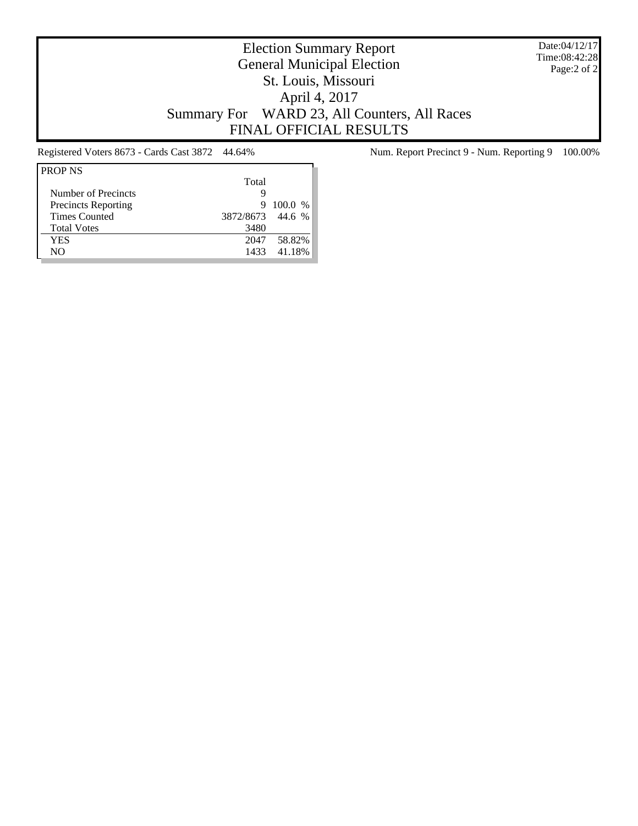Date:04/12/17 Time:08:42:28 Page:2 of 2

# Election Summary Report General Municipal Election St. Louis, Missouri April 4, 2017 Summary For WARD 23, All Counters, All Races FINAL OFFICIAL RESULTS

| <b>PROP NS</b>             |                  |             |
|----------------------------|------------------|-------------|
|                            | Total            |             |
| Number of Precincts        | g                |             |
| <b>Precincts Reporting</b> | 9                | 100.0 %     |
| <b>Times Counted</b>       | 3872/8673 44.6 % |             |
| <b>Total Votes</b>         | 3480             |             |
| YES                        | 2047             | 58.82%      |
| NO                         |                  | 1433 41.18% |

Registered Voters 8673 - Cards Cast 3872 44.64% Num. Report Precinct 9 - Num. Reporting 9 100.00%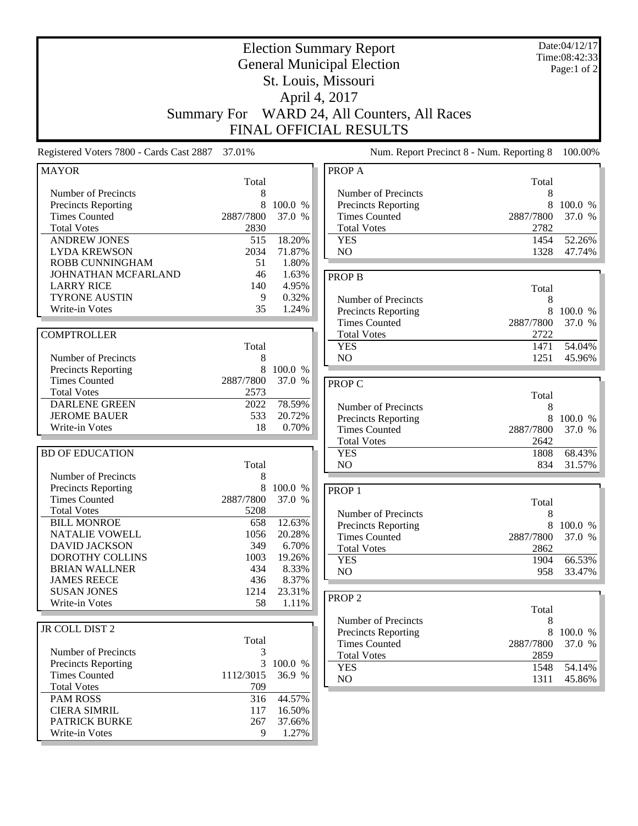| <b>Election Summary Report</b><br><b>General Municipal Election</b><br>St. Louis, Missouri      |                             |                                     |                                                                                          | Date:04/12/17<br>Time:08:42:33<br>Page:1 of 2 |                   |
|-------------------------------------------------------------------------------------------------|-----------------------------|-------------------------------------|------------------------------------------------------------------------------------------|-----------------------------------------------|-------------------|
|                                                                                                 |                             |                                     | April 4, 2017                                                                            |                                               |                   |
|                                                                                                 | <b>Summary For</b>          |                                     | WARD 24, All Counters, All Races<br>FINAL OFFICIAL RESULTS                               |                                               |                   |
| Registered Voters 7800 - Cards Cast 2887                                                        | 37.01%                      |                                     | Num. Report Precinct 8 - Num. Reporting 8                                                |                                               | 100.00%           |
| <b>MAYOR</b>                                                                                    | Total                       |                                     | PROP A                                                                                   | Total                                         |                   |
| Number of Precincts<br><b>Precincts Reporting</b><br><b>Times Counted</b><br><b>Total Votes</b> | 8<br>2887/7800<br>2830      | 100.0 %<br>37.0 %                   | Number of Precincts<br>Precincts Reporting<br><b>Times Counted</b><br><b>Total Votes</b> | 8<br>8<br>2887/7800<br>2782                   | 100.0 %<br>37.0 % |
| <b>ANDREW JONES</b><br><b>LYDA KREWSON</b><br>ROBB CUNNINGHAM                                   | 515<br>2034<br>51           | 18.20%<br>71.87%<br>1.80%           | <b>YES</b><br>NO                                                                         | 1454<br>1328                                  | 52.26%<br>47.74%  |
| JOHNATHAN MCFARLAND<br><b>LARRY RICE</b><br><b>TYRONE AUSTIN</b><br>Write-in Votes              | 46<br>140<br>9<br>35        | 1.63%<br>4.95%<br>0.32%<br>1.24%    | <b>PROP B</b><br>Number of Precincts<br>Precincts Reporting                              | Total<br>8<br>8                               | 100.0 %           |
| <b>COMPTROLLER</b>                                                                              | Total                       |                                     | <b>Times Counted</b><br><b>Total Votes</b><br><b>YES</b>                                 | 2887/7800<br>2722<br>1471                     | 37.0 %<br>54.04%  |
| Number of Precincts<br><b>Precincts Reporting</b>                                               | 8<br>8                      | 100.0 %                             | N <sub>O</sub>                                                                           | 1251                                          | 45.96%            |
| <b>Times Counted</b><br><b>Total Votes</b><br><b>DARLENE GREEN</b>                              | 2887/7800<br>2573<br>2022   | 37.0 %<br>78.59%                    | PROP C                                                                                   | Total                                         |                   |
| <b>JEROME BAUER</b><br>Write-in Votes                                                           | 533<br>18                   | 20.72%<br>0.70%                     | Number of Precincts<br>Precincts Reporting<br><b>Times Counted</b>                       | 8<br>8<br>2887/7800                           | 100.0 %<br>37.0 % |
| <b>BD OF EDUCATION</b>                                                                          | Total                       |                                     | <b>Total Votes</b><br><b>YES</b><br>NO                                                   | 2642<br>1808<br>834                           | 68.43%<br>31.57%  |
| Number of Precincts<br>Precincts Reporting<br><b>Times Counted</b><br><b>Total Votes</b>        | 8<br>8<br>2887/7800<br>5208 | 100.0 %<br>37.0<br>%                | PROP <sub>1</sub>                                                                        | Total                                         |                   |
| <b>BILL MONROE</b><br>NATALIE VOWELL<br><b>DAVID JACKSON</b>                                    | 658<br>1056<br>349          | 12.63%<br>20.28%<br>6.70%           | Number of Precincts<br>Precincts Reporting<br><b>Times Counted</b><br><b>Total Votes</b> | $\,8$<br>8<br>2887/7800<br>2862               | 100.0 %<br>37.0 % |
| <b>DOROTHY COLLINS</b><br><b>BRIAN WALLNER</b><br><b>JAMES REECE</b><br><b>SUSAN JONES</b>      | 1003<br>434<br>436<br>1214  | 19.26%<br>8.33%<br>8.37%<br>23.31%  | <b>YES</b><br>NO                                                                         | 1904<br>958                                   | 66.53%<br>33.47%  |
| Write-in Votes                                                                                  | 58                          | 1.11%                               | PROP <sub>2</sub><br>Number of Precincts                                                 | Total                                         |                   |
| JR COLL DIST 2<br>Number of Precincts                                                           | Total<br>3                  |                                     | Precincts Reporting<br><b>Times Counted</b><br><b>Total Votes</b>                        | 8<br>8<br>2887/7800<br>2859                   | 100.0 %<br>37.0 % |
| <b>Precincts Reporting</b><br><b>Times Counted</b><br><b>Total Votes</b>                        | 3<br>1112/3015<br>709       | 100.0 %<br>36.9 %                   | <b>YES</b><br>NO                                                                         | 1548<br>1311                                  | 54.14%<br>45.86%  |
| <b>PAM ROSS</b><br><b>CIERA SIMRIL</b><br>PATRICK BURKE<br>Write-in Votes                       | 316<br>117<br>267<br>9      | 44.57%<br>16.50%<br>37.66%<br>1.27% |                                                                                          |                                               |                   |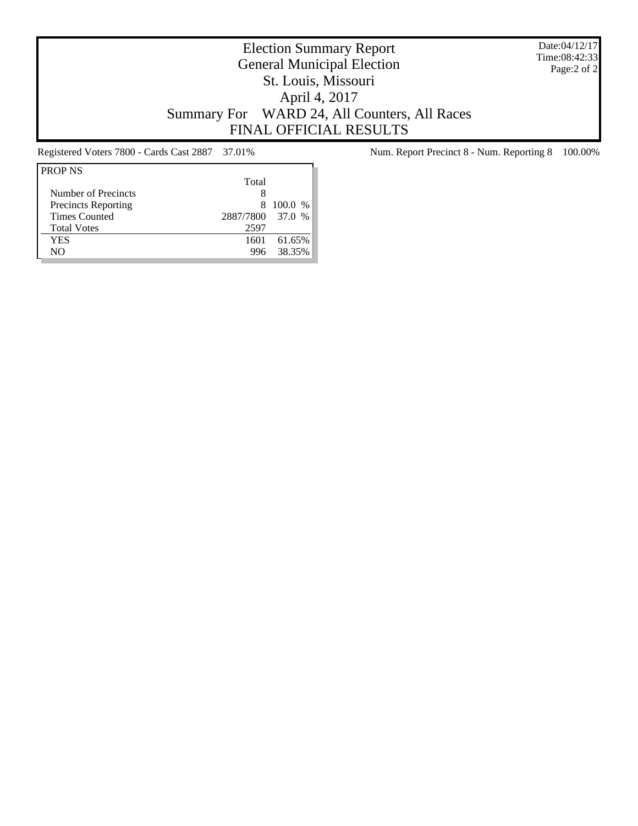Date:04/12/17 Time:08:42:33 Page:2 of 2

# Election Summary Report General Municipal Election St. Louis, Missouri April 4, 2017 Summary For WARD 24, All Counters, All Races FINAL OFFICIAL RESULTS

| <b>PROP NS</b>             |                  |           |
|----------------------------|------------------|-----------|
|                            | Total            |           |
| Number of Precincts        | 8                |           |
| <b>Precincts Reporting</b> | x                | $100.0\%$ |
| <b>Times Counted</b>       | 2887/7800 37.0 % |           |
| <b>Total Votes</b>         | 2597             |           |
| YES                        | 1601             | 61.65%    |
| NΟ                         | 996              | 38.35%    |

Registered Voters 7800 - Cards Cast 2887 37.01% Num. Report Precinct 8 - Num. Reporting 8 100.00%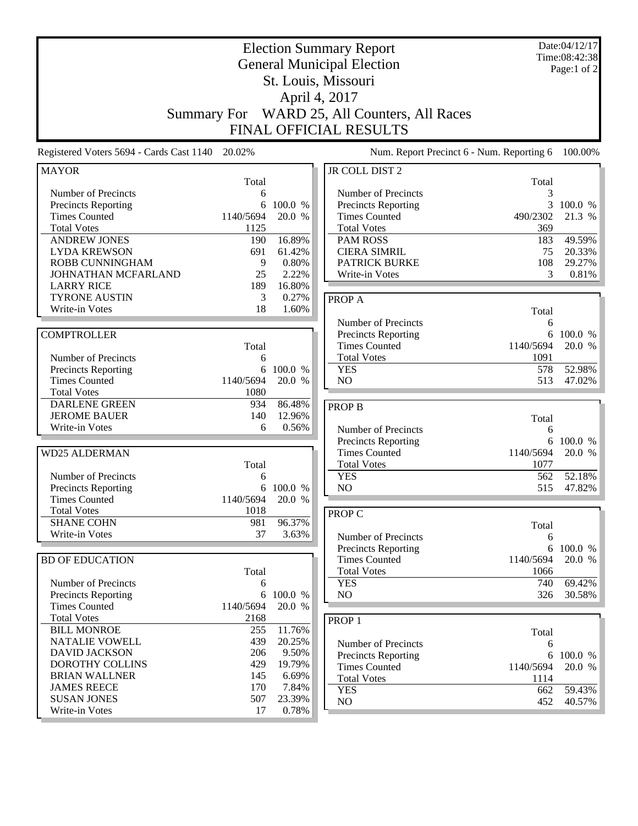| <b>Summary For</b>                                 |                   |                 | <b>Election Summary Report</b><br><b>General Municipal Election</b><br>St. Louis, Missouri<br>April 4, 2017<br>WARD 25, All Counters, All Races<br>FINAL OFFICIAL RESULTS |            | Date:04/12/17<br>Time:08:42:38<br>Page:1 of 2 |
|----------------------------------------------------|-------------------|-----------------|---------------------------------------------------------------------------------------------------------------------------------------------------------------------------|------------|-----------------------------------------------|
| Registered Voters 5694 - Cards Cast 1140           | 20.02%            |                 | Num. Report Precinct 6 - Num. Reporting 6                                                                                                                                 |            | 100.00%                                       |
| <b>MAYOR</b>                                       |                   |                 | JR COLL DIST 2                                                                                                                                                            |            |                                               |
| Number of Precincts                                | Total<br>6        |                 | Number of Precincts                                                                                                                                                       | Total<br>3 |                                               |
| <b>Precincts Reporting</b>                         | 6                 | 100.0 %         | Precincts Reporting                                                                                                                                                       | 3          | 100.0 %                                       |
| <b>Times Counted</b>                               | 1140/5694         | 20.0 %          | <b>Times Counted</b>                                                                                                                                                      | 490/2302   | 21.3 %                                        |
| <b>Total Votes</b>                                 | 1125              |                 | <b>Total Votes</b>                                                                                                                                                        | 369        |                                               |
| <b>ANDREW JONES</b>                                | 190               | 16.89%          | <b>PAM ROSS</b>                                                                                                                                                           | 183        | 49.59%                                        |
| <b>LYDA KREWSON</b>                                | 691               | 61.42%          | <b>CIERA SIMRIL</b>                                                                                                                                                       | 75         | 20.33%                                        |
| ROBB CUNNINGHAM                                    | 9                 | 0.80%           | <b>PATRICK BURKE</b>                                                                                                                                                      | 108        | 29.27%                                        |
| JOHNATHAN MCFARLAND                                | 25                | 2.22%           | Write-in Votes                                                                                                                                                            | 3          | 0.81%                                         |
| <b>LARRY RICE</b>                                  | 189               | 16.80%          |                                                                                                                                                                           |            |                                               |
| <b>TYRONE AUSTIN</b><br>Write-in Votes             | 3<br>18           | 0.27%<br>1.60%  | PROP A                                                                                                                                                                    |            |                                               |
|                                                    |                   |                 |                                                                                                                                                                           | Total      |                                               |
| <b>COMPTROLLER</b>                                 |                   |                 | Number of Precincts<br><b>Precincts Reporting</b>                                                                                                                         | 6<br>6     | 100.0 %                                       |
|                                                    | Total             |                 | <b>Times Counted</b>                                                                                                                                                      | 1140/5694  | 20.0 %                                        |
| Number of Precincts                                | 6                 |                 | <b>Total Votes</b>                                                                                                                                                        | 1091       |                                               |
| <b>Precincts Reporting</b>                         | 6                 | 100.0 %         | <b>YES</b>                                                                                                                                                                | 578        | 52.98%                                        |
| <b>Times Counted</b>                               | 1140/5694         | 20.0 %          | N <sub>O</sub>                                                                                                                                                            | 513        | 47.02%                                        |
| <b>Total Votes</b>                                 | 1080              |                 |                                                                                                                                                                           |            |                                               |
| <b>DARLENE GREEN</b>                               | 934               | 86.48%          | <b>PROP B</b>                                                                                                                                                             |            |                                               |
| <b>JEROME BAUER</b>                                | 140               | 12.96%          |                                                                                                                                                                           | Total      |                                               |
| Write-in Votes                                     | 6                 | 0.56%           | Number of Precincts                                                                                                                                                       | 6          |                                               |
|                                                    |                   |                 | <b>Precincts Reporting</b>                                                                                                                                                | 6          | 100.0 %                                       |
| <b>WD25 ALDERMAN</b>                               |                   |                 | <b>Times Counted</b>                                                                                                                                                      | 1140/5694  | 20.0 %                                        |
|                                                    | Total             |                 | <b>Total Votes</b>                                                                                                                                                        | 1077       |                                               |
| Number of Precincts                                | 6                 |                 | <b>YES</b>                                                                                                                                                                | 562        | 52.18%                                        |
| <b>Precincts Reporting</b><br><b>Times Counted</b> | 6                 | 100.0 %         | NO                                                                                                                                                                        | 515        | 47.82%                                        |
| <b>Total Votes</b>                                 | 1140/5694<br>1018 | 20.0 %          |                                                                                                                                                                           |            |                                               |
| <b>SHANE COHN</b>                                  | 981               | 96.37%          | <b>PROP C</b>                                                                                                                                                             |            |                                               |
| Write-in Votes                                     | 37                | 3.63%           | Number of Precincts                                                                                                                                                       | Total<br>6 |                                               |
|                                                    |                   |                 | Precincts Reporting                                                                                                                                                       |            | 6 100.0 %                                     |
| <b>BD OF EDUCATION</b>                             |                   |                 | <b>Times Counted</b>                                                                                                                                                      | 1140/5694  | 20.0 %                                        |
|                                                    | Total             |                 | <b>Total Votes</b>                                                                                                                                                        | 1066       |                                               |
| Number of Precincts                                | 6                 |                 | <b>YES</b>                                                                                                                                                                | 740        | 69.42%                                        |
| <b>Precincts Reporting</b>                         | 6                 | 100.0 %         | NO                                                                                                                                                                        | 326        | 30.58%                                        |
| <b>Times Counted</b>                               | 1140/5694         | 20.0 %          |                                                                                                                                                                           |            |                                               |
| <b>Total Votes</b>                                 | 2168              |                 | PROP <sub>1</sub>                                                                                                                                                         |            |                                               |
| <b>BILL MONROE</b>                                 | 255               | 11.76%          |                                                                                                                                                                           | Total      |                                               |
| <b>NATALIE VOWELL</b>                              | 439               | 20.25%          | Number of Precincts                                                                                                                                                       | 6          |                                               |
| <b>DAVID JACKSON</b><br><b>DOROTHY COLLINS</b>     | 206<br>429        | 9.50%           | Precincts Reporting                                                                                                                                                       | 6          | 100.0 %                                       |
| <b>BRIAN WALLNER</b>                               | 145               | 19.79%<br>6.69% | <b>Times Counted</b>                                                                                                                                                      | 1140/5694  | 20.0 %                                        |
| <b>JAMES REECE</b>                                 | 170               | 7.84%           | <b>Total Votes</b>                                                                                                                                                        | 1114       |                                               |
| <b>SUSAN JONES</b>                                 | 507               | 23.39%          | <b>YES</b><br>NO                                                                                                                                                          | 662        | 59.43%                                        |
| Write-in Votes                                     | 17                | 0.78%           |                                                                                                                                                                           | 452        | 40.57%                                        |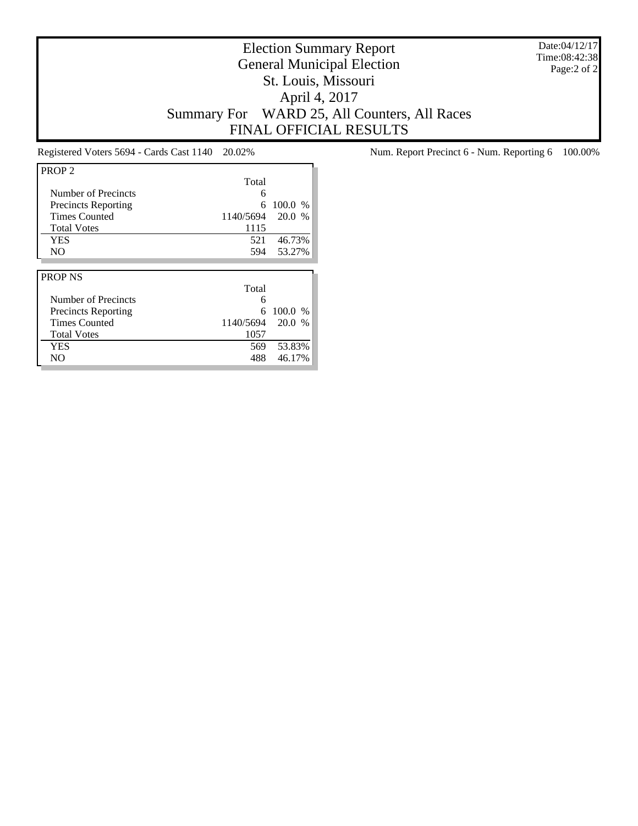Date:04/12/17 Time:08:42:38 Page:2 of 2

# Election Summary Report General Municipal Election St. Louis, Missouri April 4, 2017 Summary For WARD 25, All Counters, All Races FINAL OFFICIAL RESULTS

| PROP <sub>2</sub>          |           |         |
|----------------------------|-----------|---------|
|                            | Total     |         |
| Number of Precincts        | 6         |         |
| <b>Precincts Reporting</b> | 6         | 100.0 % |
| <b>Times Counted</b>       | 1140/5694 | 20.0 %  |
| <b>Total Votes</b>         | 1115      |         |
| <b>YES</b>                 | 521       | 46.73%  |
| N <sub>O</sub>             | 594       | 53.27%  |
|                            |           |         |
|                            |           |         |
| <b>PROP NS</b>             |           |         |
|                            | Total     |         |
| Number of Precincts        | 6         |         |
| <b>Precincts Reporting</b> | 6         | 100.0 % |
| <b>Times Counted</b>       | 1140/5694 | 20.0 %  |
| <b>Total Votes</b>         | 1057      |         |
| YES                        | 569       | 53.83%  |

Registered Voters 5694 - Cards Cast 1140 20.02% Num. Report Precinct 6 - Num. Reporting 6 100.00%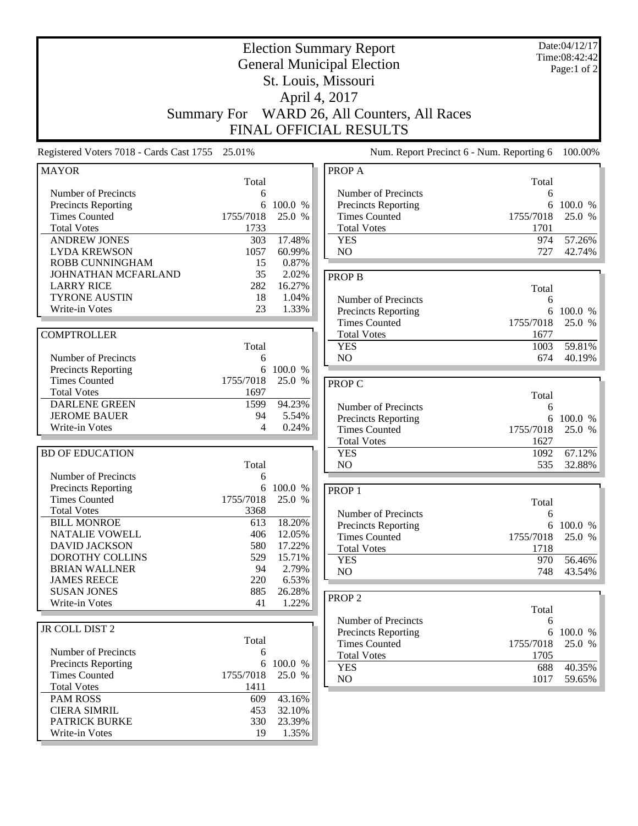| <b>Election Summary Report</b>                     |                    |                  |                                           | Date:04/12/17<br>Time:08:42:42 |             |
|----------------------------------------------------|--------------------|------------------|-------------------------------------------|--------------------------------|-------------|
| <b>General Municipal Election</b>                  |                    |                  |                                           |                                | Page:1 of 2 |
|                                                    |                    |                  | St. Louis, Missouri                       |                                |             |
|                                                    |                    |                  | April 4, 2017                             |                                |             |
|                                                    |                    |                  |                                           |                                |             |
|                                                    | <b>Summary For</b> |                  | WARD 26, All Counters, All Races          |                                |             |
|                                                    |                    |                  | FINAL OFFICIAL RESULTS                    |                                |             |
| Registered Voters 7018 - Cards Cast 1755           | 25.01%             |                  | Num. Report Precinct 6 - Num. Reporting 6 |                                | 100.00%     |
| <b>MAYOR</b>                                       | Total              |                  | PROP A                                    | Total                          |             |
| Number of Precincts                                | 6                  |                  | Number of Precincts                       | 6                              |             |
| <b>Precincts Reporting</b>                         | 6                  | 100.0 %          | Precincts Reporting                       | 6                              | 100.0 %     |
| <b>Times Counted</b>                               | 1755/7018          | 25.0 %           | <b>Times Counted</b>                      | 1755/7018                      | 25.0 %      |
| <b>Total Votes</b>                                 | 1733               |                  | <b>Total Votes</b>                        | 1701                           |             |
| <b>ANDREW JONES</b>                                | 303                | 17.48%           | <b>YES</b>                                | 974                            | 57.26%      |
| <b>LYDA KREWSON</b>                                | 1057               | 60.99%           | NO                                        | 727                            | 42.74%      |
| ROBB CUNNINGHAM                                    | 15                 | 0.87%            |                                           |                                |             |
| JOHNATHAN MCFARLAND                                | 35                 | 2.02%            | <b>PROP B</b>                             |                                |             |
| <b>LARRY RICE</b>                                  | 282                | 16.27%           |                                           | Total                          |             |
| <b>TYRONE AUSTIN</b>                               | 18                 | 1.04%            | Number of Precincts                       | 6                              |             |
| Write-in Votes                                     | 23                 | 1.33%            | Precincts Reporting                       | 6                              | 100.0 %     |
|                                                    |                    |                  | <b>Times Counted</b>                      | 1755/7018                      | 25.0 %      |
| <b>COMPTROLLER</b>                                 |                    |                  | <b>Total Votes</b>                        | 1677                           |             |
|                                                    | Total              |                  | <b>YES</b>                                | 1003                           | 59.81%      |
| Number of Precincts                                | 6                  |                  | N <sub>O</sub>                            | 674                            | 40.19%      |
| Precincts Reporting                                | 6                  | 100.0 %          |                                           |                                |             |
| <b>Times Counted</b>                               | 1755/7018          | 25.0 %           | PROP C                                    |                                |             |
| <b>Total Votes</b>                                 | 1697               |                  |                                           | Total                          |             |
| <b>DARLENE GREEN</b>                               | 1599               | 94.23%           | Number of Precincts                       | 6                              |             |
| <b>JEROME BAUER</b>                                | 94                 | 5.54%            | Precincts Reporting                       | 6                              | 100.0 %     |
| Write-in Votes                                     | 4                  | 0.24%            | <b>Times Counted</b>                      | 1755/7018                      | 25.0 %      |
|                                                    |                    |                  | <b>Total Votes</b>                        | 1627                           |             |
| <b>BD OF EDUCATION</b>                             |                    |                  | <b>YES</b>                                | 1092                           | 67.12%      |
|                                                    | Total              |                  | NO                                        | 535                            | 32.88%      |
| Number of Precincts                                | 6                  |                  |                                           |                                |             |
| Precincts Reporting                                | 6                  | 100.0 %          | PROP <sub>1</sub>                         |                                |             |
| <b>Times Counted</b>                               | 1755/7018          | 25.0 %           |                                           | Total                          |             |
| <b>Total Votes</b>                                 | 3368               |                  | Number of Precincts                       | 6                              |             |
| <b>BILL MONROE</b>                                 | 613                | 18.20%           | Precincts Reporting                       | 6                              | 100.0 %     |
| NATALIE VOWELL<br><b>DAVID JACKSON</b>             | 406<br>580         | 12.05%<br>17.22% | <b>Times Counted</b>                      | 1755/7018                      | 25.0 %      |
| DOROTHY COLLINS                                    | 529                |                  | <b>Total Votes</b>                        | 1718                           |             |
| <b>BRIAN WALLNER</b>                               | 94                 | 15.71%<br>2.79%  | <b>YES</b>                                | 970                            | 56.46%      |
| <b>JAMES REECE</b>                                 | 220                | 6.53%            | NO                                        | 748                            | 43.54%      |
| <b>SUSAN JONES</b>                                 | 885                | 26.28%           |                                           |                                |             |
| Write-in Votes                                     | 41                 | 1.22%            | PROP <sub>2</sub>                         |                                |             |
|                                                    |                    |                  |                                           | Total                          |             |
|                                                    |                    |                  | Number of Precincts                       | 6                              |             |
| JR COLL DIST 2                                     |                    |                  | Precincts Reporting                       |                                | 6 100.0 %   |
| Number of Precincts                                | Total              |                  | <b>Times Counted</b>                      | 1755/7018                      | 25.0 %      |
|                                                    | 6                  | 6 100.0 %        | <b>Total Votes</b>                        | 1705                           |             |
| <b>Precincts Reporting</b><br><b>Times Counted</b> | 1755/7018          | 25.0 %           | <b>YES</b>                                | 688                            | 40.35%      |
| <b>Total Votes</b>                                 | 1411               |                  | NO                                        | 1017                           | 59.65%      |
| <b>PAM ROSS</b>                                    | 609                | 43.16%           |                                           |                                |             |
| <b>CIERA SIMRIL</b>                                | 453                | 32.10%           |                                           |                                |             |
| <b>PATRICK BURKE</b>                               | 330                | 23.39%           |                                           |                                |             |
| Write-in Votes                                     | 19                 | 1.35%            |                                           |                                |             |
|                                                    |                    |                  |                                           |                                |             |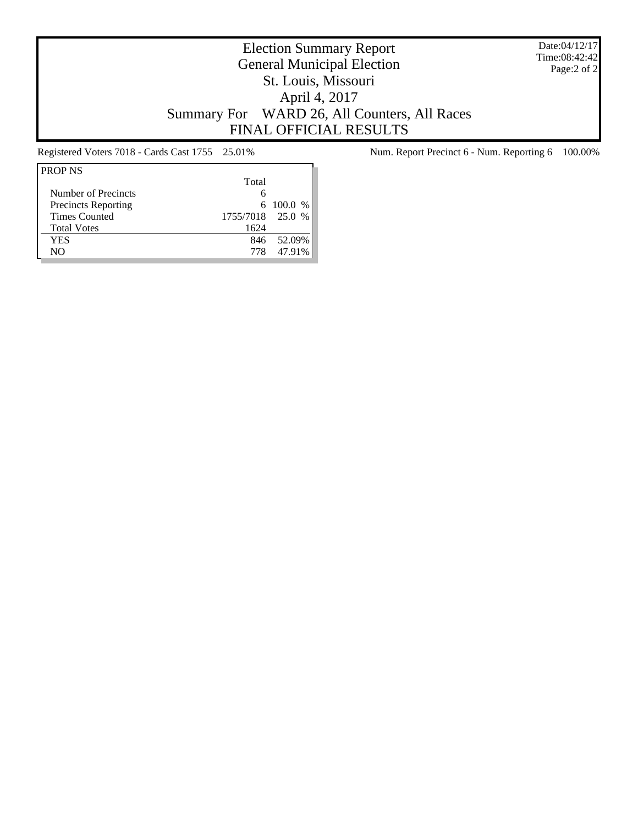Date:04/12/17 Time:08:42:42 Page:2 of 2

# Election Summary Report General Municipal Election St. Louis, Missouri April 4, 2017 Summary For WARD 26, All Counters, All Races FINAL OFFICIAL RESULTS

| <b>PROP NS</b>             |                  |             |
|----------------------------|------------------|-------------|
|                            | Total            |             |
| Number of Precincts        | 6                |             |
| <b>Precincts Reporting</b> |                  | 6 100.0 $%$ |
| <b>Times Counted</b>       | 1755/7018 25.0 % |             |
| <b>Total Votes</b>         | 1624             |             |
| YES                        | 846              | 52.09%      |
| NО                         | 778              | 47.91%      |

Registered Voters 7018 - Cards Cast 1755 25.01% Num. Report Precinct 6 - Num. Reporting 6 100.00%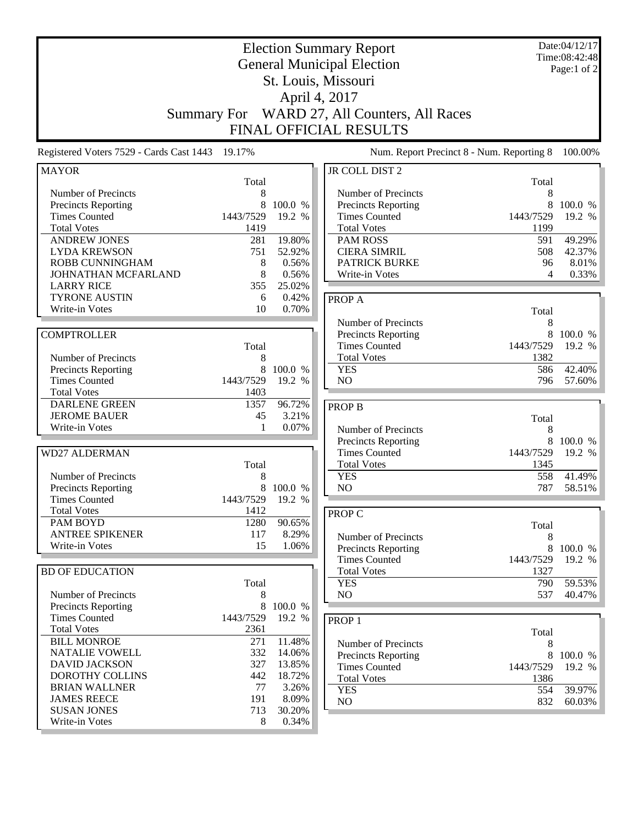| <b>Election Summary Report</b><br><b>General Municipal Election</b><br>St. Louis, Missouri<br>April 4, 2017<br>WARD 27, All Counters, All Races<br><b>Summary For</b><br>FINAL OFFICIAL RESULTS |            |                  |                                             | Date:04/12/17<br>Time:08:42:48<br>Page:1 of 2 |                   |
|-------------------------------------------------------------------------------------------------------------------------------------------------------------------------------------------------|------------|------------------|---------------------------------------------|-----------------------------------------------|-------------------|
| Registered Voters 7529 - Cards Cast 1443 19.17%                                                                                                                                                 |            |                  | Num. Report Precinct 8 - Num. Reporting 8   |                                               | 100.00%           |
| <b>MAYOR</b>                                                                                                                                                                                    |            |                  | JR COLL DIST 2                              |                                               |                   |
| Number of Precincts                                                                                                                                                                             | Total<br>8 |                  | Number of Precincts                         | Total<br>8                                    |                   |
| <b>Precincts Reporting</b>                                                                                                                                                                      | 8          | 100.0 %          | Precincts Reporting                         | 8                                             | 100.0 %           |
| <b>Times Counted</b>                                                                                                                                                                            | 1443/7529  | 19.2 %           | <b>Times Counted</b>                        | 1443/7529                                     | 19.2 %            |
| <b>Total Votes</b>                                                                                                                                                                              | 1419       |                  | <b>Total Votes</b>                          | 1199                                          |                   |
| <b>ANDREW JONES</b>                                                                                                                                                                             | 281        | 19.80%           | <b>PAM ROSS</b>                             | 591                                           | 49.29%            |
| <b>LYDA KREWSON</b>                                                                                                                                                                             | 751        | 52.92%           | <b>CIERA SIMRIL</b>                         | 508                                           | 42.37%            |
| <b>ROBB CUNNINGHAM</b>                                                                                                                                                                          | 8          | 0.56%            | <b>PATRICK BURKE</b>                        | 96                                            | 8.01%             |
| JOHNATHAN MCFARLAND                                                                                                                                                                             | 8          | 0.56%            | Write-in Votes                              | $\overline{4}$                                | 0.33%             |
| <b>LARRY RICE</b>                                                                                                                                                                               | 355        | 25.02%           |                                             |                                               |                   |
| <b>TYRONE AUSTIN</b><br>Write-in Votes                                                                                                                                                          | 6<br>10    | 0.42%<br>0.70%   | PROP A                                      |                                               |                   |
|                                                                                                                                                                                                 |            |                  |                                             | Total                                         |                   |
|                                                                                                                                                                                                 |            |                  | Number of Precincts                         | 8                                             |                   |
| <b>COMPTROLLER</b>                                                                                                                                                                              |            |                  | Precincts Reporting<br><b>Times Counted</b> | 8<br>1443/7529                                | 100.0 %<br>19.2 % |
| Number of Precincts                                                                                                                                                                             | Total<br>8 |                  | <b>Total Votes</b>                          | 1382                                          |                   |
| <b>Precincts Reporting</b>                                                                                                                                                                      | 8          | 100.0 %          | <b>YES</b>                                  | 586                                           | 42.40%            |
| <b>Times Counted</b>                                                                                                                                                                            | 1443/7529  | 19.2 %           | NO                                          | 796                                           | 57.60%            |
| <b>Total Votes</b>                                                                                                                                                                              | 1403       |                  |                                             |                                               |                   |
| <b>DARLENE GREEN</b>                                                                                                                                                                            | 1357       | 96.72%           | <b>PROP B</b>                               |                                               |                   |
| <b>JEROME BAUER</b>                                                                                                                                                                             | 45         | 3.21%            |                                             | Total                                         |                   |
| Write-in Votes                                                                                                                                                                                  | 1          | 0.07%            | Number of Precincts                         | 8                                             |                   |
|                                                                                                                                                                                                 |            |                  | Precincts Reporting                         | 8                                             | 100.0 %           |
| <b>WD27 ALDERMAN</b>                                                                                                                                                                            |            |                  | <b>Times Counted</b>                        | 1443/7529                                     | 19.2 %            |
|                                                                                                                                                                                                 | Total      |                  | <b>Total Votes</b>                          | 1345                                          |                   |
| Number of Precincts                                                                                                                                                                             | 8          |                  | <b>YES</b>                                  | 558                                           | 41.49%            |
| <b>Precincts Reporting</b>                                                                                                                                                                      | 8          | 100.0 %          | N <sub>O</sub>                              | 787                                           | 58.51%            |
| <b>Times Counted</b>                                                                                                                                                                            | 1443/7529  | 19.2 %           |                                             |                                               |                   |
| <b>Total Votes</b>                                                                                                                                                                              | 1412       |                  | PROP C                                      |                                               |                   |
| PAM BOYD                                                                                                                                                                                        | 1280       | 90.65%           |                                             | Total                                         |                   |
| <b>ANTREE SPIKENER</b>                                                                                                                                                                          | 117        | 8.29%            | Number of Precincts                         | 8                                             |                   |
| Write-in Votes                                                                                                                                                                                  | 15         | 1.06%            | Precincts Reporting                         |                                               | 8 100.0 %         |
|                                                                                                                                                                                                 |            |                  | <b>Times Counted</b>                        | 1443/7529                                     | 19.2 %            |
| <b>BD OF EDUCATION</b>                                                                                                                                                                          |            |                  | <b>Total Votes</b>                          | 1327                                          |                   |
|                                                                                                                                                                                                 | Total      |                  | <b>YES</b>                                  | 790                                           | 59.53%            |
| Number of Precincts                                                                                                                                                                             | 8          |                  | NO                                          | 537                                           | 40.47%            |
| <b>Precincts Reporting</b>                                                                                                                                                                      | 8          | 100.0 %          |                                             |                                               |                   |
| <b>Times Counted</b>                                                                                                                                                                            | 1443/7529  | 19.2 %           | PROP <sub>1</sub>                           |                                               |                   |
| <b>Total Votes</b>                                                                                                                                                                              | 2361       |                  |                                             | Total                                         |                   |
| <b>BILL MONROE</b>                                                                                                                                                                              | 271        | 11.48%           | Number of Precincts                         | 8                                             |                   |
| <b>NATALIE VOWELL</b><br><b>DAVID JACKSON</b>                                                                                                                                                   | 332<br>327 | 14.06%<br>13.85% | Precincts Reporting                         | 8                                             | 100.0 %           |
| DOROTHY COLLINS                                                                                                                                                                                 | 442        | 18.72%           | <b>Times Counted</b>                        | 1443/7529                                     | 19.2 %            |
| <b>BRIAN WALLNER</b>                                                                                                                                                                            | 77         | 3.26%            | <b>Total Votes</b>                          | 1386                                          |                   |
| <b>JAMES REECE</b>                                                                                                                                                                              | 191        | 8.09%            | <b>YES</b>                                  | 554                                           | 39.97%            |
| <b>SUSAN JONES</b>                                                                                                                                                                              | 713        | 30.20%           | NO                                          | 832                                           | 60.03%            |
| Write-in Votes                                                                                                                                                                                  | 8          | 0.34%            |                                             |                                               |                   |
|                                                                                                                                                                                                 |            |                  |                                             |                                               |                   |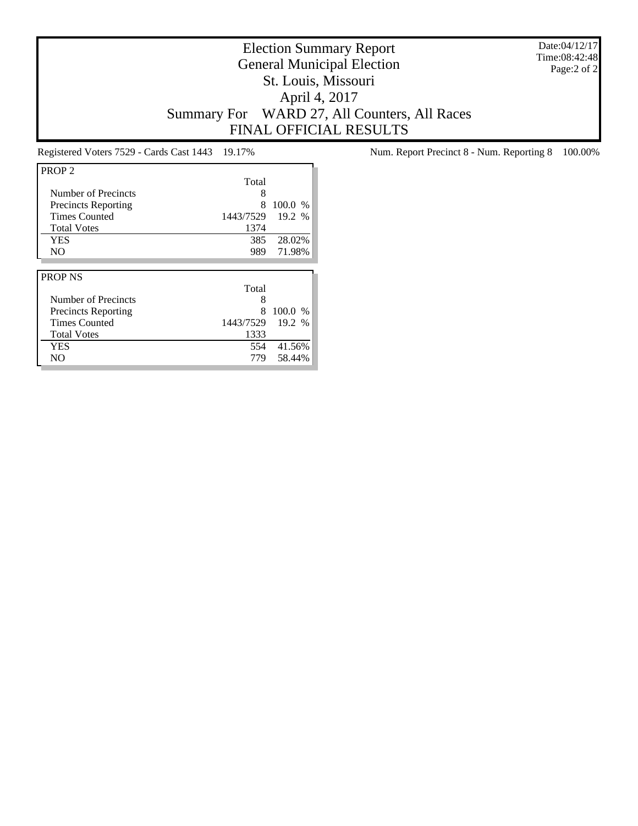Date:04/12/17 Time:08:42:48 Page:2 of 2

# Election Summary Report General Municipal Election St. Louis, Missouri April 4, 2017 Summary For WARD 27, All Counters, All Races FINAL OFFICIAL RESULTS

| PROP <sub>2</sub>          |           |         |
|----------------------------|-----------|---------|
|                            | Total     |         |
| Number of Precincts        | 8         |         |
| <b>Precincts Reporting</b> | 8         | 100.0 % |
| <b>Times Counted</b>       | 1443/7529 | 19.2 %  |
| <b>Total Votes</b>         | 1374      |         |
| <b>YES</b>                 | 385       | 28.02%  |
| N <sub>O</sub>             | 989       | 71.98%  |
|                            |           |         |
|                            |           |         |
| <b>PROP NS</b>             |           |         |
|                            | Total     |         |
| Number of Precincts        | 8         |         |
| <b>Precincts Reporting</b> | 8         | 100.0 % |
| <b>Times Counted</b>       | 1443/7529 | 19.2 %  |
| <b>Total Votes</b>         | 1333      |         |
| YES                        | 554       | 41.56%  |

Registered Voters 7529 - Cards Cast 1443 19.17% Num. Report Precinct 8 - Num. Reporting 8 100.00%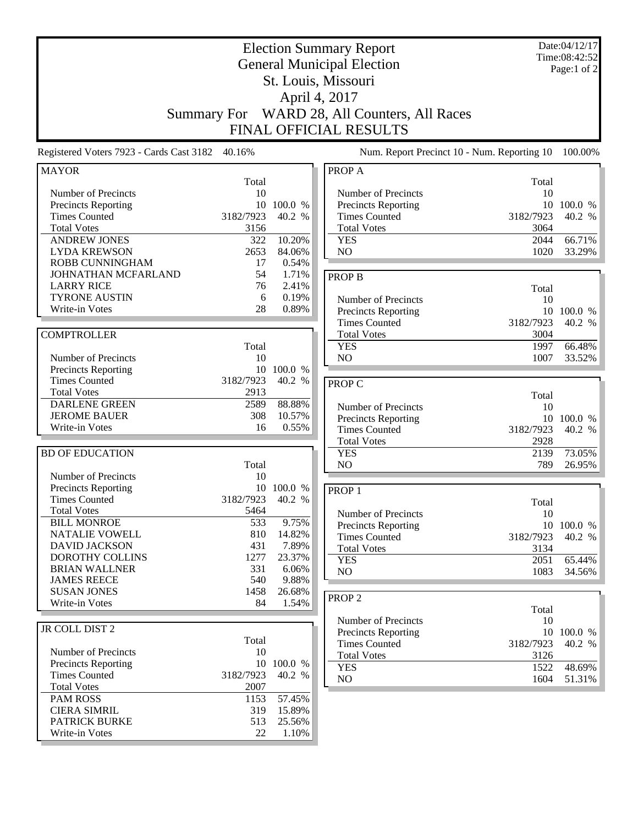| <b>Election Summary Report</b><br><b>General Municipal Election</b><br>St. Louis, Missouri<br>April 4, 2017<br>WARD 28, All Counters, All Races<br><b>Summary For</b><br>FINAL OFFICIAL RESULTS |              |            | Date:04/12/17<br>Time:08:42:52<br>Page:1 of 2 |                   |            |
|-------------------------------------------------------------------------------------------------------------------------------------------------------------------------------------------------|--------------|------------|-----------------------------------------------|-------------------|------------|
| Registered Voters 7923 - Cards Cast 3182                                                                                                                                                        | 40.16%       |            | Num. Report Precinct 10 - Num. Reporting 10   |                   | 100.00%    |
| <b>MAYOR</b>                                                                                                                                                                                    |              |            | PROP A                                        |                   |            |
|                                                                                                                                                                                                 | Total        |            |                                               | Total             |            |
| Number of Precincts                                                                                                                                                                             | 10<br>10     | 100.0 %    | Number of Precincts<br>Precincts Reporting    | 10<br>10          | 100.0 %    |
| <b>Precincts Reporting</b><br><b>Times Counted</b>                                                                                                                                              | 3182/7923    | 40.2 %     | <b>Times Counted</b>                          | 3182/7923         | 40.2 %     |
| <b>Total Votes</b>                                                                                                                                                                              | 3156         |            | <b>Total Votes</b>                            | 3064              |            |
| <b>ANDREW JONES</b>                                                                                                                                                                             | 322          | 10.20%     | <b>YES</b>                                    | 2044              | 66.71%     |
| <b>LYDA KREWSON</b>                                                                                                                                                                             | 2653         | 84.06%     | N <sub>O</sub>                                | 1020              | 33.29%     |
| <b>ROBB CUNNINGHAM</b>                                                                                                                                                                          | 17           | 0.54%      |                                               |                   |            |
| JOHNATHAN MCFARLAND                                                                                                                                                                             | 54           | 1.71%      | <b>PROP B</b>                                 |                   |            |
| <b>LARRY RICE</b>                                                                                                                                                                               | 76           | 2.41%      |                                               | Total             |            |
| <b>TYRONE AUSTIN</b>                                                                                                                                                                            | 6            | 0.19%      | Number of Precincts                           | 10                |            |
| Write-in Votes                                                                                                                                                                                  | 28           | 0.89%      | Precincts Reporting                           | 10                | 100.0 %    |
|                                                                                                                                                                                                 |              |            | <b>Times Counted</b>                          | 3182/7923         | 40.2 %     |
| <b>COMPTROLLER</b>                                                                                                                                                                              |              |            | <b>Total Votes</b>                            | 3004              |            |
|                                                                                                                                                                                                 | Total        |            | <b>YES</b>                                    | 1997              | 66.48%     |
| Number of Precincts                                                                                                                                                                             | 10           |            | N <sub>O</sub>                                | 1007              | 33.52%     |
| <b>Precincts Reporting</b>                                                                                                                                                                      |              | 10 100.0 % |                                               |                   |            |
| <b>Times Counted</b><br><b>Total Votes</b>                                                                                                                                                      | 3182/7923    | 40.2 %     | <b>PROP C</b>                                 |                   |            |
| <b>DARLENE GREEN</b>                                                                                                                                                                            | 2913<br>2589 | 88.88%     |                                               | Total             |            |
| <b>JEROME BAUER</b>                                                                                                                                                                             | 308          | 10.57%     | Number of Precincts                           | 10                |            |
| Write-in Votes                                                                                                                                                                                  | 16           | 0.55%      | Precincts Reporting                           | 10                | 100.0 %    |
|                                                                                                                                                                                                 |              |            | <b>Times Counted</b><br><b>Total Votes</b>    | 3182/7923<br>2928 | 40.2 %     |
| <b>BD OF EDUCATION</b>                                                                                                                                                                          |              |            | <b>YES</b>                                    | 2139              | 73.05%     |
|                                                                                                                                                                                                 | Total        |            | NO                                            | 789               | 26.95%     |
| Number of Precincts                                                                                                                                                                             | 10           |            |                                               |                   |            |
| Precincts Reporting                                                                                                                                                                             | 10           | 100.0 %    | PROP <sub>1</sub>                             |                   |            |
| <b>Times Counted</b>                                                                                                                                                                            | 3182/7923    | 40.2 %     |                                               | Total             |            |
| <b>Total Votes</b>                                                                                                                                                                              | 5464         |            | Number of Precincts                           | 10                |            |
| <b>BILL MONROE</b>                                                                                                                                                                              | 533          | 9.75%      | Precincts Reporting                           |                   | 10 100.0 % |
| <b>NATALIE VOWELL</b>                                                                                                                                                                           | 810          | 14.82%     | <b>Times Counted</b>                          | 3182/7923         | 40.2 %     |
| <b>DAVID JACKSON</b>                                                                                                                                                                            | 431          | 7.89%      | <b>Total Votes</b>                            | 3134              |            |
| DOROTHY COLLINS                                                                                                                                                                                 | 1277         | 23.37%     | <b>YES</b>                                    | 2051              | 65.44%     |
| <b>BRIAN WALLNER</b>                                                                                                                                                                            | 331          | 6.06%      | NO                                            | 1083              | 34.56%     |
| <b>JAMES REECE</b>                                                                                                                                                                              | 540          | 9.88%      |                                               |                   |            |
| <b>SUSAN JONES</b>                                                                                                                                                                              | 1458         | 26.68%     | PROP <sub>2</sub>                             |                   |            |
| Write-in Votes                                                                                                                                                                                  | 84           | 1.54%      |                                               | Total             |            |
|                                                                                                                                                                                                 |              |            | Number of Precincts                           | 10                |            |
| JR COLL DIST 2                                                                                                                                                                                  |              |            | Precincts Reporting                           |                   | 10 100.0 % |
|                                                                                                                                                                                                 | Total        |            | <b>Times Counted</b>                          | 3182/7923         | 40.2 %     |
| Number of Precincts<br><b>Precincts Reporting</b>                                                                                                                                               | 10           | 10 100.0 % | <b>Total Votes</b>                            | 3126              |            |
| <b>Times Counted</b>                                                                                                                                                                            | 3182/7923    | $40.2\,$ % | <b>YES</b>                                    | 1522              | 48.69%     |
| <b>Total Votes</b>                                                                                                                                                                              | 2007         |            | NO                                            | 1604              | 51.31%     |
| <b>PAM ROSS</b>                                                                                                                                                                                 | 1153         | 57.45%     |                                               |                   |            |
| <b>CIERA SIMRIL</b>                                                                                                                                                                             | 319          | 15.89%     |                                               |                   |            |
| PATRICK BURKE                                                                                                                                                                                   | 513          | 25.56%     |                                               |                   |            |
| Write-in Votes                                                                                                                                                                                  | 22           | 1.10%      |                                               |                   |            |